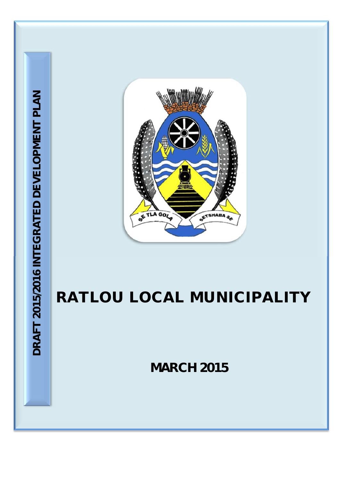

# **RATLOU LOCAL MUNICIPALITY**

**MARCH 2015**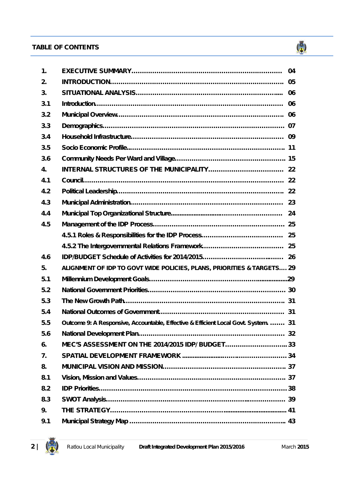# **TABLE OF CONTENTS TABLE OF CONTENTS**





 $\binom{3}{2}$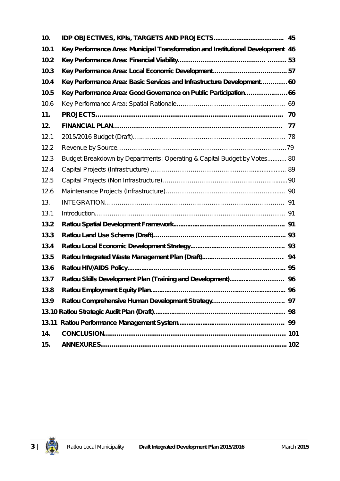| 10.   |                                                                                 |  |
|-------|---------------------------------------------------------------------------------|--|
| 10.1  | Key Performance Area: Municipal Transformation and Institutional Development 46 |  |
| 10.2  |                                                                                 |  |
| 10.3  |                                                                                 |  |
| 10.4  | Key Performance Area: Basic Services and Infrastructure Development 60          |  |
| 10.5  | Key Performance Area: Good Governance on Public Participation66                 |  |
| 10.6  |                                                                                 |  |
| 11.   |                                                                                 |  |
| 12.   |                                                                                 |  |
| 12.1  |                                                                                 |  |
| 12.2  |                                                                                 |  |
| 12.3  | Budget Breakdown by Departments: Operating & Capital Budget by Votes 80         |  |
| 12.4  |                                                                                 |  |
| 12.5  |                                                                                 |  |
| 12.6  |                                                                                 |  |
| 13.   |                                                                                 |  |
| 13.1  |                                                                                 |  |
| 13.2  |                                                                                 |  |
| 13.3  |                                                                                 |  |
| 13.4  |                                                                                 |  |
| 13.5  |                                                                                 |  |
| 13.6  |                                                                                 |  |
| 13.7  |                                                                                 |  |
| 13.8  |                                                                                 |  |
| 13.9  |                                                                                 |  |
|       |                                                                                 |  |
| 13.11 |                                                                                 |  |
| 14.   |                                                                                 |  |
| 15.   |                                                                                 |  |

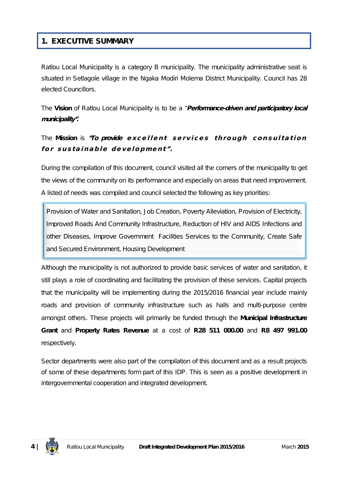# **1. EXECUTIVE SUMMARY**

Ratlou Local Municipality is a category B municipality. The municipality administrative seat is situated in Setlagole village in the Ngaka Modiri Molema District Municipality. Council has 28 elected Councillors.

The **Vision** of Ratlou Local Municipality is to be a *"Performance-driven and participatory local municipality".*

# The Mission is "To provide excellent services through consultation for sustainable development".

During the compilation of this document, council visited all the corners of the municipality to get the views of the community on its performance and especially on areas that need improvement. A listed of needs was compiled and council selected the following as key priorities:

Provision of Water and Sanitation, Job Creation, Poverty Alleviation, Provision of Electricity, Improved Roads And Community Infrastructure, Reduction of HIV and AIDS Infections and other Diseases, Improve Government Facilities Services to the Community, Create Safe and Secured Environment, Housing Development

Although the municipality is not authorized to provide basic services of water and sanitation, it still plays a role of coordinating and facilitating the provision of these services. Capital projects that the municipality will be implementing during the 2015/2016 financial year include mainly roads and provision of community infrastructure such as halls and multi-purpose centre amongst others. These projects will primarily be funded through the **Municipal Infrastructure Grant** and **Property Rates Revenue** at a cost of **R28 511 000.00** and **R8 497 991.00** respectively.

Sector departments were also part of the compilation of this document and as a result projects of some of these departments form part of this IDP. This is seen as a positive development in intergovernmental cooperation and integrated development.

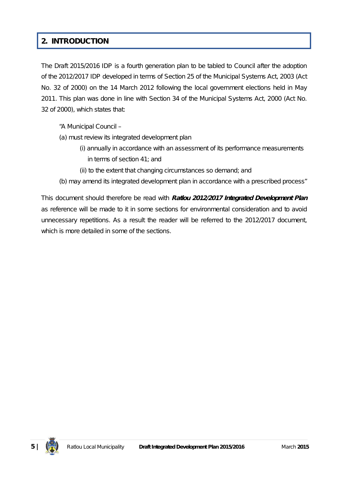# **2. INTRODUCTION**

The Draft 2015/2016 IDP is a fourth generation plan to be tabled to Council after the adoption of the 2012/2017 IDP developed in terms of Section 25 of the Municipal Systems Act, 2003 (Act No. 32 of 2000) on the 14 March 2012 following the local government elections held in May 2011. This plan was done in line with Section 34 of the Municipal Systems Act, 2000 (Act No. 32 of 2000), which states that:

*"A Municipal Council –*

- *(a) must review its integrated development plan*
	- *(i) annually in accordance with an assessment of its performance measurements in terms of section 41; and*
	- *(ii) to the extent that changing circumstances so demand; and*
- *(b) may amend its integrated development plan in accordance with a prescribed process"*

This document should therefore be read with *Ratlou 2012/2017 Integrated Development Plan* as reference will be made to it in some sections for environmental consideration and to avoid unnecessary repetitions*.* As a result the reader will be referred to the 2012/2017 document, which is more detailed in some of the sections.

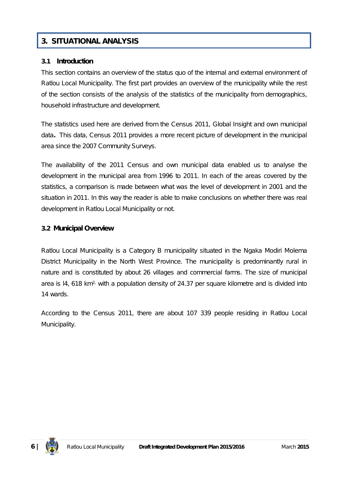# **3. SITUATIONAL ANALYSIS**

### **3.1 Introduction**

This section contains an overview of the status quo of the internal and external environment of Ratlou Local Municipality. The first part provides an overview of the municipality while the rest of the section consists of the analysis of the statistics of the municipality from demographics, household infrastructure and development.

The statistics used here are derived from the *Census 2011, Global Insight and own municipal data.* This data, Census 2011 provides a more recent picture of development in the municipal area since the 2007 Community Surveys.

The availability of the 2011 Census and own municipal data enabled us to analyse the development in the municipal area from 1996 to 2011. In each of the areas covered by the statistics, a comparison is made between what was the level of development in 2001 and the situation in 2011. In this way the reader is able to make conclusions on whether there was real development in Ratlou Local Municipality or not.

# **3.2 Municipal Overview**

Ratlou Local Municipality is a Category B municipality situated in the Ngaka Modiri Molema District Municipality in the North West Province. The municipality is predominantly rural in nature and is constituted by about 26 villages and commercial farms. The size of municipal area is  $14$ , 618 km<sup>2,</sup> with a population density of 24.37 per square kilometre and is divided into 14 wards.

According to the Census 2011, there are about 107 339 people residing in Ratlou Local Municipality.

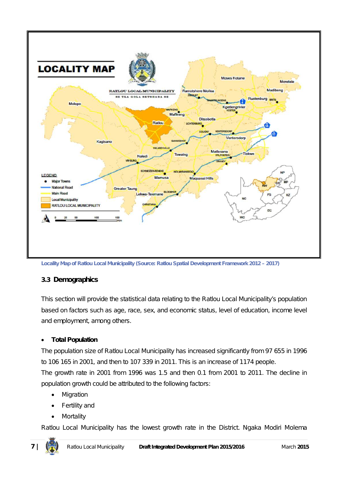

**Locality Map of Ratlou Local Municipality (Source: Ratlou Spatial Development Framework 2012 – 2017)**

# **3.3 Demographics**

This section will provide the statistical data relating to the Ratlou Local Municipality's population based on factors such as age, race, sex, and economic status, level of education, income level and employment, among others.

# **Total Population**

The population size of Ratlou Local Municipality has increased significantly from 97 655 in 1996 to 106 165 in 2001, and then to 107 339 in 2011. This is an increase of 1174 people.

The growth rate in 2001 from 1996 was 1.5 and then 0.1 from 2001 to 2011. The decline in population growth could be attributed to the following factors:

- Migration
- Fertility and
- Mortality

Ratlou Local Municipality has the lowest growth rate in the District. Ngaka Modiri Molema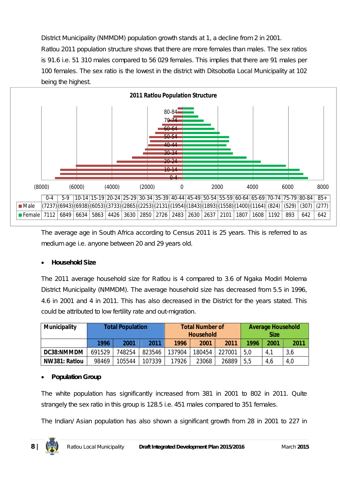District Municipality (NMMDM) population growth stands at 1, a decline from 2 in 2001.

Ratlou 2011 population structure shows that there are more females than males. The sex ratios is 91.6 i.e. 51 310 males compared to 56 029 females. This implies that there are 91 males per 100 females. The sex ratio is the lowest in the district with Ditsobotla Local Municipality at 102 being the highest.



The average age in South Africa according to Census 2011 is 25 years. This is referred to as medium age i.e. anyone between 20 and 29 years old.

# **Household Size**

The 2011 average household size for Ratlou is 4 compared to 3.6 of Ngaka Modiri Molema District Municipality (NMMDM). The average household size has decreased from 5.5 in 1996, 4.6 in 2001 and 4 in 2011. This has also decreased in the District for the years stated. This could be attributed to low fertility rate and out-migration.

| <b>Municipality</b> | <b>Total Population</b> |        |        |        | <b>Total Number of</b><br><b>Household</b> |        | <b>Average Household</b><br><b>Size</b> |      |      |
|---------------------|-------------------------|--------|--------|--------|--------------------------------------------|--------|-----------------------------------------|------|------|
|                     | 1996                    | 2001   | 2011   | 1996   | 2001                                       | 2011   | 1996                                    | 2001 | 2011 |
| DC38:NMMDM          | 691529                  | 748254 | 823546 | 137904 | 180454                                     | 227001 | 5,0                                     | 4,1  | 3,6  |
| NW381: Ratlou       | 98469                   | 105544 | 107339 | 17926  | 23068                                      | 26889  | 5,5                                     | 4,6  | 4,0  |

### **Population Group**

The white population has significantly increased from 381 in 2001 to 802 in 2011. Quite strangely the sex ratio in this group is 128.5 i.e. 451 males compared to 351 females.

The Indian/ Asian population has also shown a significant growth from 28 in 2001 to 227 in

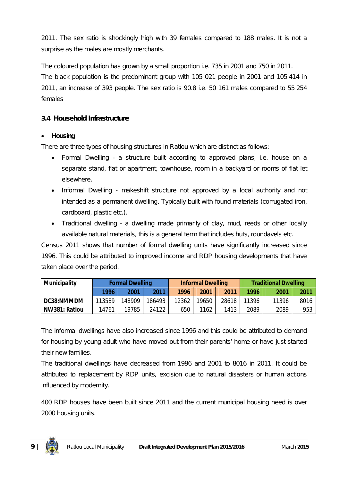2011. The sex ratio is shockingly high with 39 females compared to 188 males. It is not a surprise as the males are mostly merchants.

The coloured population has grown by a small proportion i.e. 735 in 2001 and 750 in 2011. The black population is the predominant group with 105 021 people in 2001 and 105 414 in 2011, an increase of 393 people. The sex ratio is 90.8 i.e. 50 161 males compared to 55 254 females

# **3.4 Household Infrastructure**

# **Housing**

There are three types of housing structures in Ratlou which are distinct as follows:

- Formal Dwelling a structure built according to approved plans, i.e. house on a separate stand, flat or apartment, townhouse, room in a backyard or rooms of flat let elsewhere.
- Informal Dwelling makeshift structure not approved by a local authority and not intended as a permanent dwelling. Typically built with found materials (corrugated iron, cardboard, plastic etc.).
- Traditional dwelling a dwelling made primarily of clay, mud, reeds or other locally available natural materials, this is a general term that includes huts, roundavels etc.

Census 2011 shows that number of formal dwelling units have significantly increased since 1996. This could be attributed to improved income and RDP housing developments that have taken place over the period.

| <b>Municipality</b> | <b>Formal Dwelling</b> |        |        |       | <b>Informal Dwelling</b> |       |       | <b>Traditional Dwelling</b> |      |  |
|---------------------|------------------------|--------|--------|-------|--------------------------|-------|-------|-----------------------------|------|--|
|                     | 1996                   | 2001   | 2011   | 1996  | 2001                     | 2011  | 1996  | 2001                        | 2011 |  |
| <b>DC38:NMMDM</b>   | 113589                 | 148909 | 186493 | 12362 | 19650                    | 28618 | 11396 | 11396                       | 8016 |  |
| NW381: Ratlou       | 14761                  | 19785  | 24122  | 650   | 1162                     | 1413  | 2089  | 2089                        | 953  |  |

The informal dwellings have also increased since 1996 and this could be attributed to demand for housing by young adult who have moved out from their parents' home or have just started their new families.

The traditional dwellings have decreased from 1996 and 2001 to 8016 in 2011. It could be attributed to replacement by RDP units, excision due to natural disasters or human actions influenced by modernity.

400 RDP houses have been built since 2011 and the current municipal housing need is over 2000 housing units.

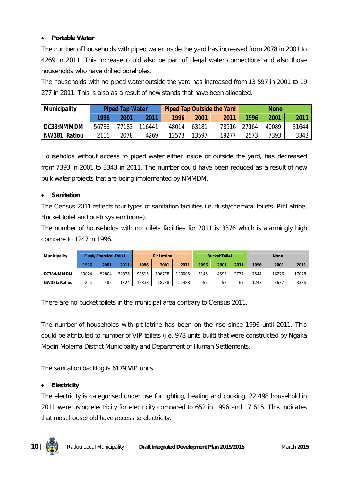# **Portable Water**

The number of households with piped water inside the yard has increased from 2078 in 2001 to 4269 in 2011. This increase could also be part of illegal water connections and also those households who have drilled boreholes.

The households with no piped water outside the yard has increased from 13 597 in 2001 to 19 277 in 2011. This is also as a result of new stands that have been allocated.

| <b>Municipality</b> | <b>Piped Tap Water</b> |       |        |       |       | <b>Piped Tap Outside the Yard</b> | <b>None</b> |       |       |
|---------------------|------------------------|-------|--------|-------|-------|-----------------------------------|-------------|-------|-------|
|                     | 1996                   | 2001  | 2011   | 1996  | 2001  | 2011                              | 1996        | 2001  | 2011  |
| DC38:NMMDM          | 56736                  | 77183 | 116441 | 48014 | 63181 | 78916                             | 27164       | 40089 | 31644 |
| NW381: Ratlou       | 2116                   | 2078  | 4269   | 12573 | 13597 | 19277                             | 2573        | 7393  | 3343  |

Households without access to piped water either inside or outside the yard, has decreased from 7393 in 2001 to 3343 in 2011. The number could have been reduced as a result of new bulk water projects that are being implemented by NMMDM.

# **Sanitation**

The Census 2011 reflects four types of sanitation facilities i.e. flush/chemical toilets, Pit Latrine, Bucket toilet and bush system (none).

The number of households with no toilets facilities for 2011 is 3376 which is alarmingly high compare to 1247 in 1996.

| <b>Municipality</b> |       | <b>Flush/Chemical Toilet</b> |       | <b>Pit Latrine</b> |        | <b>Bucket Toilet</b> |      |      | <b>None</b> |      |       |       |
|---------------------|-------|------------------------------|-------|--------------------|--------|----------------------|------|------|-------------|------|-------|-------|
|                     | 1996  | 2001                         | 2011  | 1996               | 2001   | 2011                 | 1996 | 2001 | 2011        | 1996 | 2001  | 2011  |
| DC38:NMMDM          | 30024 | 52804                        | 72836 | 93515              | 106778 | 130005               | 6145 | 4596 | 2774        | 7544 | 16276 | 17078 |
| NW381: Ratlou       | 205   | 585                          | 1324  | 16338              | 18748  | 21488                | 55   | 57   | 65          | 1247 | 3677  | 3376  |

There are no bucket toilets in the municipal area contrary to Census 2011.

The number of households with pit latrine has been on the rise since 1996 until 2011. This could be attributed to number of VIP toilets (i.e. 978 units built) that were constructed by Ngaka Modiri Molema District Municipality and Department of Human Settlements.

The sanitation backlog is 6179 VIP units.

# **Electricity**

The electricity is categorised under use for lighting, heating and cooking. 22 498 household in 2011 were using electricity for electricity compared to 652 in 1996 and 17 615. This indicates that most household have access to electricity.

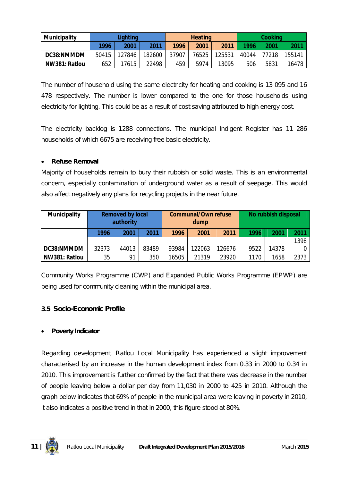| <b>Municipality</b> | Lighting |        |        | <b>Heating</b> |       |        | Cooking |       |        |
|---------------------|----------|--------|--------|----------------|-------|--------|---------|-------|--------|
|                     | 1996     | 2001   | 2011   | 1996           | 2001  | 2011   | 1996    | 2001  | 2011   |
| DC38:NMMDM          | 50415    | 127846 | 182600 | 37907          | 76525 | 125531 | 40044   | 77218 | 155141 |
| NW381: Ratlou       | 652      | 17615  | 22498  | 459            | 5974  | 13095  | 506     | 5831  | 16478  |

The number of household using the same electricity for heating and cooking is 13 095 and 16 478 respectively. The number is lower compared to the one for those households using electricity for lighting. This could be as a result of cost saving attributed to high energy cost.

The electricity backlog is 1288 connections. The municipal Indigent Register has 11 286 households of which 6675 are receiving free basic electricity.

# **Refuse Removal**

Majority of households remain to bury their rubbish or solid waste. This is an environmental concern, especially contamination of underground water as a result of seepage. This would also affect negatively any plans for recycling projects in the near future.

| <b>Municipality</b> | <b>Removed by local</b><br>authority |       |       |       | <b>Communal/Own refuse</b><br>dump |        | No rubbish disposal |       |      |
|---------------------|--------------------------------------|-------|-------|-------|------------------------------------|--------|---------------------|-------|------|
|                     | 1996                                 | 2001  | 2011  | 1996  | 2001                               | 2011   | 1996                | 2001  | 2011 |
|                     |                                      |       |       |       |                                    |        |                     |       | 1398 |
| DC38:NMMDM          | 32373                                | 44013 | 83489 | 93984 | 122063                             | 126676 | 9522                | 14378 | 0.   |
| NW381: Ratlou       | 35                                   | 91    | 350   | 16505 | 21319                              | 23920  | 1170                | 1658  | 2373 |

Community Works Programme (CWP) and Expanded Public Works Programme (EPWP) are being used for community cleaning within the municipal area.

# **3.5 Socio-Economic Profile**

### **Poverty Indicator**

Regarding development, Ratlou Local Municipality has experienced a slight improvement characterised by an increase in the human development index from 0.33 in 2000 to 0.34 in 2010. This improvement is further confirmed by the fact that there was decrease in the number of people leaving below a dollar per day from 11,030 in 2000 to 425 in 2010. Although the graph below indicates that 69% of people in the municipal area were leaving in poverty in 2010, it also indicates a positive trend in that in 2000, this figure stood at 80%.

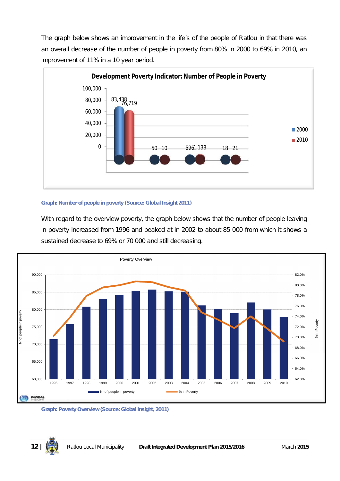The graph below shows an improvement in the life's of the people of Ratlou in that there was an overall decrease of the number of people in poverty from 80% in 2000 to 69% in 2010, an improvement of 11% in a 10 year period.



#### **Graph: Number of people in poverty (Source: Global Insight 2011)**

With regard to the overview poverty, the graph below shows that the number of people leaving in poverty increased from 1996 and peaked at in 2002 to about 85 000 from which it shows a sustained decrease to 69% or 70 000 and still decreasing.



**Graph: Poverty Overview (Source: Global Insight, 2011)**

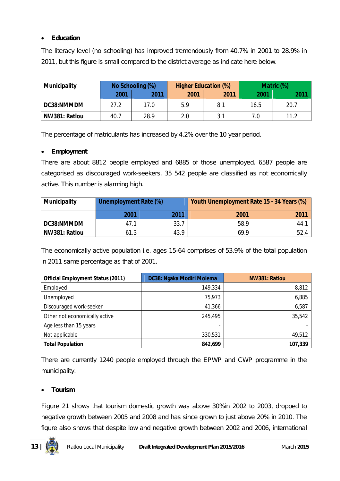# **Education**

The literacy level (no schooling) has improved tremendously from 40.7% in 2001 to 28.9% in 2011, but this figure is small compared to the district average as indicate here below.

| <b>Municipality</b> |      | No Schooling (%) |      | <b>Higher Education (%)</b> | Matric (%) |      |  |
|---------------------|------|------------------|------|-----------------------------|------------|------|--|
|                     | 2001 | 2011             | 2001 | 2011                        | 2001       | 2011 |  |
| DC38:NMMDM          | 27.2 | 17.0             | 5.9  | 8.1                         | 16.5       | 20.7 |  |
| NW381: Ratlou       | 40.7 | 28.9             | 2.0  | ?1                          | 7.0        | 11.2 |  |

The percentage of matriculants has increased by 4.2% over the 10 year period.

#### **Employment**

There are about 8812 people employed and 6885 of those unemployed. 6587 people are categorised as discouraged work-seekers. 35 542 people are classified as not economically active. This number is alarming high.

| <b>Municipality</b> | <b>Unemployment Rate (%)</b> |      | Youth Unemployment Rate 15 - 34 Years (%) |      |  |  |  |
|---------------------|------------------------------|------|-------------------------------------------|------|--|--|--|
|                     | 2001                         | 2011 | 2001                                      | 2011 |  |  |  |
| DC38:NMMDM          | 47.1                         | 33.7 | 58.9                                      | 44.1 |  |  |  |
| NW381: Ratlou       | 61.3                         | 43.9 | 69.9                                      | 52.4 |  |  |  |

The economically active population i.e. ages 15-64 comprises of 53.9% of the total population in 2011 same percentage as that of 2001.

| <b>Official Employment Status (2011)</b> | DC38: Ngaka Modiri Molema | NW381: Ratlou |
|------------------------------------------|---------------------------|---------------|
| Employed                                 | 149,334                   | 8,812         |
| Unemployed                               | 75,973                    | 6,885         |
| Discouraged work-seeker                  | 41,366                    | 6,587         |
| Other not economically active            | 245,495                   | 35,542        |
| Age less than 15 years                   | -                         |               |
| Not applicable                           | 330,531                   | 49,512        |
| <b>Total Population</b>                  | 842,699                   | 107,339       |

There are currently 1240 people employed through the EPWP and CWP programme in the municipality.

### **Tourism**

Figure 21 shows that tourism domestic growth was above 30%in 2002 to 2003, dropped to negative growth between 2005 and 2008 and has since grown to just above 20% in 2010. The figure also shows that despite low and negative growth between 2002 and 2006, international

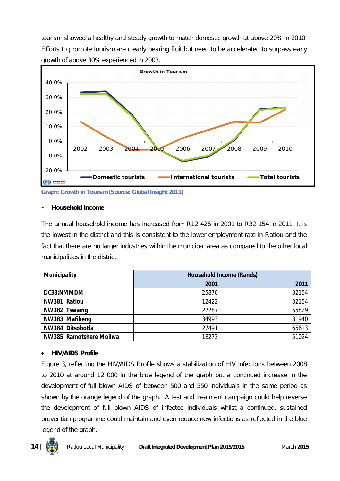tourism showed a healthy and steady growth to match domestic growth at above 20% in 2010. Efforts to promote tourism are clearly bearing fruit but need to be accelerated to surpass early growth of above 30% experienced in 2003.



**Graph: Growth in Tourism (Source: Global Insight 2011)**

#### **Household Income**

The annual household income has increased from R12 426 in 2001 to R32 154 in 2011. It is the lowest in the district and this is consistent to the lower employment rate in Ratlou and the fact that there are no larger industries within the municipal area as compared to the other local municipalities in the district

| <b>Municipality</b>      |       | <b>Household Income (Rands)</b> |
|--------------------------|-------|---------------------------------|
|                          | 2001  | 2011                            |
| DC38:NMMDM               | 25870 | 32154                           |
| NW381: Ratlou            | 12422 | 32154                           |
| NW382: Tswaing           | 22287 | 55829                           |
| NW383: Mafikeng          | 34993 | 81940                           |
| NW384: Ditsobotla        | 27491 | 65613                           |
| NW385: Ramotshere Moilwa | 18273 | 51024                           |

### **HIV/AIDS Profile**

Figure 3, reflecting the HIV/AIDS Profile shows a stabilization of HIV infections between 2008 to 2010 at around 12 000 in the blue legend of the graph but a continued increase in the development of full blown AIDS of between 500 and 550 individuals in the same period as shown by the orange legend of the graph. A test and treatment campaign could help reverse the development of full blown AIDS of infected individuals whilst a continued, sustained prevention programme could maintain and even reduce new infections as reflected in the blue legend of the graph.

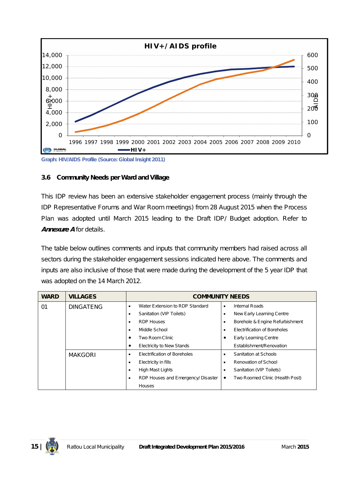

# **3.6 Community Needs per Ward and Village**

This IDP review has been an extensive stakeholder engagement process (mainly through the IDP Representative Forums and War Room meetings) from 28 August 2015 when the Process Plan was adopted until March 2015 leading to the Draft IDP/ Budget adoption. Refer to *Annexure A* for details.

The table below outlines comments and inputs that community members had raised across all sectors during the stakeholder engagement sessions indicated here above. The comments and inputs are also inclusive of those that were made during the development of the 5 year IDP that was adopted on the 14 March 2012.

| <b>WARD</b> | <b>VILLAGES</b>  |           | <b>COMMUNITY NEEDS</b>              |           |                                 |
|-------------|------------------|-----------|-------------------------------------|-----------|---------------------------------|
| 01          | <b>DINGATENG</b> | $\bullet$ | Water Extension to RDP Standard     | $\bullet$ | <b>Internal Roads</b>           |
|             |                  | ٠         | Sanitation (VIP Toilets)            | ٠         | New Early Learning Centre       |
|             |                  | ٠         | <b>RDP Houses</b>                   | ٠         | Borehole & Engine Refurbishment |
|             |                  | ٠         | Middle School<br>٠                  |           | Electrification of Boreholes    |
|             |                  |           | Two Room Clinic<br>٠                |           | <b>Early Learning Centre</b>    |
|             |                  |           | <b>Electricity to New Stands</b>    |           | Establishment/Renovation        |
|             | <b>MAKGORI</b>   | ٠         | <b>Electrification of Boreholes</b> | ٠         | Sanitation at Schools           |
|             |                  | ٠         | Electricity in fills                | ٠         | Renovation of School            |
|             |                  | ٠         | <b>High Mast Lights</b>             | ٠         | Sanitation (VIP Toilets)        |
|             |                  |           | RDP Houses and Emergency/ Disaster  | $\bullet$ | Two Roomed Clinic (Health Post) |
|             |                  |           | Houses                              |           |                                 |

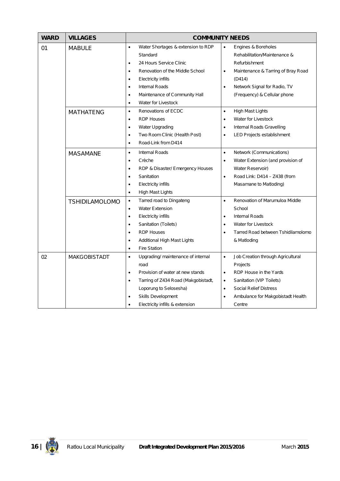| <b>WARD</b> | <b>VILLAGES</b>       | <b>COMMUNITY NEEDS</b>                           |                                                 |  |  |  |  |
|-------------|-----------------------|--------------------------------------------------|-------------------------------------------------|--|--|--|--|
| 01          | <b>MABULE</b>         | Water Shortages & extension to RDP<br>$\bullet$  | Engines & Boreholes<br>$\bullet$                |  |  |  |  |
|             |                       | Standard                                         | Rehabilitation/Maintenance &                    |  |  |  |  |
|             |                       | 24 Hours Service Clinic<br>$\bullet$             | Refurbishment                                   |  |  |  |  |
|             |                       | Renovation of the Middle School<br>$\bullet$     | Maintenance & Tarring of Bray Road<br>$\bullet$ |  |  |  |  |
|             |                       | Electricity infills<br>$\bullet$                 | (D414)                                          |  |  |  |  |
|             |                       | Internal Roads                                   | Network Signal for Radio, TV<br>$\bullet$       |  |  |  |  |
|             |                       | Maintenance of Community Hall<br>$\bullet$       | (Frequency) & Cellular phone                    |  |  |  |  |
|             |                       | Water for Livestock<br>$\bullet$                 |                                                 |  |  |  |  |
|             | <b>MATHATENG</b>      | Renovations of ECDC<br>$\bullet$                 | <b>High Mast Lights</b><br>$\bullet$            |  |  |  |  |
|             |                       | <b>RDP Houses</b><br>$\bullet$                   | Water for Livestock<br>$\bullet$                |  |  |  |  |
|             |                       | Water Upgrading<br>$\bullet$                     | Internal Roads Gravelling<br>$\bullet$          |  |  |  |  |
|             |                       | Two Room Clinic (Health Post)<br>$\bullet$       | LED Projects establishment<br>$\bullet$         |  |  |  |  |
|             |                       | Road-Link from D414<br>$\bullet$                 |                                                 |  |  |  |  |
|             | <b>MASAMANE</b>       | <b>Internal Roads</b><br>$\bullet$               | Network (Communications)<br>$\bullet$           |  |  |  |  |
|             |                       | Crèche<br>$\bullet$                              | Water Extension (and provision of<br>$\bullet$  |  |  |  |  |
|             |                       | RDP & Disaster/ Emergency Houses<br>$\bullet$    | Water Reservoir)                                |  |  |  |  |
|             |                       | Sanitation<br>$\bullet$                          | Road Link: D414 - Z438 (from<br>$\bullet$       |  |  |  |  |
|             |                       | <b>Electricity infills</b><br>$\bullet$          | Masamane to Matloding)                          |  |  |  |  |
|             |                       | High Mast Lights<br>$\bullet$                    |                                                 |  |  |  |  |
|             | <b>TSHIDILAMOLOMO</b> | Tarred road to Dingateng<br>$\bullet$            | Renovation of Marumuloa Middle<br>$\bullet$     |  |  |  |  |
|             |                       | <b>Water Extension</b><br>$\bullet$              | School                                          |  |  |  |  |
|             |                       | Electricity infills<br>$\bullet$                 | <b>Internal Roads</b><br>$\bullet$              |  |  |  |  |
|             |                       | Sanitation (Toilets)<br>$\bullet$                | Water for Livestock<br>$\bullet$                |  |  |  |  |
|             |                       | <b>RDP Houses</b><br>$\bullet$                   | Tarred Road between Tshidilamolomo<br>$\bullet$ |  |  |  |  |
|             |                       | Additional High Mast Lights<br>$\bullet$         | & Matloding                                     |  |  |  |  |
|             |                       | <b>Fire Station</b><br>$\bullet$                 |                                                 |  |  |  |  |
| 02          | <b>MAKGOBISTADT</b>   | Upgrading/ maintenance of internal<br>$\bullet$  | Job Creation through Agricultural<br>$\bullet$  |  |  |  |  |
|             |                       | road                                             | Projects                                        |  |  |  |  |
|             |                       | Provision of water at new stands<br>$\bullet$    | RDP House in the Yards<br>$\bullet$             |  |  |  |  |
|             |                       | Tarring of Z434 Road (Makgobistadt,<br>$\bullet$ | Sanitation (VIP Toilets)<br>$\bullet$           |  |  |  |  |
|             |                       | Loporung to Selosesha)                           | <b>Social Relief Distress</b><br>$\bullet$      |  |  |  |  |
|             |                       | Skills Development                               | Ambulance for Makgobistadt Health<br>$\bullet$  |  |  |  |  |
|             |                       | Electricity infills & extension                  | Centre                                          |  |  |  |  |

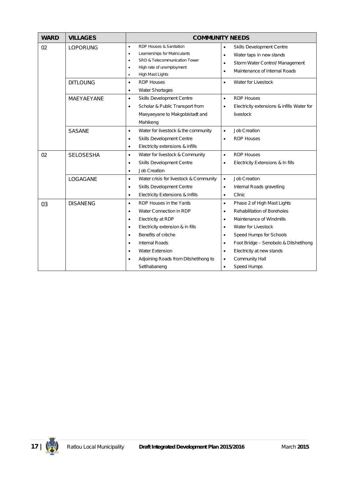| <b>WARD</b> | <b>VILLAGES</b>  | <b>COMMUNITY NEEDS</b>                                                                                                                                                                                                                                                                                                                                |                                                                                                                                                                                                                                                                                                              |  |  |  |  |
|-------------|------------------|-------------------------------------------------------------------------------------------------------------------------------------------------------------------------------------------------------------------------------------------------------------------------------------------------------------------------------------------------------|--------------------------------------------------------------------------------------------------------------------------------------------------------------------------------------------------------------------------------------------------------------------------------------------------------------|--|--|--|--|
| 02          | <b>LOPORUNG</b>  | RDP Houses & Sanitation<br>$\bullet$<br>Learnerships for Matriculants<br>$\bullet$<br>SRD & Telecommunication Tower<br>High rate of unemployment<br>٠<br>High Mast Lights<br>$\bullet$                                                                                                                                                                | Skills Development Centre<br>$\bullet$<br>Water taps in new stands<br>$\bullet$<br>Storm Water Control/ Management<br>$\bullet$<br>Maintenance of Internal Roads<br>$\bullet$                                                                                                                                |  |  |  |  |
|             | <b>DITLOUNG</b>  | <b>RDP Houses</b><br>$\bullet$<br>Water Shortages<br>$\bullet$                                                                                                                                                                                                                                                                                        | Water for Livestock<br>$\bullet$                                                                                                                                                                                                                                                                             |  |  |  |  |
|             | MAEYAEYANE       | Skills Development Centre<br>$\bullet$<br>Scholar & Public Transport from<br>$\bullet$<br>Maeyaeyane to Makgobistadt and<br>Mahikeng                                                                                                                                                                                                                  | <b>RDP Houses</b><br>$\bullet$<br>Electricity extensions & infills Water for<br>٠<br>livestock                                                                                                                                                                                                               |  |  |  |  |
|             | <b>SASANE</b>    | Water for livestock & the community<br>$\bullet$<br>Skills Development Centre<br>$\bullet$<br>Electricity extensions & infills<br>٠                                                                                                                                                                                                                   | <b>Job Creation</b><br>٠<br><b>RDP Houses</b><br>٠                                                                                                                                                                                                                                                           |  |  |  |  |
| 02          | <b>SELOSESHA</b> | Water for livestock & Community<br>$\bullet$<br>Skills Development Centre<br>$\bullet$<br>Job Creation<br>$\bullet$                                                                                                                                                                                                                                   | <b>RDP Houses</b><br>$\bullet$<br>Electricity Extensions & In fills<br>٠                                                                                                                                                                                                                                     |  |  |  |  |
|             | LOGAGANE         | Water crisis for livestock & Community<br>$\bullet$<br>Skills Development Centre<br>$\bullet$<br>Electricity Extensions & Infills<br>٠                                                                                                                                                                                                                | <b>Job Creation</b><br>$\bullet$<br>Internal Roads gravelling<br>٠<br>Clinic<br>٠                                                                                                                                                                                                                            |  |  |  |  |
| 03          | <b>DISANENG</b>  | RDP Houses in the Yards<br>$\bullet$<br>Water Connection in RDP<br>$\bullet$<br>Electricity at RDP<br>$\bullet$<br>Electricity extension & in fills<br>$\bullet$<br>Benefits of crèche<br>$\bullet$<br><b>Internal Roads</b><br>$\bullet$<br><b>Water Extension</b><br>$\bullet$<br>Adjoining Roads from Ditshetlhong to<br>$\bullet$<br>SetIhabaneng | Phase 2 of High Mast Lights<br>٠<br>Rehabilitation of Boreholes<br>٠<br>Maintenance of Windmills<br>٠<br>Water for Livestock<br>٠<br>Speed Humps for Schools<br>٠<br>Foot Bridge - Senobolo & Ditshetlhong<br>٠<br>Electricity at new stands<br>٠<br>Community Hall<br>$\bullet$<br>Speed Humps<br>$\bullet$ |  |  |  |  |

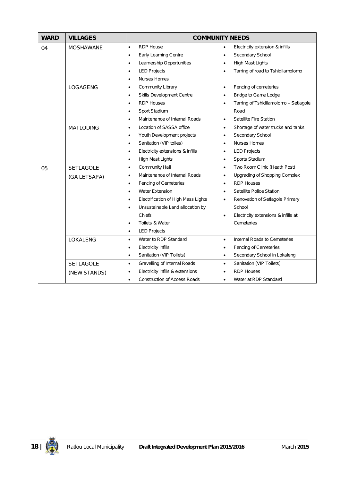| <b>WARD</b> | <b>VILLAGES</b>  | <b>COMMUNITY NEEDS</b>                           |                                                    |  |  |  |  |
|-------------|------------------|--------------------------------------------------|----------------------------------------------------|--|--|--|--|
| 04          | <b>MOSHAWANE</b> | <b>RDP House</b><br>$\bullet$                    | Electricity extension & infills<br>$\bullet$       |  |  |  |  |
|             |                  | Early Learning Centre<br>$\bullet$               | Secondary School<br>$\bullet$                      |  |  |  |  |
|             |                  | Learnership Opportunities<br>$\bullet$           | High Mast Lights<br>$\bullet$                      |  |  |  |  |
|             |                  | <b>LED Projects</b><br>$\bullet$                 | Tarring of road to Tshidilamolomo<br>$\bullet$     |  |  |  |  |
|             |                  | <b>Nurses Homes</b><br>$\bullet$                 |                                                    |  |  |  |  |
|             | LOGAGENG         | Community Library<br>$\bullet$                   | Fencing of cemeteries<br>$\bullet$                 |  |  |  |  |
|             |                  | Skills Development Centre<br>$\bullet$           | Bridge to Game Lodge<br>٠                          |  |  |  |  |
|             |                  | <b>RDP Houses</b><br>$\bullet$                   | Tarring of Tshidilamolomo - Setlagole<br>$\bullet$ |  |  |  |  |
|             |                  | Sport Stadium<br>$\bullet$                       | Road                                               |  |  |  |  |
|             |                  | Maintenance of Internal Roads<br>$\bullet$       | Satellite Fire Station<br>$\bullet$                |  |  |  |  |
|             | <b>MATLODING</b> | Location of SASSA office<br>$\bullet$            | Shortage of water trucks and tanks<br>$\bullet$    |  |  |  |  |
|             |                  | Youth Development projects<br>٠                  | Secondary School<br>٠                              |  |  |  |  |
|             |                  | Sanitation (VIP toiles)<br>$\bullet$             | <b>Nurses Homes</b><br>$\bullet$                   |  |  |  |  |
|             |                  | Electricity extensions & infills<br>$\bullet$    | <b>LED Projects</b><br>$\bullet$                   |  |  |  |  |
|             |                  | High Mast Lights<br>$\bullet$                    | Sports Stadium<br>$\bullet$                        |  |  |  |  |
| 05          | <b>SETLAGOLE</b> | Community Hall<br>$\bullet$                      | Two Room Clinic (Heath Post)<br>$\bullet$          |  |  |  |  |
|             | (GA LETSAPA)     | Maintenance of Internal Roads<br>$\bullet$       | <b>Upgrading of Shopping Complex</b><br>$\bullet$  |  |  |  |  |
|             |                  | <b>Fencing of Cemeteries</b><br>$\bullet$        | <b>RDP Houses</b><br>$\bullet$                     |  |  |  |  |
|             |                  | <b>Water Extension</b><br>$\bullet$              | Satellite Police Station<br>$\bullet$              |  |  |  |  |
|             |                  | Electrification of High Mass Lights<br>$\bullet$ | Renovation of Setlagole Primary<br>٠               |  |  |  |  |
|             |                  | Unsustainable Land allocation by<br>$\bullet$    | School                                             |  |  |  |  |
|             |                  | Chiefs                                           | Electricity extensions & infills at<br>$\bullet$   |  |  |  |  |
|             |                  | Toilets & Water<br>$\bullet$                     | Cemeteries                                         |  |  |  |  |
|             |                  | <b>LED Projects</b><br>$\bullet$                 |                                                    |  |  |  |  |
|             | LOKALENG         | Water to RDP Standard<br>$\bullet$               | Internal Roads to Cemeteries<br>$\bullet$          |  |  |  |  |
|             |                  | Electricity infills<br>$\bullet$                 | Fencing of Cemeteries<br>$\bullet$                 |  |  |  |  |
|             |                  | Sanitation (VIP Toilets)<br>٠                    | Secondary School in Lokaleng<br>٠                  |  |  |  |  |
|             | <b>SETLAGOLE</b> | Gravelling of Internal Roads<br>$\bullet$        | Sanitation (VIP Toilets)<br>$\bullet$              |  |  |  |  |
|             | (NEW STANDS)     | Electricity infills & extensions<br>$\bullet$    | <b>RDP Houses</b>                                  |  |  |  |  |
|             |                  | <b>Construction of Access Roads</b><br>$\bullet$ | Water at RDP Standard<br>$\bullet$                 |  |  |  |  |

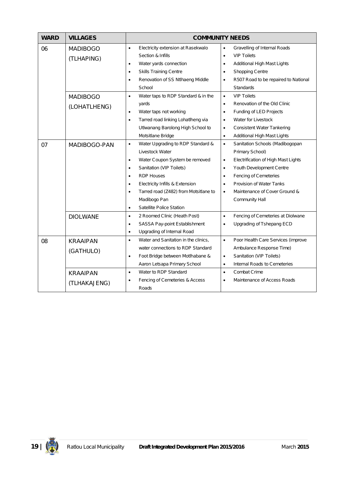| <b>WARD</b> | <b>VILLAGES</b>                                                  | <b>COMMUNITY NEEDS</b>                                                                                                                                                                                                                                                                                                                                              |                                                                                                                                                                                                                                                                                                                                                                                               |  |  |  |  |  |
|-------------|------------------------------------------------------------------|---------------------------------------------------------------------------------------------------------------------------------------------------------------------------------------------------------------------------------------------------------------------------------------------------------------------------------------------------------------------|-----------------------------------------------------------------------------------------------------------------------------------------------------------------------------------------------------------------------------------------------------------------------------------------------------------------------------------------------------------------------------------------------|--|--|--|--|--|
| 06          | <b>MADIBOGO</b><br>(TLHAPING)<br><b>MADIBOGO</b><br>(LOHATLHENG) | Electricity extension at Rasekwalo<br>$\bullet$<br>Section & Infills<br>Water yards connection<br>٠<br><b>Skills Training Centre</b><br>$\bullet$<br>Renovation of SS Ntlhaeng Middle<br>$\bullet$<br>School<br>Water taps to RDP Standard & in the<br>$\bullet$<br>yards<br>Water taps not working<br>$\bullet$<br>Tarred road linking Lohatlheng via<br>$\bullet$ | Gravelling of Internal Roads<br>$\bullet$<br><b>VIP Toilets</b><br>$\bullet$<br>Additional High Mast Lights<br>$\bullet$<br><b>Shopping Centre</b><br>$\bullet$<br>R507 Road to be repaired to National<br>$\bullet$<br>Standards<br>$\bullet$<br><b>VIP Toilets</b><br>Renovation of the Old Clinic<br>$\bullet$<br>Funding of LED Projects<br>$\bullet$<br>Water for Livestock<br>$\bullet$ |  |  |  |  |  |
|             |                                                                  | Utlwanang Barolong High School to<br>Motsitlane Bridge                                                                                                                                                                                                                                                                                                              | <b>Consistent Water Tankering</b><br>$\bullet$<br>Additional High Mast Lights<br>$\bullet$                                                                                                                                                                                                                                                                                                    |  |  |  |  |  |
| 07          | MADIBOGO-PAN                                                     | Water Upgrading to RDP Standard &<br>$\bullet$<br>Livestock Water<br>Water Coupon System be removed<br>$\bullet$<br>Sanitation (VIP Toilets)<br>٠<br><b>RDP Houses</b><br>$\bullet$<br>Electricity Infills & Extension<br>$\bullet$<br>Tarred road (Z482) from Motsitlane to<br>$\bullet$<br>Madibogo Pan<br>Satellite Police Station<br>$\bullet$                  | Sanitation Schools (Madibogopan<br>$\bullet$<br>Primary School)<br>Electrification of High Mast Lights<br>$\bullet$<br>Youth Development Centre<br>$\bullet$<br>Fencing of Cemeteries<br>$\bullet$<br>Provision of Water Tanks<br>$\bullet$<br>Maintenance of Cover Ground &<br>$\bullet$<br>Community Hall                                                                                   |  |  |  |  |  |
|             | <b>DIOLWANE</b>                                                  | 2 Roomed Clinic (Heath Post)<br>$\bullet$<br>SASSA Pay-point Establishment<br>$\bullet$<br>Upgrading of Internal Road<br>$\bullet$                                                                                                                                                                                                                                  | $\bullet$<br>Fencing of Cemeteries at Diolwane<br>Upgrading of Tshepang ECD<br>$\bullet$                                                                                                                                                                                                                                                                                                      |  |  |  |  |  |
| 08          | <b>KRAAIPAN</b><br>(GATHULO)<br><b>KRAAIPAN</b><br>(TLHAKAJENG)  | Water and Sanitation in the clinics,<br>$\bullet$<br>water connections to RDP Standard<br>Foot Bridge between Motlhabane &<br>$\bullet$<br>Aaron Letsapa Primary School<br>Water to RDP Standard<br>$\bullet$<br>Fencing of Cemeteries & Access<br>$\bullet$<br>Roads                                                                                               | $\bullet$<br>Poor Health Care Services (improve<br>Ambulance Response Time)<br>Sanitation (VIP Toilets)<br>$\bullet$<br>Internal Roads to Cemeteries<br>$\bullet$<br>Combat Crime<br>$\bullet$<br>Maintenance of Access Roads<br>$\bullet$                                                                                                                                                    |  |  |  |  |  |

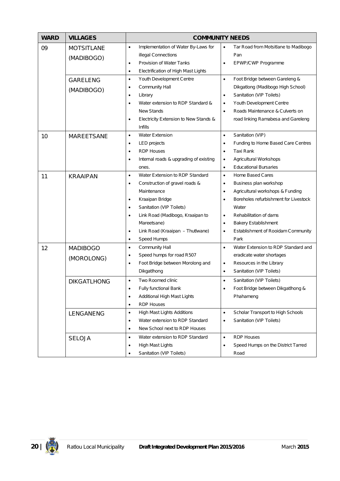| <b>WARD</b> | <b>VILLAGES</b>                                                  | <b>COMMUNITY NEEDS</b>                                                                                                                                                                                                                                                                                                                                                                            |                                                                                                                                                                                                                                                                                                                                                |  |  |  |  |
|-------------|------------------------------------------------------------------|---------------------------------------------------------------------------------------------------------------------------------------------------------------------------------------------------------------------------------------------------------------------------------------------------------------------------------------------------------------------------------------------------|------------------------------------------------------------------------------------------------------------------------------------------------------------------------------------------------------------------------------------------------------------------------------------------------------------------------------------------------|--|--|--|--|
| 09          | <b>MOTSITLANE</b><br>(MADIBOGO)<br><b>GARELENG</b><br>(MADIBOGO) | Implementation of Water By-Laws for<br>$\bullet$<br>illegal Connections<br>Provision of Water Tanks<br>$\bullet$<br>Electrification of High Mast Lights<br>$\bullet$<br>Youth Development Centre<br>$\bullet$<br>Community Hall<br>$\bullet$<br>Library<br>$\bullet$<br>Water extension to RDP Standard &<br>$\bullet$<br><b>New Stands</b><br>Electricity Extension to New Stands &<br>$\bullet$ | Tar Road from Motsitlane to Madibogo<br>$\bullet$<br>Pan<br><b>EPWP/CWP Programme</b><br>٠<br>Foot Bridge between Gareleng &<br>$\bullet$<br>Dikgatlong (Madibogo High School)<br>Sanitation (VIP Toilets)<br>$\bullet$<br>Youth Development Centre<br>٠<br>Roads Maintenance & Culverts on<br>$\bullet$<br>road linking Ramabesa and Gareleng |  |  |  |  |
| 10          | <b>MAREETSANE</b>                                                | <b>Infills</b><br><b>Water Extension</b><br>$\bullet$<br><b>LED</b> projects<br>$\bullet$<br><b>RDP Houses</b><br>$\bullet$<br>Internal roads & upgrading of existing<br>$\bullet$<br>ones.                                                                                                                                                                                                       | Sanitation (VIP)<br>$\bullet$<br>Funding to Home Based Care Centres<br>$\bullet$<br>Taxi Rank<br>٠<br>Agricultural Workshops<br>٠<br><b>Educational Bursaries</b><br>$\bullet$                                                                                                                                                                 |  |  |  |  |
| 11          | <b>KRAAIPAN</b>                                                  | Water Extension to RDP Standard<br>$\bullet$<br>Construction of gravel roads &<br>$\bullet$<br>Maintenance<br>Kraaipan Bridge<br>$\bullet$<br>Sanitation (VIP Toilets)<br>$\bullet$<br>Link Road (Madibogo, Kraaipan to<br>$\bullet$<br>Mareetsane)<br>Link Road (Kraaipan - Thutlwane)<br>$\bullet$<br>Speed Humps<br>$\bullet$                                                                  | <b>Home Based Cares</b><br>$\bullet$<br>Business plan workshop<br>٠<br>Agricultural workshops & Funding<br>$\bullet$<br>Boreholes refurbishment for Livestock<br>$\bullet$<br>Water<br>Rehabilitation of dams<br>$\bullet$<br><b>Bakery Establishment</b><br>٠<br>Establishment of Rooidam Community<br>٠<br>Park                              |  |  |  |  |
| 12          | <b>MADIBOGO</b><br>(MOROLONG)<br><b>DIKGATLHONG</b>              | Community Hall<br>$\bullet$<br>Speed humps for road R507<br>$\bullet$<br>Foot Bridge between Morolong and<br>$\bullet$<br>Dikgatlhong<br>Two Roomed clinic<br>$\bullet$<br>Fully functional Bank<br>Additional High Mast Lights<br>$\bullet$<br><b>RDP Houses</b><br>$\bullet$                                                                                                                    | Water Extension to RDP Standard and<br>$\bullet$<br>eradicate water shortages<br>Resources in the Library<br>$\bullet$<br>Sanitation (VIP Toilets)<br>$\bullet$<br>Sanitation (VIP Toilets)<br>$\bullet$<br>Foot Bridge between Dikgatlhong &<br>Phahameng                                                                                     |  |  |  |  |
|             | LENGANENG<br><b>SELOJA</b>                                       | <b>High Mast Lights Additions</b><br>$\bullet$<br>Water extension to RDP Standard<br>$\bullet$<br>New School next to RDP Houses<br>$\bullet$<br>Water extension to RDP Standard<br>$\bullet$<br>High Mast Lights<br>$\bullet$<br>Sanitation (VIP Toilets)<br>$\bullet$                                                                                                                            | Scholar Transport to High Schools<br>$\bullet$<br>Sanitation (VIP Toilets)<br>٠<br><b>RDP Houses</b><br>$\bullet$<br>Speed Humps on the District Tarred<br>٠<br>Road                                                                                                                                                                           |  |  |  |  |

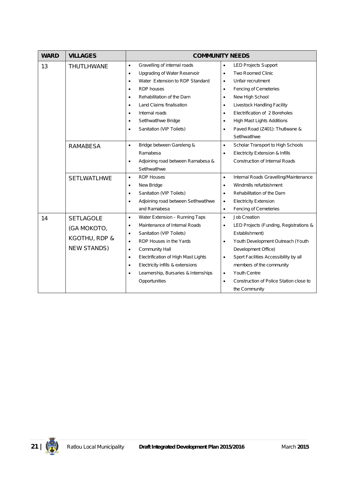| <b>WARD</b> | <b>VILLAGES</b>    | <b>COMMUNITY NEEDS</b>                            |                                                      |  |  |  |  |
|-------------|--------------------|---------------------------------------------------|------------------------------------------------------|--|--|--|--|
| 13          | THUTLHWANE         | Gravelling of internal roads<br>$\bullet$         | <b>LED Projects Support</b><br>$\bullet$             |  |  |  |  |
|             |                    | Upgrading of Water Reservoir<br>$\bullet$         | Two Roomed Clinic<br>$\bullet$                       |  |  |  |  |
|             |                    | Water Extension to RDP Standard<br>$\bullet$      | Unfair recruitment<br>$\bullet$                      |  |  |  |  |
|             |                    | <b>RDP</b> houses<br>$\bullet$                    | Fencing of Cemeteries<br>$\bullet$                   |  |  |  |  |
|             |                    | Rehabilitation of the Dam<br>$\bullet$            | New High School<br>$\bullet$                         |  |  |  |  |
|             |                    | Land Claims finalisation<br>$\bullet$             | Livestock Handling Facility<br>$\bullet$             |  |  |  |  |
|             |                    | Internal roads<br>$\bullet$                       | Electrification of 2 Boreholes<br>$\bullet$          |  |  |  |  |
|             |                    | SetIhwatIhwe Bridge<br>$\bullet$                  | High Mast Lights Additions<br>$\bullet$              |  |  |  |  |
|             |                    | Sanitation (VIP Toilets)<br>$\bullet$             | Paved Road (Z401): Thutlwane &<br>$\bullet$          |  |  |  |  |
|             |                    |                                                   | SetIhwatIhwe                                         |  |  |  |  |
|             | <b>RAMABESA</b>    | Bridge between Gareleng &<br>$\bullet$            | Scholar Transport to High Schools<br>$\bullet$       |  |  |  |  |
|             |                    | Ramabesa                                          | Electricity Extension & Infills<br>$\bullet$         |  |  |  |  |
|             |                    | Adjoining road between Ramabesa &<br>$\bullet$    | <b>Construction of Internal Roads</b>                |  |  |  |  |
|             |                    | SetIhwatIhwe                                      |                                                      |  |  |  |  |
|             | <b>SETLWATLHWE</b> | <b>RDP Houses</b><br>$\bullet$                    | Internal Roads Gravelling/Maintenance<br>$\bullet$   |  |  |  |  |
|             |                    | New Bridge<br>$\bullet$                           | Windmills refurbishment<br>$\bullet$                 |  |  |  |  |
|             |                    | Sanitation (VIP Toilets)<br>$\bullet$             | Rehabilitation of the Dam<br>$\bullet$               |  |  |  |  |
|             |                    | Adjoining road between SetIhwatIhwe<br>$\bullet$  | <b>Electricity Extension</b><br>$\bullet$            |  |  |  |  |
|             |                    | and Ramabesa                                      | Fencing of Cemeteries<br>$\bullet$                   |  |  |  |  |
| 14          | <b>SETLAGOLE</b>   | Water Extension - Running Taps<br>$\bullet$       | <b>Job Creation</b><br>$\bullet$                     |  |  |  |  |
|             | (GA MOKOTO,        | Maintenance of Internal Roads<br>$\bullet$        | LED Projects (Funding, Registrations &<br>$\bullet$  |  |  |  |  |
|             |                    | Sanitation (VIP Toilets)<br>$\bullet$             | Establishment)                                       |  |  |  |  |
|             | KGOTHU, RDP &      | RDP Houses in the Yards<br>$\bullet$              | Youth Development Outreach (Youth<br>$\bullet$       |  |  |  |  |
|             | <b>NEW STANDS)</b> | Community Hall<br>$\bullet$                       | Development Office)                                  |  |  |  |  |
|             |                    | Electrification of High Mast Lights<br>$\bullet$  | Sport Facilities Accessibility by all<br>$\bullet$   |  |  |  |  |
|             |                    | Electricity infills & extensions<br>$\bullet$     | members of the community                             |  |  |  |  |
|             |                    | Learnership, Bursaries & Internships<br>$\bullet$ | Youth Centre<br>$\bullet$                            |  |  |  |  |
|             |                    | Opportunities                                     | Construction of Police Station close to<br>$\bullet$ |  |  |  |  |
|             |                    |                                                   | the Community                                        |  |  |  |  |

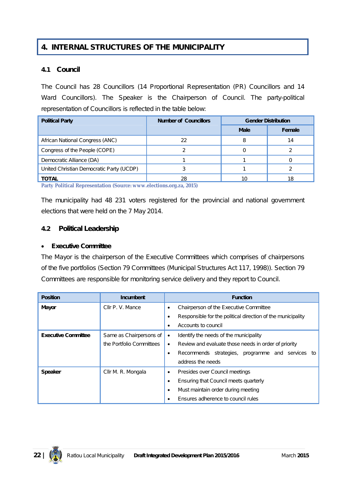# **4. INTERNAL STRUCTURES OF THE MUNICIPALITY**

### **4.1 Council**

The Council has 28 Councillors (14 Proportional Representation (PR) Councillors and 14 Ward Councillors). The Speaker is the Chairperson of Council. The party-political representation of Councillors is reflected in the table below:

| <b>Political Party</b>                   | <b>Number of Councillors</b> | <b>Gender Distribution</b> |        |  |
|------------------------------------------|------------------------------|----------------------------|--------|--|
|                                          |                              | <b>Male</b>                | Female |  |
| African National Congress (ANC)          | 22                           | 8                          | 14     |  |
| Congress of the People (COPE)            |                              |                            |        |  |
| Democratic Alliance (DA)                 |                              |                            |        |  |
| United Christian Democratic Party (UCDP) |                              |                            |        |  |
| TOTAL                                    | 28                           | 10                         | 18     |  |

**Party Political Representation (Source: www.elections.org.za, 2015)**

The municipality had 48 231 voters registered for the provincial and national government elections that were held on the 7 May 2014.

# **4.2 Political Leadership**

### **Executive Committee**

The Mayor is the chairperson of the Executive Committees which comprises of chairpersons of the five portfolios (Section 79 Committees (Municipal Structures Act 117, 1998)). Section 79 Committees are responsible for monitoring service delivery and they report to Council.

| <b>Position</b>            | <b>Incumbent</b>         | <b>Function</b>                                             |  |
|----------------------------|--------------------------|-------------------------------------------------------------|--|
| <b>Mayor</b>               | Cllr P. V. Mance         | Chairperson of the Executive Committee                      |  |
|                            |                          | Responsible for the political direction of the municipality |  |
|                            |                          | Accounts to council                                         |  |
| <b>Executive Committee</b> | Same as Chairpersons of  | Identify the needs of the municipality                      |  |
|                            | the Portfolio Committees | Review and evaluate those needs in order of priority        |  |
|                            |                          | Recommends strategies, programme and services to            |  |
|                            |                          | address the needs                                           |  |
| <b>Speaker</b>             | Cllr M. R. Mongala       | Presides over Council meetings                              |  |
|                            |                          | Ensuring that Council meets quarterly                       |  |
|                            |                          | Must maintain order during meeting                          |  |
|                            |                          | Ensures adherence to council rules                          |  |

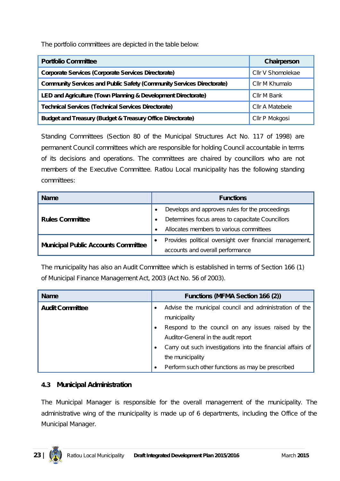The portfolio committees are depicted in the table below:

| <b>Portfolio Committee</b>                                                   | Chairperson       |
|------------------------------------------------------------------------------|-------------------|
| <b>Corporate Services (Corporate Services Directorate)</b>                   | Cllr V Shomolekae |
| <b>Community Services and Public Safety (Community Services Directorate)</b> | Cllr M Khumalo    |
| LED and Agriculture (Town Planning & Development Directorate)                | Cllr M Bank       |
| <b>Technical Services (Technical Services Directorate)</b>                   | Cllr A Matebele   |
| <b>Budget and Treasury (Budget &amp; Treasury Office Directorate)</b>        | Cllr P Mokgosi    |

Standing Committees (Section 80 of the Municipal Structures Act No. 117 of 1998) are permanent Council committees which are responsible for holding Council accountable in terms of its decisions and operations. The committees are chaired by councillors who are not members of the Executive Committee. Ratlou Local municipality has the following standing committees:

| <b>Name</b>                                |  | <b>Functions</b>                                        |  |
|--------------------------------------------|--|---------------------------------------------------------|--|
| <b>Rules Committee</b>                     |  | Develops and approves rules for the proceedings         |  |
|                                            |  | Determines focus areas to capacitate Councillors        |  |
|                                            |  | Allocates members to various committees                 |  |
| <b>Municipal Public Accounts Committee</b> |  | Provides political oversight over financial management, |  |
|                                            |  | accounts and overall performance                        |  |

The municipality has also an Audit Committee which is established in terms of Section 166 (1) of Municipal Finance Management Act, 2003 (Act No. 56 of 2003).

| <b>Name</b>            | <b>Functions (MFMA Section 166 (2))</b>                |                                                             |  |
|------------------------|--------------------------------------------------------|-------------------------------------------------------------|--|
| <b>Audit Committee</b> | Advise the municipal council and administration of the |                                                             |  |
|                        | municipality                                           |                                                             |  |
|                        |                                                        | Respond to the council on any issues raised by the          |  |
|                        |                                                        | Auditor-General in the audit report                         |  |
|                        |                                                        | Carry out such investigations into the financial affairs of |  |
|                        |                                                        | the municipality                                            |  |
|                        |                                                        | Perform such other functions as may be prescribed           |  |

### **4.3 Municipal Administration**

The Municipal Manager is responsible for the overall management of the municipality. The administrative wing of the municipality is made up of 6 departments, including the Office of the Municipal Manager.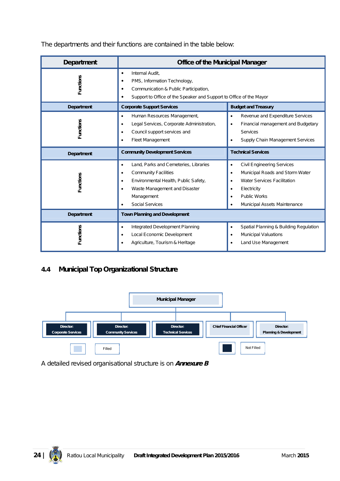The departments and their functions are contained in the table below:

| <b>Department</b> | <b>Office of the Municipal Manager</b>                                                                                                                                                                                                    |                                                                                                                                                                                                                                      |  |  |
|-------------------|-------------------------------------------------------------------------------------------------------------------------------------------------------------------------------------------------------------------------------------------|--------------------------------------------------------------------------------------------------------------------------------------------------------------------------------------------------------------------------------------|--|--|
| Functions         | Internal Audit,<br>$\bullet$<br>PMS, Information Technology,<br>٠<br>Communication & Public Participation,<br>$\bullet$<br>Support to Office of the Speaker and Support to Office of the Mayor                                            |                                                                                                                                                                                                                                      |  |  |
| Department        | <b>Corporate Support Services</b>                                                                                                                                                                                                         | <b>Budget and Treasury</b>                                                                                                                                                                                                           |  |  |
| <b>Functions</b>  | Revenue and Expenditure Services<br>$\bullet$<br>Financial management and Budgetary<br>$\bullet$<br><b>Services</b><br>Supply Chain Management Services<br>٠                                                                              |                                                                                                                                                                                                                                      |  |  |
| <b>Department</b> | <b>Community Development Services</b>                                                                                                                                                                                                     | <b>Technical Services</b>                                                                                                                                                                                                            |  |  |
| <b>Functions</b>  | Land, Parks and Cemeteries, Libraries<br>$\bullet$<br><b>Community Facilities</b><br>$\bullet$<br>Environmental Health, Public Safety,<br>$\bullet$<br>Waste Management and Disaster<br>$\bullet$<br>Management<br><b>Social Services</b> | <b>Civil Engineering Services</b><br>$\bullet$<br>Municipal Roads and Storm Water<br>$\bullet$<br><b>Water Services Facilitation</b><br>$\bullet$<br>Electricity<br><b>Public Works</b><br>$\bullet$<br>Municipal Assets Maintenance |  |  |
| Department        | <b>Town Planning and Development</b>                                                                                                                                                                                                      |                                                                                                                                                                                                                                      |  |  |
| <b>Functions</b>  | Integrated Development Planning<br>$\bullet$<br>Local Economic Development<br>$\bullet$<br>Agriculture, Tourism & Heritage<br>$\bullet$                                                                                                   | Spatial Planning & Building Regulation<br>$\bullet$<br><b>Municipal Valuations</b><br>$\bullet$<br>Land Use Management                                                                                                               |  |  |

# **4.4 Municipal Top Organizational Structure**



A detailed revised organisational structure is on *Annexure B*

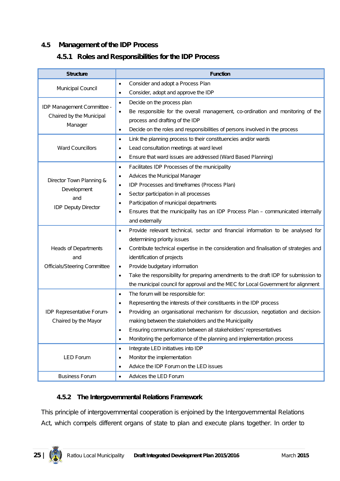# **4.5 Management of the IDP Process**

### **4.5.1 Roles and Responsibilities for the IDP Process**

| <b>Structure</b>                                       | <b>Function</b>                                                                                     |
|--------------------------------------------------------|-----------------------------------------------------------------------------------------------------|
|                                                        | Consider and adopt a Process Plan<br>$\bullet$                                                      |
| Municipal Council                                      | Consider, adopt and approve the IDP<br>$\bullet$                                                    |
|                                                        | Decide on the process plan<br>$\bullet$                                                             |
| IDP Management Committee -<br>Chaired by the Municipal | Be responsible for the overall management, co-ordination and monitoring of the<br>$\bullet$         |
| Manager                                                | process and drafting of the IDP                                                                     |
|                                                        | Decide on the roles and responsibilities of persons involved in the process<br>$\bullet$            |
|                                                        | Link the planning process to their constituencies and/or wards<br>$\bullet$                         |
| <b>Ward Councillors</b>                                | Lead consultation meetings at ward level<br>$\bullet$                                               |
|                                                        | Ensure that ward issues are addressed (Ward Based Planning)<br>$\bullet$                            |
|                                                        | Facilitates IDP Processes of the municipality<br>$\bullet$                                          |
| Director Town Planning &                               | Advices the Municipal Manager<br>$\bullet$                                                          |
| Development                                            | IDP Processes and timeframes (Process Plan)<br>$\bullet$                                            |
| and                                                    | Sector participation in all processes<br>$\bullet$                                                  |
| <b>IDP Deputy Director</b>                             | Participation of municipal departments<br>٠                                                         |
|                                                        | Ensures that the municipality has an IDP Process Plan - communicated internally<br>$\bullet$        |
|                                                        | and externally                                                                                      |
|                                                        | Provide relevant technical, sector and financial information to be analysed for<br>$\bullet$        |
|                                                        | determining priority issues                                                                         |
| <b>Heads of Departments</b>                            | Contribute technical expertise in the consideration and finalisation of strategies and<br>$\bullet$ |
| and                                                    | identification of projects                                                                          |
| Officials/Steering Committee                           | Provide budgetary information<br>$\bullet$                                                          |
|                                                        | Take the responsibility for preparing amendments to the draft IDP for submission to<br>$\bullet$    |
|                                                        | the municipal council for approval and the MEC for Local Government for alignment                   |
|                                                        | The forum will be responsible for:<br>$\bullet$                                                     |
|                                                        | Representing the interests of their constituents in the IDP process<br>$\bullet$                    |
| IDP Representative Forum-                              | Providing an organisational mechanism for discussion, negotiation and decision-<br>$\bullet$        |
| Chaired by the Mayor                                   | making between the stakeholders and the Municipality                                                |
|                                                        | Ensuring communication between all stakeholders' representatives<br>٠                               |
|                                                        | Monitoring the performance of the planning and implementation process<br>$\bullet$                  |
|                                                        | Integrate LED initiatives into IDP<br>$\bullet$                                                     |
| <b>LED Forum</b>                                       | Monitor the implementation<br>٠                                                                     |
|                                                        | Advice the IDP Forum on the LED issues<br>$\bullet$                                                 |
| <b>Business Forum</b>                                  | Advices the LED Forum<br>$\bullet$                                                                  |

### **4.5.2 The Intergovernmental Relations Framework**

This principle of intergovernmental cooperation is enjoined by the Intergovernmental Relations Act, which compels different organs of state to plan and execute plans together. In order to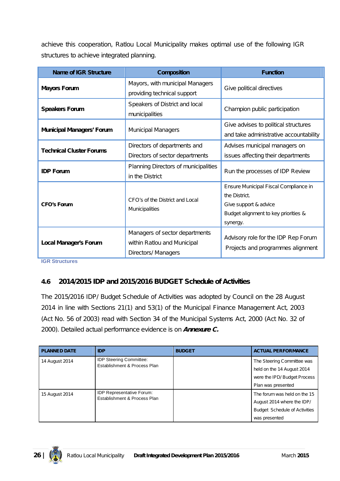achieve this cooperation, Ratlou Local Municipality makes optimal use of the following IGR structures to achieve integrated planning.

| <b>Name of IGR Structure</b>     | <b>Composition</b>                                                                   | <b>Function</b>                                                                                                                     |  |
|----------------------------------|--------------------------------------------------------------------------------------|-------------------------------------------------------------------------------------------------------------------------------------|--|
| <b>Mayors Forum</b>              | Mayors, with municipal Managers<br>providing technical support                       | Give political directives                                                                                                           |  |
| <b>Speakers Forum</b>            | Speakers of District and local<br>municipalities                                     | Champion public participation                                                                                                       |  |
| <b>Municipal Managers' Forum</b> | <b>Municipal Managers</b>                                                            | Give advises to political structures<br>and take administrative accountability                                                      |  |
| <b>Technical Cluster Forums</b>  | Directors of departments and<br>Directors of sector departments                      | Advises municipal managers on<br>issues affecting their departments                                                                 |  |
| <b>IDP Forum</b>                 | Planning Directors of municipalities<br>in the District                              | Run the processes of IDP Review                                                                                                     |  |
| <b>CFO's Forum</b>               | CFO's of the District and Local<br>Municipalities                                    | Ensure Municipal Fiscal Compliance in<br>the District.<br>Give support & advice<br>Budget alignment to key priorities &<br>synergy. |  |
| <b>Local Manager's Forum</b>     | Managers of sector departments<br>within Ratlou and Municipal<br>Directors/ Managers | Advisory role for the IDP Rep Forum<br>Projects and programmes alignment                                                            |  |

**IGR Structures**

# **4.6 2014/2015 IDP and 2015/2016 BUDGET Schedule of Activities**

The 2015/2016 IDP/ Budget Schedule of Activities was adopted by Council on the 28 August 2014 in line with Sections 21(1) and 53(1) of the Municipal Finance Management Act, 2003 (Act No. 56 of 2003) read with Section 34 of the Municipal Systems Act, 2000 (Act No. 32 of 2000). Detailed actual performance evidence is on *Annexure C.*

| <b>PLANNED DATE</b> | <b>IDP</b>                                                       | <b>BUDGET</b> | <b>ACTUAL PERFORMANCE</b>                                                                                           |
|---------------------|------------------------------------------------------------------|---------------|---------------------------------------------------------------------------------------------------------------------|
| 14 August 2014      | <b>IDP Steering Committee:</b><br>Establishment & Process Plan   |               | The Steering Committee was<br>held on the 14 August 2014<br>were the IPD/ Budget Process<br>Plan was presented      |
| 15 August 2014      | <b>IDP Representative Forum:</b><br>Establishment & Process Plan |               | The forum was held on the 15<br>August 2014 where the IDP/<br><b>Budget Schedule of Activities</b><br>was presented |

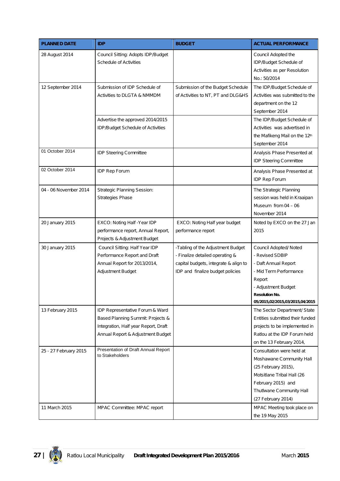| <b>PLANNED DATE</b>   | <b>IDP</b>                                                                                                                                        | <b>BUDGET</b>                                                                                                                                     | <b>ACTUAL PERFORMANCE</b>                                                                                                                                                                |
|-----------------------|---------------------------------------------------------------------------------------------------------------------------------------------------|---------------------------------------------------------------------------------------------------------------------------------------------------|------------------------------------------------------------------------------------------------------------------------------------------------------------------------------------------|
| 28 August 2014        | Council Sitting: Adopts IDP/Budget<br><b>Schedule of Activities</b>                                                                               |                                                                                                                                                   | Council Adopted the<br>IDP/Budget Schedule of<br>Activities as per Resolution<br>No.: 50/2014                                                                                            |
| 12 September 2014     | Submission of IDP Schedule of<br>Activities to DLGTA & NMMDM                                                                                      | Submission of the Budget Schedule<br>of Activities to NT, PT and DLG&HS                                                                           | The IDP/Budget Schedule of<br>Activities was submitted to the<br>department on the 12<br>September 2014                                                                                  |
|                       | Advertise the approved 2014/2015<br>IDP/Budget Schedule of Activities                                                                             |                                                                                                                                                   | The IDP/Budget Schedule of<br>Activities was advertised in<br>the Mafikeng Mail on the 12th<br>September 2014                                                                            |
| 01 October 2014       | <b>IDP Steering Committee</b>                                                                                                                     |                                                                                                                                                   | Analysis Phase Presented at<br><b>IDP Steering Committee</b>                                                                                                                             |
| 02 October 2014       | IDP Rep Forum                                                                                                                                     |                                                                                                                                                   | Analysis Phase Presented at<br><b>IDP Rep Forum</b>                                                                                                                                      |
| 04 - 06 November 2014 | <b>Strategic Planning Session:</b><br>Strategies Phase                                                                                            |                                                                                                                                                   | The Strategic Planning<br>session was held in Kraaipan<br>Museum from $04 - 06$<br>November 2014                                                                                         |
| 20 January 2015       | EXCO: Noting Half - Year IDP<br>performance report, Annual Report,<br>Projects & Adjustment Budget                                                | EXCO: Noting Half year budget<br>performance report                                                                                               | Noted by EXCO on the 27 Jan<br>2015                                                                                                                                                      |
| 30 January 2015       | Council Sitting: Half Year IDP<br>Performance Report and Draft<br>Annual Report for 2013/2014,<br>Adjustment Budget                               | -Tabling of the Adjustment Budget<br>- Finalize detailed operating &<br>capital budgets, integrate & align to<br>IDP and finalize budget policies | Council Adopted/ Noted<br>- Revised SDBIP<br>- Daft Annual Report<br>- Mid Term Performance<br>Report<br>- Adjustment Budget<br><b>Resolution No.</b><br>05/2015,02/2015,03/2015,04/2015 |
| 13 February 2015      | IDP Representative Forum & Ward<br>Based Planning Summit: Projects &<br>Integration, Half year Report, Draft<br>Annual Report & Adjustment Budget |                                                                                                                                                   | The Sector Department/ State<br>Entities submitted their funded<br>projects to be implemented in<br>Ratlou at the IDP Forum held<br>on the 13 February 2014,                             |
| 25 - 27 February 2015 | Presentation of Draft Annual Report<br>to Stakeholders                                                                                            |                                                                                                                                                   | Consultation were held at<br>Moshawane Community Hall<br>(25 February 2015),<br>Motsitlane Tribal Hall (26<br>February 2015) and<br>Thutlwane Community Hall<br>(27 February 2014)       |
| 11 March 2015         | MPAC Committee: MPAC report                                                                                                                       |                                                                                                                                                   | MPAC Meeting took place on<br>the 19 May 2015                                                                                                                                            |

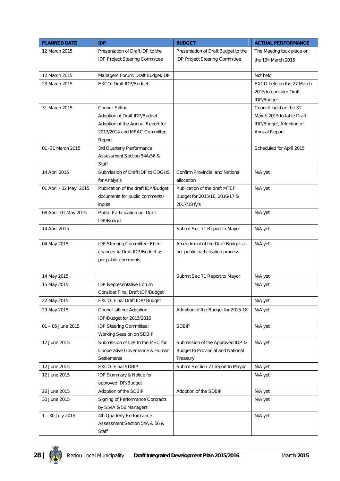| <b>PLANNED DATE</b>    | <b>IDP</b>                          | <b>BUDGET</b>                            | <b>ACTUAL PERFORMANCE</b> |
|------------------------|-------------------------------------|------------------------------------------|---------------------------|
| 12 March 2015          | Presentation of Draft IDP to the    | Presentation of Draft Budget to the      | The Meeting took place on |
|                        | IDP Project Steering Committee      | IDP Project Steering Committee           | the 13th March 2015       |
|                        |                                     |                                          |                           |
| 12 March 2015          | Managers Forum: Draft Budget/IDP    |                                          | Not held                  |
| 23 March 2015          | EXCO: Draft IDP/Budget              |                                          | EXCO held on the 27 March |
|                        |                                     |                                          | 2015 to consider Draft    |
|                        |                                     |                                          | IDP/Budget                |
| 31 March 2015          | Council Sitting:                    |                                          | Council held on the 31    |
|                        | Adoption of Draft IDP/Budget        |                                          | March 2015 to table Draft |
|                        | Adoption of the Annual Report for   |                                          | IDP/Budget, Adoption of   |
|                        | 2013/2014 and MPAC Committee        |                                          | Annual Report             |
|                        | Report                              |                                          |                           |
| 01 - 31 March 2015     | 3rd Quarterly Performance           |                                          | Scheduled for April 2015  |
|                        | Assessment Section 54A/56 &         |                                          |                           |
|                        | Staff                               |                                          |                           |
| 14 April 2015          | Submission of Draft IDP to COGHS    | Confirm Provincial and National          | N/A yet                   |
|                        | for Analysis                        | allocation                               |                           |
| 01 April - 02 May 2015 | Publication of the draft IDP/Budget | Publication of the draft MTEF            | N/A yet                   |
|                        | documents for public comments/      | Budget for 2015/16, 2016/17 &            |                           |
|                        | inputs                              | 2017/18 fy's                             |                           |
| 08 April- 01 May 2015  | Public Participation on Draft       |                                          | N/A yet                   |
|                        | IDP/Budget                          |                                          |                           |
| 14 April 2015          |                                     | Submit Sec 71 Report to Mayor            | N/A yet                   |
|                        |                                     |                                          |                           |
| 04 May 2015            | IDP Steering Committee: Effect      | Amendment of the Draft Budget as         | N/A yet                   |
|                        | changes to Draft IDP/Budget as      | per public participation process         |                           |
|                        | per public comments.                |                                          |                           |
|                        |                                     |                                          |                           |
| 14 May 2015            |                                     | Submit Sec 71 Report to Mayor            | N/A yet                   |
| 15 May 2015            | IDP Representative Forum:           |                                          | N/A yet                   |
|                        | Consider Final Draft IDP/Budget     |                                          |                           |
| 22 May 2015            | EXCO: Final Draft IDP/ Budget       |                                          | N/A yet                   |
| 29 May 2015            | Council sitting: Adoption           | Adoption of the Budget for 2015-18       | N/A yet                   |
|                        | IDP/Budget for 2015/2016            |                                          |                           |
| 01 - 05 June 2015      | IDP Steering Committee:             | <b>SDBIP</b>                             | N/A yet                   |
|                        | Working Session on SDBIP            |                                          |                           |
| 12 June 2015           | Submission of IDP to the MEC for    | Submission of the Approved IDP &         | N/A yet                   |
|                        | Cooperative Governance & Human      | <b>Budget to Provincial and National</b> |                           |
|                        | <b>Settlements</b>                  | Treasury                                 |                           |
| 12 June 2015           | <b>EXCO: Final SDBIP</b>            | Submit Section 71 report to Mayor        | N/A yet                   |
| 12 June 2015           | IDP Summary & Notice for            |                                          | N/A yet                   |
|                        | approved IDP/Budget                 |                                          |                           |
| 26 June 2015           | Adoption of the SDBIP               | Adoption of the SDBIP                    | N/A yet                   |
| 30 June 2015           | Signing of Performance Contracts    |                                          | N/A yet                   |
|                        | by S54A & 56 Managers               |                                          |                           |
| 1 - 30 July 2015       | 4th Quarterly Performance           |                                          | N/A yet                   |
|                        | Assessment Section 54A & 56 &       |                                          |                           |
|                        | Staff                               |                                          |                           |

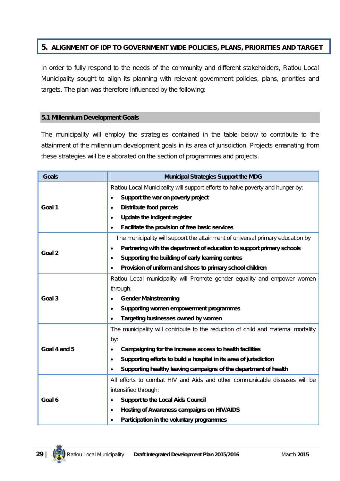# **5. ALIGNMENT OF IDP TO GOVERNMENT WIDE POLICIES, PLANS, PRIORITIES AND TARGET**

In order to fully respond to the needs of the community and different stakeholders, Ratlou Local Municipality sought to align its planning with relevant government policies, plans, priorities and targets. The plan was therefore influenced by the following:

#### **5.1 Millennium Development Goals**

The municipality will employ the strategies contained in the table below to contribute to the attainment of the millennium development goals in its area of jurisdiction. Projects emanating from these strategies will be elaborated on the section of programmes and projects.

| <b>Goals</b> | <b>Municipal Strategies Support the MDG</b>                                         |  |  |
|--------------|-------------------------------------------------------------------------------------|--|--|
|              | Ratlou Local Municipality will support efforts to halve poverty and hunger by:      |  |  |
|              | Support the war on poverty project                                                  |  |  |
| Goal 1       | <b>Distribute food parcels</b><br>$\bullet$                                         |  |  |
|              | Update the indigent register<br>$\bullet$                                           |  |  |
|              | Facilitate the provision of free basic services                                     |  |  |
|              | The municipality will support the attainment of universal primary education by      |  |  |
| Goal 2       | Partnering with the department of education to support primary schools<br>$\bullet$ |  |  |
|              | Supporting the building of early learning centres<br>$\bullet$                      |  |  |
|              | Provision of uniform and shoes to primary school children<br>$\bullet$              |  |  |
|              | Ratlou Local municipality will Promote gender equality and empower women            |  |  |
|              | through:                                                                            |  |  |
| Goal 3       | <b>Gender Mainstreaming</b>                                                         |  |  |
|              | Supporting women empowerment programmes<br>$\bullet$                                |  |  |
|              | Targeting businesses owned by women                                                 |  |  |
|              | The municipality will contribute to the reduction of child and maternal mortality   |  |  |
|              | by:                                                                                 |  |  |
| Goal 4 and 5 | Campaigning for the increase access to health facilities<br>٠                       |  |  |
|              | Supporting efforts to build a hospital in its area of jurisdiction<br>$\bullet$     |  |  |
|              | Supporting healthy leaving campaigns of the department of health                    |  |  |
|              | All efforts to combat HIV and Aids and other communicable diseases will be          |  |  |
|              | intensified through:                                                                |  |  |
| Goal 6       | <b>Support to the Local Aids Council</b>                                            |  |  |
|              | Hosting of Awareness campaigns on HIV/AIDS<br>$\bullet$                             |  |  |
|              | Participation in the voluntary programmes                                           |  |  |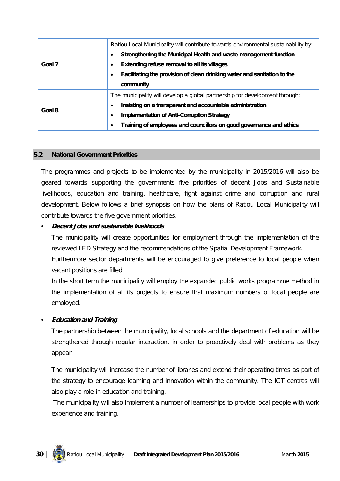|        | Ratlou Local Municipality will contribute towards environmental sustainability by: |  |  |
|--------|------------------------------------------------------------------------------------|--|--|
|        | Strengthening the Municipal Health and waste management function                   |  |  |
| Goal 7 | Extending refuse removal to all its villages                                       |  |  |
|        | Facilitating the provision of clean drinking water and sanitation to the           |  |  |
|        | community                                                                          |  |  |
|        | The municipality will develop a global partnership for development through:        |  |  |
| Goal 8 | Insisting on a transparent and accountable administration                          |  |  |
|        | <b>Implementation of Anti-Corruption Strategy</b><br>$\bullet$                     |  |  |
|        | Training of employees and councillors on good governance and ethics                |  |  |

#### **5.2 National Government Priorities**

The programmes and projects to be implemented by the municipality in 2015/2016 will also be geared towards supporting the governments five priorities of decent Jobs and Sustainable livelihoods, education and training, healthcare, fight against crime and corruption and rural development. Below follows a brief synopsis on how the plans of Ratlou Local Municipality will contribute towards the five government priorities.

### • *Decent Jobs and sustainable livelihoods*

The municipality will create opportunities for employment through the implementation of the reviewed LED Strategy and the recommendations of the Spatial Development Framework.

Furthermore sector departments will be encouraged to give preference to local people when vacant positions are filled.

In the short term the municipality will employ the expanded public works programme method in the implementation of all its projects to ensure that maximum numbers of local people are employed.

### • *Education and Training*

The partnership between the municipality, local schools and the department of education will be strengthened through regular interaction, in order to proactively deal with problems as they appear.

The municipality will increase the number of libraries and extend their operating times as part of the strategy to encourage learning and innovation within the community. The ICT centres will also play a role in education and training.

The municipality will also implement a number of learnerships to provide local people with work experience and training.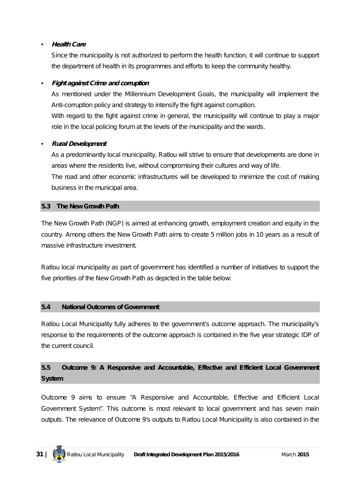# • *Health Care*

Since the municipality is not authorized to perform the health function, it will continue to support the department of health in its programmes and efforts to keep the community healthy.

# • *Fight against Crime and corruption*

As mentioned under the Millennium Development Goals, the municipality will implement the Anti-corruption policy and strategy to intensify the fight against corruption.

With regard to the fight against crime in general, the municipality will continue to play a major role in the local policing forum at the levels of the municipality and the wards.

# • *Rural Development*

As a predominantly local municipality, Ratlou will strive to ensure that developments are done in areas where the residents live, without compromising their cultures and way of life.

The road and other economic infrastructures will be developed to minimize the cost of making business in the municipal area.

### **5.3 The New Growth Path**

The New Growth Path (NGP) is aimed at enhancing growth, employment creation and equity in the country. Among others the New Growth Path aims to create 5 million jobs in 10 years as a result of massive infrastructure investment.

Ratlou local municipality as part of government has identified a number of initiatives to support the five priorities of the New Growth Path as depicted in the table below:

### **5.4 National Outcomes of Government**

Ratlou Local Municipality fully adheres to the government's outcome approach. The municipality's response to the requirements of the outcome approach is contained in the five year strategic IDP of the current council.

# **5.5 Outcome 9: A Responsive and Accountable, Effective and Efficient Local Government System**

Outcome 9 aims to ensure "A Responsive and Accountable, Effective and Efficient Local Government System". This outcome is most relevant to local government and has seven main outputs. The relevance of Outcome 9's outputs to Ratlou Local Municipality is also contained in the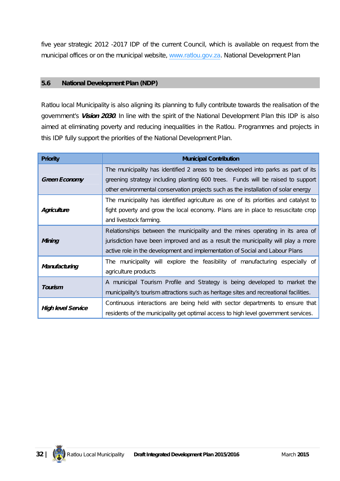five year strategic 2012 -2017 IDP of the current Council, which is available on request from the municipal offices or on the municipal website, www.ratlou.gov.za. National Development Plan

### **5.6 National Development Plan (NDP)**

Ratlou local Municipality is also aligning its planning to fully contribute towards the realisation of the government's *Vision 2030*. In line with the spirit of the National Development Plan this IDP is also aimed at eliminating poverty and reducing inequalities in the Ratlou. Programmes and projects in this IDP fully support the priorities of the National Development Plan.

| <b>Priority</b>           | <b>Municipal Contribution</b>                                                                                                                                                                                                                              |  |
|---------------------------|------------------------------------------------------------------------------------------------------------------------------------------------------------------------------------------------------------------------------------------------------------|--|
| <b>Green Economy</b>      | The municipality has identified 2 areas to be developed into parks as part of its<br>greening strategy including planting 600 trees. Funds will be raised to support<br>other environmental conservation projects such as the installation of solar energy |  |
| Agriculture               | The municipality has identified agriculture as one of its priorities and catalyst to<br>fight poverty and grow the local economy. Plans are in place to resuscitate crop<br>and livestock farming.                                                         |  |
| Mining                    | Relationships between the municipality and the mines operating in its area of<br>jurisdiction have been improved and as a result the municipality will play a more<br>active role in the development and implementation of Social and Labour Plans         |  |
| Manufacturing             | The municipality will explore the feasibility of manufacturing especially of<br>agriculture products                                                                                                                                                       |  |
| Tourism                   | A municipal Tourism Profile and Strategy is being developed to market the<br>municipality's tourism attractions such as heritage sites and recreational facilities.                                                                                        |  |
| <b>High level Service</b> | Continuous interactions are being held with sector departments to ensure that<br>residents of the municipality get optimal access to high level government services.                                                                                       |  |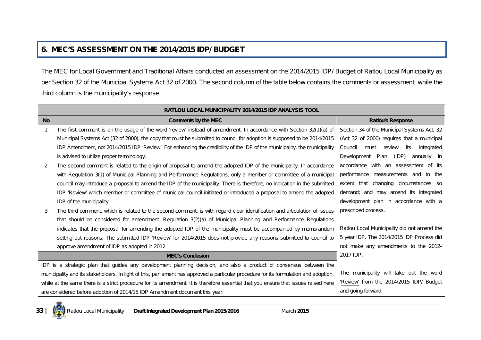# **6. MEC'S ASSESSMENT ON THE 2014/2015 IDP/ BUDGET**

The MEC for Local Government and Traditional Affairs conducted an assessment on the 2014/2015 IDP/ Budget of Ratlou Local Municipality as per Section 32 of the Municipal Systems Act 32 of 2000. The second column of the table below contains the comments or assessment, while the third column is the municipality's response.

|               | RATLOU LOCAL MUNICIPALITY 2014/2015 IDP ANALYSIS TOOL                                                                                 |                                                |  |  |
|---------------|---------------------------------------------------------------------------------------------------------------------------------------|------------------------------------------------|--|--|
| <b>No</b>     | <b>Comments by the MEC</b>                                                                                                            | <b>Ratlou's Response</b>                       |  |  |
|               | The first comment is on the usage of the word 'review' instead of amendment. In accordance with Section 32(1)(a) of                   | Section 34 of the Municipal Systems Act, 32    |  |  |
|               | Municipal Systems Act (32 of 2000), the copy that must be submitted to council for adoption is supposed to be 2014/2015               | (Act 32 of 2000) requires that a municipal     |  |  |
|               | IDP Amendment, not 2014/2015 IDP 'Review'. For enhancing the credibility of the IDP of the municipality, the municipality             | Integrated<br>Council<br>review<br>must<br>its |  |  |
|               | is advised to utilize proper terminology.                                                                                             | Development<br>Plan<br>(IDP)<br>annually in    |  |  |
| $\mathcal{P}$ | The second comment is related to the origin of proposal to amend the adopted IDP of the municipality. In accordance                   | accordance with an assessment of its           |  |  |
|               | with Regulation 3(1) of Municipal Planning and Performance Regulations, only a member or committee of a municipal                     | performance measurements and to the            |  |  |
|               | council may introduce a proposal to amend the IDP of the municipality. There is therefore, no indication in the submitted             | extent that changing circumstances so          |  |  |
|               | IDP 'Review' which member or committee of municipal council initiated or introduced a proposal to amend the adopted                   | demand; and may amend its integrated           |  |  |
|               | IDP of the municipality.                                                                                                              | development plan in accordance with a          |  |  |
| 3             | The third comment, which is related to the second comment, is with regard clear identification and articulation of issues             | prescribed process.                            |  |  |
|               | that should be considered for amendment. Regulation 3(2)(a) of Municipal Planning and Performance Regulations                         |                                                |  |  |
|               | indicates that the proposal for amending the adopted IDP of the municipality must be accompanied by memorandum                        | Ratlou Local Municipality did not amend the    |  |  |
|               | setting out reasons. The submitted IDP 'Review' for 2014/2015 does not provide any reasons submitted to council to                    | 5 year IDP. The 2014/2015 IDP Process did      |  |  |
|               | approve amendment of IDP as adopted in 2012.                                                                                          | not make any amendments to the 2012-           |  |  |
|               | <b>MEC's Conclusion</b>                                                                                                               | 2017 IDP.                                      |  |  |
|               | IDP is a strategic plan that guides any development planning decision, and also a product of consensus between the                    |                                                |  |  |
|               | municipality and its stakeholders. In light of this, parliament has approved a particular procedure for its formulation and adoption, | The municipality will take out the word        |  |  |
|               | while at the same there is a strict procedure for its amendment. It is therefore essential that you ensure that issues raised here    | 'Review' from the 2014/2015 IDP/ Budget        |  |  |
|               | and going forward.<br>are considered before adoption of 2014/15 IDP Amendment document this year.                                     |                                                |  |  |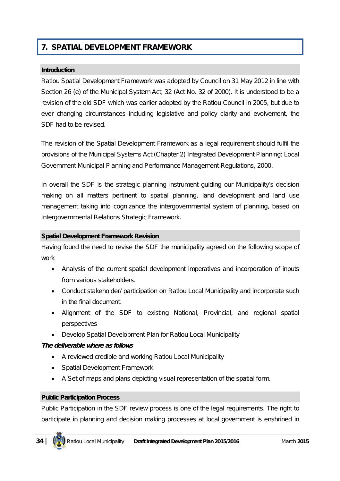# **7. SPATIAL DEVELOPMENT FRAMEWORK**

#### **Introduction**

Ratlou Spatial Development Framework was adopted by Council on 31 May 2012 in line with Section 26 (e) of the Municipal System Act, 32 (Act No. 32 of 2000). It is understood to be a revision of the old SDF which was earlier adopted by the Ratlou Council in 2005, but due to ever changing circumstances including legislative and policy clarity and evolvement, the SDF had to be revised.

The revision of the Spatial Development Framework as a legal requirement should fulfil the provisions of the Municipal Systems Act (Chapter 2) Integrated Development Planning: Local Government Municipal Planning and Performance Management Regulations, 2000.

In overall the SDF is the strategic planning instrument guiding our Municipality's decision making on all matters pertinent to spatial planning, land development and land use management taking into cognizance the intergovernmental system of planning, based on Intergovernmental Relations Strategic Framework.

#### **Spatial Development Framework Revision**

Having found the need to revise the SDF the municipality agreed on the following scope of work

- Analysis of the current spatial development imperatives and incorporation of inputs from various stakeholders.
- Conduct stakeholder/ participation on Ratlou Local Municipality and incorporate such in the final document.
- Alignment of the SDF to existing National, Provincial, and regional spatial perspectives
- Develop Spatial Development Plan for Ratlou Local Municipality

### *The deliverable where as follows*

- A reviewed credible and working Ratlou Local Municipality
- Spatial Development Framework
- A Set of maps and plans depicting visual representation of the spatial form.

#### **Public Participation Process**

Public Participation in the SDF review process is one of the legal requirements. The right to participate in planning and decision making processes at local government is enshrined in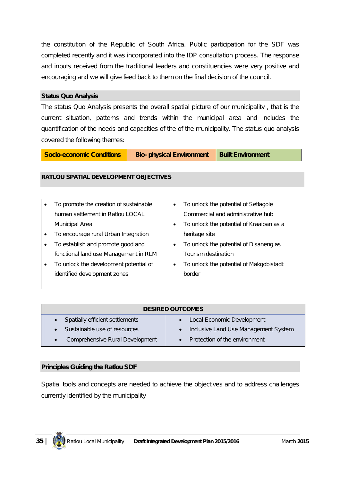the constitution of the Republic of South Africa. Public participation for the SDF was completed recently and it was incorporated into the IDP consultation process. The response and inputs received from the traditional leaders and constituencies were very positive and encouraging and we will give feed back to them on the final decision of the council.

#### **Status Quo Analysis**

The status Quo Analysis presents the overall spatial picture of our municipality , that is the current situation, patterns and trends within the municipal area and includes the quantification of the needs and capacities of the of the municipality. The status quo analysis covered the following themes:

**Socio-economic Conditions | Bio-** physical Environment | Built Environment

#### **RATLOU SPATIAL DEVELOPMENT OBJECTIVES**

|           | To promote the creation of sustainable | To unlock the potential of Setlagole     |
|-----------|----------------------------------------|------------------------------------------|
|           | human settlement in Ratlou LOCAL       | Commercial and administrative hub        |
|           | Municipal Area                         | To unlock the potential of Kraaipan as a |
|           | To encourage rural Urban Integration   | heritage site                            |
|           | To establish and promote good and      | To unlock the potential of Disaneng as   |
|           | functional land use Management in RLM  | Tourism destination                      |
| $\bullet$ | To unlock the development potential of | To unlock the potential of Makgobistadt  |
|           | identified development zones           | border                                   |
|           |                                        |                                          |

| <b>DESIRED OUTCOMES</b>         |                                      |  |
|---------------------------------|--------------------------------------|--|
| Spatially efficient settlements | Local Economic Development           |  |
| Sustainable use of resources    | Inclusive Land Use Management System |  |
| Comprehensive Rural Development | Protection of the environment        |  |

### **Principles Guiding the Ratlou SDF**

Spatial tools and concepts are needed to achieve the objectives and to address challenges currently identified by the municipality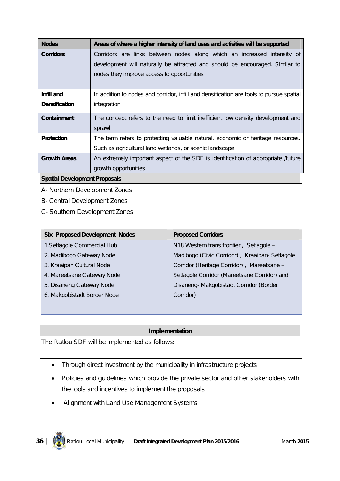| <b>Nodes</b>                  | Areas of where a higher intensity of land uses and activities will be supported         |  |  |
|-------------------------------|-----------------------------------------------------------------------------------------|--|--|
| <b>Corridors</b>              | Corridors are links between nodes along which an increased intensity of                 |  |  |
|                               | development will naturally be attracted and should be encouraged. Similar to            |  |  |
|                               | nodes they improve access to opportunities                                              |  |  |
|                               |                                                                                         |  |  |
| Infill and                    | In addition to nodes and corridor, infill and densification are tools to pursue spatial |  |  |
| <b>Densification</b>          | integration                                                                             |  |  |
| <b>Containment</b>            | The concept refers to the need to limit inefficient low density development and         |  |  |
|                               | sprawl                                                                                  |  |  |
| <b>Protection</b>             | The term refers to protecting valuable natural, economic or heritage resources.         |  |  |
|                               | Such as agricultural land wetlands, or scenic landscape                                 |  |  |
| <b>Growth Areas</b>           | An extremely important aspect of the SDF is identification of appropriate /future       |  |  |
|                               | growth opportunities.                                                                   |  |  |
|                               | <b>Spatial Development Proposals</b>                                                    |  |  |
| A- Northern Development Zones |                                                                                         |  |  |

- B- Central Development Zones
- C- Southern Development Zones

| <b>Six Proposed Development Nodes</b> | <b>Proposed Corridors</b>                     |
|---------------------------------------|-----------------------------------------------|
| 1. Setlagole Commercial Hub           | N18 Western trans frontier, Setlagole -       |
| 2. Madibogo Gateway Node              | Madibogo (Civic Corridor), Kraaipan-Setlagole |
| 3. Kraaipan Cultural Node             | Corridor (Heritage Corridor), Mareetsane -    |
| 4. Mareetsane Gateway Node            | Setlagole Corridor (Mareetsane Corridor) and  |
| 5. Disaneng Gateway Node              | Disaneng-Makgobistadt Corridor (Border        |
| 6. Makgobistadt Border Node           | Corridor)                                     |
|                                       |                                               |

### **Implementation**

The Ratlou SDF will be implemented as follows:

- Through direct investment by the municipality in infrastructure projects
- Policies and quidelines which provide the private sector and other stakeholders with the tools and incentives to implement the proposals
- Alignment with Land Use Management Systems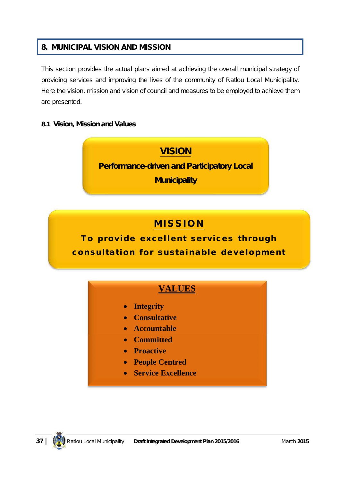#### **8. MUNICIPAL VISION AND MISSION**

This section provides the actual plans aimed at achieving the overall municipal strategy of providing services and improving the lives of the community of Ratlou Local Municipality. Here the vision, mission and vision of council and measures to be employed to achieve them are presented.

#### **8.1 Vision, Mission and Values**



# **M I S S I O N**

To provide excellent services through consultation for sustainable development

# **VALUES**

- **Integrity**
- **Consultative**
- **Accountable**
- **Committed**
- **•** Proactive
- **People Centred**
- **Service Excellence**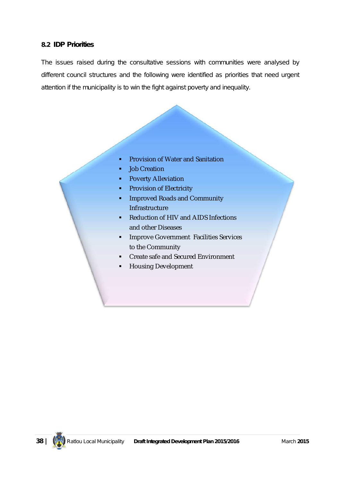#### **8.2 IDP Priorities**

The issues raised during the consultative sessions with communities were analysed by different council structures and the following were identified as priorities that need urgent attention if the municipality is to win the fight against poverty and inequality.

- **Provision of Water and Sanitation**
- **Job Creation**
- **Poverty Alleviation**
- **Provision of Electricity**
- **IMPROVED Roads and Community** Infrastructure
- Reduction of HIV and AIDS Infections and other Diseases
- **Improve Government Facilities Services** to the Community
- Create safe and Secured Environment
- Housing Development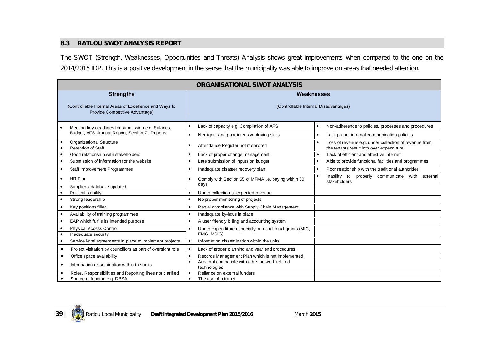#### **8.3 RATLOU SWOT ANALYSIS REPORT**

The SWOT (Strength, Weaknesses, Opportunities and Threats) Analysis shows great improvements when compared to the one on the 2014/2015 IDP. This is a positive development in the sense that the municipality was able to improve on areas that needed attention.

| <b>ORGANISATIONAL SWOT ANALYSIS</b>                                                      |                                                                                                          |                                                                                                   |  |  |
|------------------------------------------------------------------------------------------|----------------------------------------------------------------------------------------------------------|---------------------------------------------------------------------------------------------------|--|--|
| <b>Strengths</b>                                                                         | Weaknesses                                                                                               |                                                                                                   |  |  |
| (Controllable Internal Areas of Excellence and Ways to<br>Provide Competitive Advantage) | (Controllable Internal Disadvantages)                                                                    |                                                                                                   |  |  |
| Meeting key deadlines for submission e.g. Salaries,                                      | Lack of capacity e.g. Compilation of AFS                                                                 | Non-adherence to policies, processes and procedures<br>$\bullet$                                  |  |  |
| Budget, AFS, Annual Report, Section 71 Reports                                           | Negligent and poor intensive driving skills<br>$\bullet$                                                 | Lack proper internal communication policies<br>٠                                                  |  |  |
| Organizational Structure<br><b>Retention of Staff</b>                                    | Attendance Register not monitored                                                                        | Loss of revenue e.g. under collection of revenue from<br>the tenants result into over expenditure |  |  |
| Good relationship with stakeholders                                                      | Lack of proper change management                                                                         | Lack of efficient and effective Internet                                                          |  |  |
| Submission of information for the website                                                | Late submission of inputs on budget<br>Able to provide functional facilities and programmes<br>$\bullet$ |                                                                                                   |  |  |
| Staff Improvement Programmes                                                             | Inadequate disaster recovery plan                                                                        | Poor relationship with the traditional authorities                                                |  |  |
| HR Plan<br>$\bullet$                                                                     | Comply with Section 65 of MFMA i.e. paying within 30<br>$\bullet$<br>days                                | Inability to properly communicate with external<br>stakeholders                                   |  |  |
| Suppliers' database updated                                                              |                                                                                                          |                                                                                                   |  |  |
| Political stability                                                                      | Under collection of expected revenue                                                                     |                                                                                                   |  |  |
| Strong leadership<br>$\bullet$                                                           | No proper monitoring of projects<br>$\bullet$                                                            |                                                                                                   |  |  |
| Key positions filled                                                                     | Partial compliance with Supply Chain Management                                                          |                                                                                                   |  |  |
| Availability of training programmes                                                      | Inadequate by-laws in place<br>$\bullet$                                                                 |                                                                                                   |  |  |
| EAP which fulfils its intended purpose                                                   | A user friendly billing and accounting system<br>$\bullet$                                               |                                                                                                   |  |  |
| <b>Physical Access Control</b><br>Inadequate security                                    | Under expenditure especially on conditional grants (MIG,<br>FMG, MSIG)                                   |                                                                                                   |  |  |
| Service level agreements in place to implement projects                                  | Information dissemination within the units<br>$\bullet$                                                  |                                                                                                   |  |  |
| Project visitation by councillors as part of oversight role<br>$\bullet$                 | Lack of proper planning and year end procedures<br>$\bullet$                                             |                                                                                                   |  |  |
| Office space availability<br>$\bullet$                                                   | Records Management Plan which is not implemented                                                         |                                                                                                   |  |  |
| Information dissemination within the units<br>$\bullet$                                  | Area not compatible with other network related<br>technologies                                           |                                                                                                   |  |  |
| Roles, Responsibilities and Reporting lines not clarified                                | Reliance on external funders                                                                             |                                                                                                   |  |  |
| Source of funding e.g. DBSA<br>$\bullet$                                                 | The use of Intranet<br>$\bullet$                                                                         |                                                                                                   |  |  |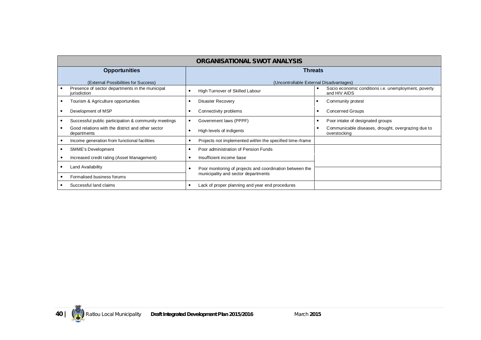| ORGANISATIONAL SWOT ANALYSIS                                     |                                                          |                                                                      |  |
|------------------------------------------------------------------|----------------------------------------------------------|----------------------------------------------------------------------|--|
| <b>Opportunities</b>                                             | <b>Threats</b>                                           |                                                                      |  |
| (External Possibilities for Success)                             |                                                          | (Uncontrollable External Disadvantages)                              |  |
| Presence of sector departments in the municipal<br>jurisdiction  | High Turnover of Skilled Labour                          | Socio economic conditions i.e. unemployment, poverty<br>and HIV AIDS |  |
| Tourism & Agriculture opportunities                              | <b>Disaster Recovery</b>                                 | Community protest                                                    |  |
| Development of MSP                                               | Connectivity problems                                    | <b>Concerned Groups</b>                                              |  |
| Successful public participation & community meetings             | Government laws (PPPF)                                   | Poor intake of designated groups                                     |  |
| Good relations with the district and other sector<br>departments | High levels of indigents                                 | Communicable diseases, drought, overgrazing due to<br>overstocking   |  |
| Income generation from functional facilities                     | Projects not implemented within the specified time-frame |                                                                      |  |
| SMME's Development                                               | Poor administration of Pension Funds                     |                                                                      |  |
| Increased credit rating (Asset Management)                       | Insufficient income base                                 |                                                                      |  |
| Land Availability                                                | Poor monitoring of projects and coordination between the |                                                                      |  |
| Formalised business forums                                       | municipality and sector departments                      |                                                                      |  |
| Successful land claims                                           | Lack of proper planning and year end procedures          |                                                                      |  |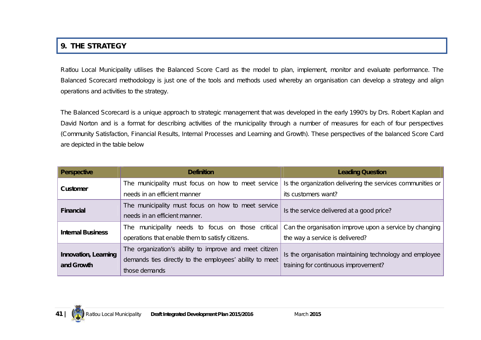## **9. THE STRATEGY**

Ratlou Local Municipality utilises the Balanced Score Card as the model to plan, implement, monitor and evaluate performance. The Balanced Scorecard methodology is just one of the tools and methods used whereby an organisation can develop a strategy and align operations and activities to the strategy.

The Balanced Scorecard is a unique approach to strategic management that was developed in the early 1990's by Drs. Robert Kaplan and David Norton and is a format for describing activities of the municipality through a number of measures for each of four perspectives (Community Satisfaction, Financial Results, Internal Processes and Learning and Growth). These perspectives of the balanced Score Card are depicted in the table below

| <b>Perspective</b>                 | <b>Definition</b>                                       | <b>Leading Question</b>                                    |
|------------------------------------|---------------------------------------------------------|------------------------------------------------------------|
| <b>Customer</b>                    | The municipality must focus on how to meet service      | Is the organization delivering the services communities or |
|                                    | needs in an efficient manner                            | its customers want?                                        |
| <b>Financial</b>                   | The municipality must focus on how to meet service      | Is the service delivered at a good price?                  |
|                                    | needs in an efficient manner.                           |                                                            |
| <b>Internal Business</b>           | The municipality needs to focus on those critical       | Can the organisation improve upon a service by changing    |
|                                    | operations that enable them to satisfy citizens.        | the way a service is delivered?                            |
|                                    | The organization's ability to improve and meet citizen  | Is the organisation maintaining technology and employee    |
| Innovation, Learning<br>and Growth | demands ties directly to the employees' ability to meet | training for continuous improvement?                       |
|                                    | those demands                                           |                                                            |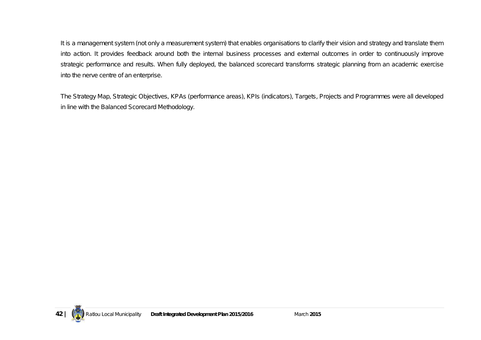It is a management system (not only a measurement system) that enables organisations to clarify their vision and strategy and translate them into action. It provides feedback around both the internal business processes and external outcomes in order to continuously improve strategic performance and results. When fully deployed, the balanced scorecard transforms strategic planning from an academic exercise into the nerve centre of an enterprise.

The Strategy Map, Strategic Objectives, KPAs (performance areas), KPIs (indicators), Targets, Projects and Programmes were all developed in line with the Balanced Scorecard Methodology.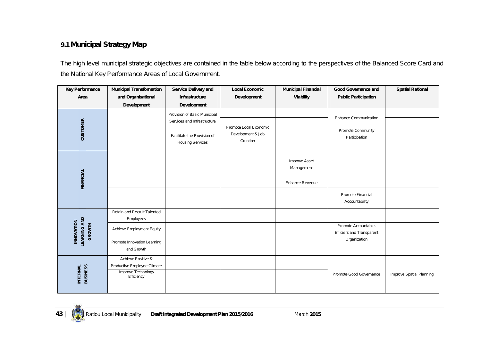#### **9.1 Municipal Strategy Map**

The high level municipal strategic objectives are contained in the table below according to the perspectives of the Balanced Score Card and the National Key Performance Areas of Local Government.

| <b>Key Performance</b>                                    | <b>Municipal Transformation</b>                   | <b>Service Delivery and</b>                            | <b>Local Economic</b>                                   | <b>Municipal Financial</b>  | Good Governance and                                                      | <b>Spatial Rational</b>  |
|-----------------------------------------------------------|---------------------------------------------------|--------------------------------------------------------|---------------------------------------------------------|-----------------------------|--------------------------------------------------------------------------|--------------------------|
| Area                                                      | and Organisational                                | Infrastructure                                         | Development                                             | Viability                   | <b>Public Participation</b>                                              |                          |
|                                                           | <b>Development</b>                                | Development                                            |                                                         |                             |                                                                          |                          |
|                                                           |                                                   | Provision of Basic Municipal                           |                                                         |                             |                                                                          |                          |
|                                                           |                                                   | Services and Infrastructure                            |                                                         |                             | <b>Enhance Communication</b>                                             |                          |
| <b>CUSTOMER</b>                                           |                                                   | Facilitate the Provision of<br><b>Housing Services</b> | Promote Local Economic<br>Development & Job<br>Creation |                             | Promote Community<br>Participation                                       |                          |
|                                                           |                                                   |                                                        |                                                         |                             |                                                                          |                          |
|                                                           |                                                   |                                                        |                                                         | Improve Asset<br>Management |                                                                          |                          |
| <b>FINANCIAL</b>                                          |                                                   |                                                        |                                                         | Enhance Revenue             |                                                                          |                          |
|                                                           |                                                   |                                                        |                                                         |                             | Promote Financial<br>Accountability                                      |                          |
|                                                           | Retain and Recruit Talented<br>Employees          |                                                        |                                                         |                             |                                                                          |                          |
| <b>LEARNING AND</b><br><b>INNOVATION</b><br><b>GROWTH</b> | Achieve Employment Equity                         |                                                        |                                                         |                             | Promote Accountable,<br><b>Efficient and Transparent</b><br>Organization |                          |
|                                                           | Promote Innovation Learning<br>and Growth         |                                                        |                                                         |                             |                                                                          |                          |
|                                                           | Achieve Positive &                                |                                                        |                                                         |                             |                                                                          |                          |
|                                                           | Productive Employee Climate<br>Improve Technology |                                                        |                                                         |                             |                                                                          |                          |
| <b>BUSINESS</b><br><b>INTERNAL</b>                        | Efficiency                                        |                                                        |                                                         |                             | Promote Good Governance                                                  | Improve Spatial Planning |
|                                                           |                                                   |                                                        |                                                         |                             |                                                                          |                          |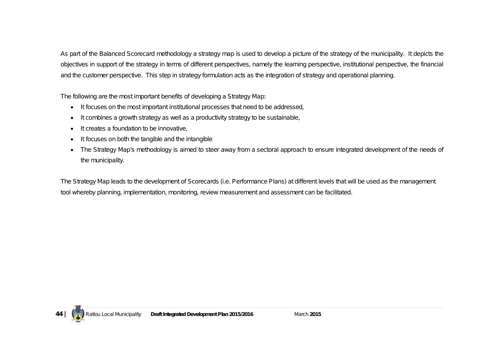As part of the Balanced Scorecard methodology a strategy map is used to develop a picture of the strategy of the municipality. It depicts the objectives in support of the strategy in terms of different perspectives, namely the learning perspective, institutional perspective, the financial and the customer perspective. This step in strategy formulation acts as the integration of strategy and operational planning.

The following are the most important benefits of developing a Strategy Map:

- It focuses on the most important institutional processes that need to be addressed,
- It combines a growth strategy as well as a productivity strategy to be sustainable,
- $\bullet$  It creates a foundation to be innovative.
- It focuses on both the tangible and the intangible
- The Strategy Map's methodology is aimed to steer away from a sectoral approach to ensure integrated development of the needs of the municipality.

The Strategy Map leads to the development of Scorecards (i.e. Performance Plans) at different levels that will be used as the management tool whereby planning, implementation, monitoring, review measurement and assessment can be facilitated.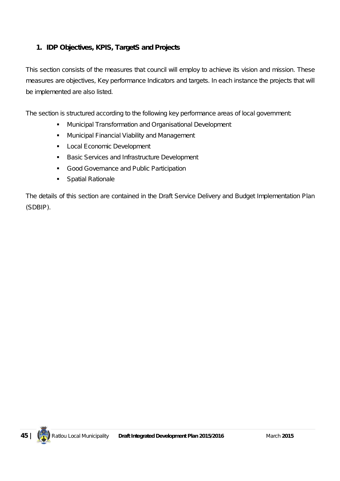#### **1. IDP Objectives, KPIS, TargetS and Projects**

This section consists of the measures that council will employ to achieve its vision and mission. These measures are objectives, Key performance Indicators and targets. In each instance the projects that will be implemented are also listed.

The section is structured according to the following key performance areas of local government:

- Municipal Transformation and Organisational Development
- **Municipal Financial Viability and Management**
- **Local Economic Development**
- **Basic Services and Infrastructure Development**
- Good Governance and Public Participation
- **Spatial Rationale**

The details of this section are contained in the Draft Service Delivery and Budget Implementation Plan (SDBIP).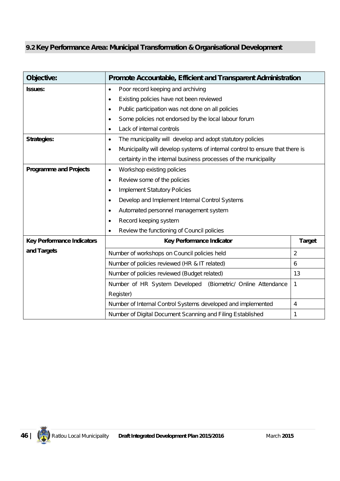# **9.2 Key Performance Area: Municipal Transformation & Organisational Development**

| Objective:                        | Promote Accountable, Efficient and Transparent Administration                              |                |  |  |
|-----------------------------------|--------------------------------------------------------------------------------------------|----------------|--|--|
| <b>Issues:</b>                    | Poor record keeping and archiving<br>$\bullet$                                             |                |  |  |
|                                   | Existing policies have not been reviewed<br>$\bullet$                                      |                |  |  |
|                                   | Public participation was not done on all policies<br>$\bullet$                             |                |  |  |
|                                   | Some policies not endorsed by the local labour forum<br>$\bullet$                          |                |  |  |
|                                   | Lack of internal controls<br>$\bullet$                                                     |                |  |  |
| <b>Strategies:</b>                | The municipality will develop and adopt statutory policies<br>$\bullet$                    |                |  |  |
|                                   | Municipality will develop systems of internal control to ensure that there is<br>$\bullet$ |                |  |  |
|                                   | certainty in the internal business processes of the municipality                           |                |  |  |
| <b>Programme and Projects</b>     | Workshop existing policies<br>$\bullet$                                                    |                |  |  |
|                                   | Review some of the policies<br>$\bullet$                                                   |                |  |  |
|                                   | <b>Implement Statutory Policies</b><br>$\bullet$                                           |                |  |  |
|                                   | Develop and Implement Internal Control Systems<br>$\bullet$                                |                |  |  |
|                                   | Automated personnel management system<br>$\bullet$                                         |                |  |  |
|                                   | Record keeping system<br>$\bullet$                                                         |                |  |  |
|                                   | Review the functioning of Council policies<br>$\bullet$                                    |                |  |  |
| <b>Key Performance Indicators</b> | Key Performance Indicator                                                                  | <b>Target</b>  |  |  |
| and Targets                       | Number of workshops on Council policies held                                               | $\overline{2}$ |  |  |
|                                   | Number of policies reviewed (HR & IT related)                                              | 6              |  |  |
|                                   | Number of policies reviewed (Budget related)<br>13                                         |                |  |  |
|                                   | Number of HR System Developed<br>(Biometric/ Online Attendance<br>1                        |                |  |  |
|                                   | Register)                                                                                  |                |  |  |
|                                   | Number of Internal Control Systems developed and implemented                               | 4              |  |  |
|                                   | Number of Digital Document Scanning and Filing Established                                 | 1              |  |  |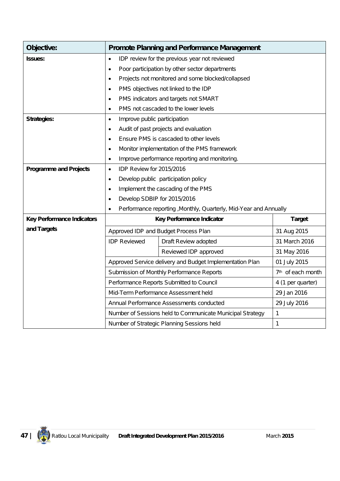| Objective:                        |                                                               | <b>Promote Planning and Performance Management</b>                |                               |
|-----------------------------------|---------------------------------------------------------------|-------------------------------------------------------------------|-------------------------------|
| <b>Issues:</b>                    | IDP review for the previous year not reviewed<br>$\bullet$    |                                                                   |                               |
|                                   | Poor participation by other sector departments<br>$\bullet$   |                                                                   |                               |
|                                   | $\bullet$                                                     | Projects not monitored and some blocked/collapsed                 |                               |
|                                   | $\bullet$                                                     | PMS objectives not linked to the IDP                              |                               |
|                                   | $\bullet$                                                     | PMS indicators and targets not SMART                              |                               |
|                                   | $\bullet$                                                     | PMS not cascaded to the lower levels                              |                               |
| <b>Strategies:</b>                | Improve public participation<br>$\bullet$                     |                                                                   |                               |
|                                   | $\bullet$                                                     | Audit of past projects and evaluation                             |                               |
|                                   | $\bullet$                                                     | Ensure PMS is cascaded to other levels                            |                               |
|                                   | ٠                                                             | Monitor implementation of the PMS framework                       |                               |
|                                   | Improve performance reporting and monitoring.<br>$\bullet$    |                                                                   |                               |
| <b>Programme and Projects</b>     | IDP Review for 2015/2016<br>$\bullet$                         |                                                                   |                               |
|                                   | Develop public participation policy<br>$\bullet$              |                                                                   |                               |
|                                   | Implement the cascading of the PMS<br>$\bullet$               |                                                                   |                               |
|                                   | Develop SDBIP for 2015/2016<br>$\bullet$                      |                                                                   |                               |
|                                   | $\bullet$                                                     | Performance reporting , Monthly, Quarterly, Mid-Year and Annually |                               |
| <b>Key Performance Indicators</b> |                                                               | Key Performance Indicator                                         | <b>Target</b>                 |
| and Targets                       |                                                               | Approved IDP and Budget Process Plan                              | 31 Aug 2015                   |
|                                   | <b>IDP Reviewed</b>                                           | Draft Review adopted                                              | 31 March 2016                 |
|                                   |                                                               | Reviewed IDP approved                                             | 31 May 2016                   |
|                                   |                                                               | Approved Service delivery and Budget Implementation Plan          | 01 July 2015                  |
|                                   |                                                               | Submission of Monthly Performance Reports                         | 7 <sup>th</sup> of each month |
|                                   | Performance Reports Submitted to Council<br>4 (1 per quarter) |                                                                   |                               |
|                                   | 29 Jan 2016<br>Mid-Term Performance Assessment held           |                                                                   |                               |
|                                   |                                                               | Annual Performance Assessments conducted                          | 29 July 2016                  |
|                                   |                                                               | Number of Sessions held to Communicate Municipal Strategy         | 1                             |
|                                   |                                                               | Number of Strategic Planning Sessions held                        | 1                             |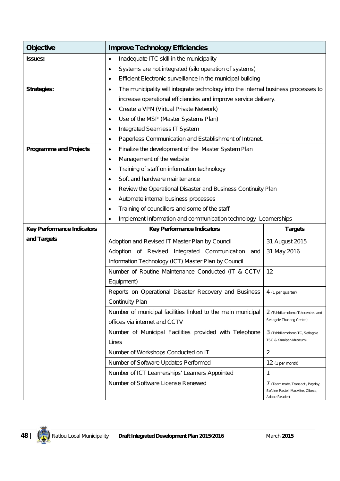| <b>Objective</b>                  | <b>Improve Technology Efficiencies</b>                                                  |                                                    |  |
|-----------------------------------|-----------------------------------------------------------------------------------------|----------------------------------------------------|--|
| <b>Issues:</b>                    | Inadequate ITC skill in the municipality<br>$\bullet$                                   |                                                    |  |
|                                   | Systems are not integrated (silo operation of systems)<br>$\bullet$                     |                                                    |  |
|                                   | Efficient Electronic surveillance in the municipal building<br>$\bullet$                |                                                    |  |
| <b>Strategies:</b>                | The municipality will integrate technology into the internal business processes to<br>٠ |                                                    |  |
|                                   | increase operational efficiencies and improve service delivery.                         |                                                    |  |
|                                   | Create a VPN (Virtual Private Network)<br>$\bullet$                                     |                                                    |  |
|                                   | Use of the MSP (Master Systems Plan)<br>$\bullet$                                       |                                                    |  |
|                                   | Integrated Seamless IT System<br>$\bullet$                                              |                                                    |  |
|                                   | Paperless Communication and Establishment of Intranet.<br>$\bullet$                     |                                                    |  |
| <b>Programme and Projects</b>     | Finalize the development of the Master System Plan<br>$\bullet$                         |                                                    |  |
|                                   | Management of the website<br>$\bullet$                                                  |                                                    |  |
|                                   | Training of staff on information technology<br>$\bullet$                                |                                                    |  |
|                                   | Soft and hardware maintenance<br>$\bullet$                                              |                                                    |  |
|                                   | Review the Operational Disaster and Business Continuity Plan<br>$\bullet$               |                                                    |  |
|                                   | Automate internal business processes<br>$\bullet$                                       |                                                    |  |
|                                   | Training of councillors and some of the staff<br>$\bullet$                              |                                                    |  |
|                                   | Implement Information and communication technology Learnerships<br>$\bullet$            |                                                    |  |
| <b>Key Performance Indicators</b> | <b>Key Performance Indicators</b><br><b>Targets</b>                                     |                                                    |  |
| and Targets                       | Adoption and Revised IT Master Plan by Council<br>31 August 2015                        |                                                    |  |
|                                   | Adoption of Revised Integrated Communication<br>and                                     | 31 May 2016                                        |  |
|                                   | Information Technology (ICT) Master Plan by Council                                     |                                                    |  |
|                                   | Number of Routine Maintenance Conducted (IT & CCTV<br>12                                |                                                    |  |
|                                   | Equipment)                                                                              |                                                    |  |
|                                   | Reports on Operational Disaster Recovery and Business                                   | 4 (1 per quarter)                                  |  |
|                                   | <b>Continuity Plan</b>                                                                  |                                                    |  |
|                                   | Number of municipal facilities linked to the main municipal                             | 2 (Tshidilamolomo Telecentres and                  |  |
|                                   | offices via internet and CCTV                                                           | Setlagole Thusong Centre)                          |  |
|                                   | Number of Municipal Facilities provided with Telephone                                  | 3 (Tshidilamolomo TC, Setlagole                    |  |
|                                   | Lines                                                                                   | TSC & Kraaipan Museum)                             |  |
|                                   | Number of Workshops Conducted on IT                                                     | $\overline{2}$                                     |  |
|                                   | Number of Software Updates Performed                                                    | $12$ (1 per month)                                 |  |
|                                   | Number of ICT Learnerships' Learners Appointed                                          | 1                                                  |  |
|                                   | Number of Software License Renewed                                                      | 7 (Team mate, Transact, Payday,                    |  |
|                                   |                                                                                         | Softline Pastel, MacAfee, Cibecs,<br>Adobe Reader) |  |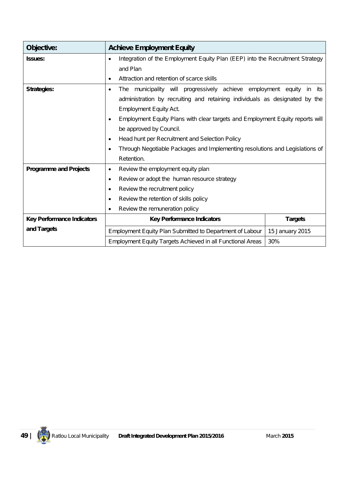| Objective:                        | <b>Achieve Employment Equity</b>                                                           |                 |  |  |
|-----------------------------------|--------------------------------------------------------------------------------------------|-----------------|--|--|
| <b>Issues:</b>                    | Integration of the Employment Equity Plan (EEP) into the Recruitment Strategy<br>$\bullet$ |                 |  |  |
|                                   | and Plan                                                                                   |                 |  |  |
|                                   | Attraction and retention of scarce skills<br>$\bullet$                                     |                 |  |  |
| <b>Strategies:</b>                | The municipality will progressively achieve employment equity<br>$\bullet$                 | in<br>its       |  |  |
|                                   | administration by recruiting and retaining individuals as designated by the                |                 |  |  |
|                                   | <b>Employment Equity Act.</b>                                                              |                 |  |  |
|                                   | Employment Equity Plans with clear targets and Employment Equity reports will<br>$\bullet$ |                 |  |  |
|                                   | be approved by Council.                                                                    |                 |  |  |
|                                   | Head hunt per Recruitment and Selection Policy<br>$\bullet$                                |                 |  |  |
|                                   | Through Negotiable Packages and Implementing resolutions and Legislations of<br>$\bullet$  |                 |  |  |
|                                   | Retention.                                                                                 |                 |  |  |
| <b>Programme and Projects</b>     | Review the employment equity plan<br>$\bullet$                                             |                 |  |  |
|                                   | Review or adopt the human resource strategy<br>$\bullet$                                   |                 |  |  |
|                                   | Review the recruitment policy<br>$\bullet$                                                 |                 |  |  |
|                                   | Review the retention of skills policy<br>$\bullet$                                         |                 |  |  |
|                                   | Review the remuneration policy<br>$\bullet$                                                |                 |  |  |
| <b>Key Performance Indicators</b> | <b>Key Performance Indicators</b>                                                          | <b>Targets</b>  |  |  |
| and Targets                       | Employment Equity Plan Submitted to Department of Labour                                   | 15 January 2015 |  |  |
|                                   | <b>Employment Equity Targets Achieved in all Functional Areas</b>                          | 30%             |  |  |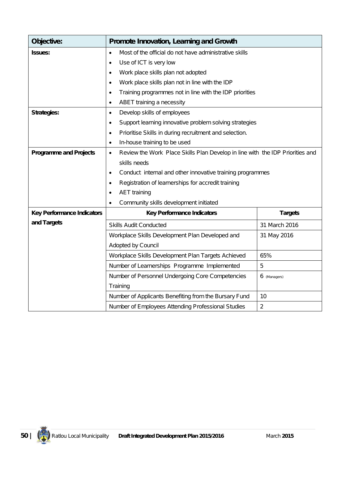| Objective:                        | Promote Innovation, Learning and Growth                                                    |                |  |
|-----------------------------------|--------------------------------------------------------------------------------------------|----------------|--|
| <b>Issues:</b>                    | Most of the official do not have administrative skills<br>$\bullet$                        |                |  |
|                                   | Use of ICT is very low<br>$\bullet$                                                        |                |  |
|                                   | Work place skills plan not adopted<br>$\bullet$                                            |                |  |
|                                   | Work place skills plan not in line with the IDP<br>$\bullet$                               |                |  |
|                                   | Training programmes not in line with the IDP priorities<br>$\bullet$                       |                |  |
|                                   | ABET training a necessity<br>$\bullet$                                                     |                |  |
| <b>Strategies:</b>                | Develop skills of employees<br>$\bullet$                                                   |                |  |
|                                   | Support learning innovative problem solving strategies<br>$\bullet$                        |                |  |
|                                   | Prioritise Skills in during recruitment and selection.<br>$\bullet$                        |                |  |
|                                   | In-house training to be used<br>٠                                                          |                |  |
| <b>Programme and Projects</b>     | Review the Work Place Skills Plan Develop in line with the IDP Priorities and<br>$\bullet$ |                |  |
|                                   | skills needs                                                                               |                |  |
|                                   | Conduct internal and other innovative training programmes<br>$\bullet$                     |                |  |
|                                   | Registration of learnerships for accredit training<br>$\bullet$                            |                |  |
|                                   | <b>AET</b> training<br>$\bullet$                                                           |                |  |
|                                   | Community skills development initiated<br>$\bullet$                                        |                |  |
| <b>Key Performance Indicators</b> | <b>Key Performance Indicators</b>                                                          | <b>Targets</b> |  |
| and Targets                       | <b>Skills Audit Conducted</b>                                                              | 31 March 2016  |  |
|                                   | Workplace Skills Development Plan Developed and                                            | 31 May 2016    |  |
|                                   | Adopted by Council                                                                         |                |  |
|                                   | Workplace Skills Development Plan Targets Achieved                                         | 65%            |  |
|                                   | Number of Learnerships Programme Implemented                                               | 5              |  |
|                                   | Number of Personnel Undergoing Core Competencies                                           | 6 (Managers)   |  |
|                                   | Training                                                                                   |                |  |
|                                   | Number of Applicants Benefiting from the Bursary Fund                                      | 10             |  |
|                                   | Number of Employees Attending Professional Studies                                         | $\overline{2}$ |  |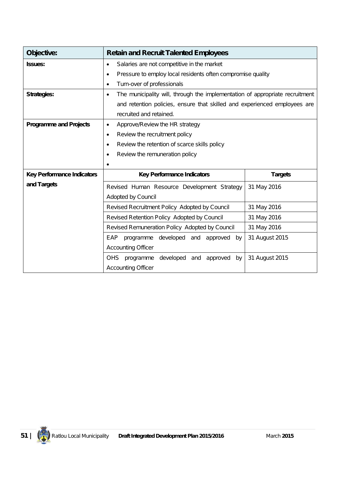| Objective:                        | <b>Retain and Recruit Talented Employees</b>                                              |                |  |  |
|-----------------------------------|-------------------------------------------------------------------------------------------|----------------|--|--|
| <b>Issues:</b>                    | Salaries are not competitive in the market<br>$\bullet$                                   |                |  |  |
|                                   | Pressure to employ local residents often compromise quality<br>$\bullet$                  |                |  |  |
|                                   | Turn-over of professionals<br>$\bullet$                                                   |                |  |  |
| <b>Strategies:</b>                | The municipality will, through the implementation of appropriate recruitment<br>$\bullet$ |                |  |  |
|                                   | and retention policies, ensure that skilled and experienced employees are                 |                |  |  |
|                                   | recruited and retained.                                                                   |                |  |  |
| <b>Programme and Projects</b>     | Approve/Review the HR strategy<br>$\bullet$                                               |                |  |  |
|                                   | Review the recruitment policy<br>$\bullet$                                                |                |  |  |
|                                   | Review the retention of scarce skills policy<br>$\bullet$                                 |                |  |  |
|                                   | Review the remuneration policy<br>$\bullet$                                               |                |  |  |
|                                   | $\bullet$                                                                                 |                |  |  |
| <b>Key Performance Indicators</b> | <b>Key Performance Indicators</b>                                                         | <b>Targets</b> |  |  |
| and Targets                       | Revised Human Resource Development Strategy                                               | 31 May 2016    |  |  |
|                                   | Adopted by Council                                                                        |                |  |  |
|                                   | Revised Recruitment Policy Adopted by Council                                             | 31 May 2016    |  |  |
|                                   | Revised Retention Policy Adopted by Council<br>31 May 2016                                |                |  |  |
|                                   | Revised Remuneration Policy Adopted by Council<br>31 May 2016                             |                |  |  |
|                                   | 31 August 2015<br>programme developed and<br>EAP<br>approved by                           |                |  |  |
|                                   | <b>Accounting Officer</b>                                                                 |                |  |  |
|                                   | OHS<br>programme<br>developed<br>and<br>approved<br>by                                    | 31 August 2015 |  |  |
|                                   | <b>Accounting Officer</b>                                                                 |                |  |  |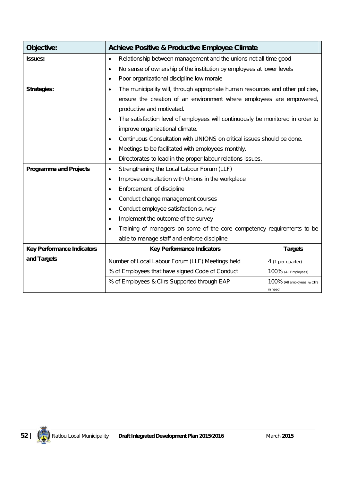| Objective:                        | <b>Achieve Positive &amp; Productive Employee Climate</b>                                   |                                         |  |
|-----------------------------------|---------------------------------------------------------------------------------------------|-----------------------------------------|--|
| <b>Issues:</b>                    | Relationship between management and the unions not all time good<br>$\bullet$               |                                         |  |
|                                   | No sense of ownership of the institution by employees at lower levels<br>٠                  |                                         |  |
|                                   | Poor organizational discipline low morale                                                   |                                         |  |
| <b>Strategies:</b>                | The municipality will, through appropriate human resources and other policies,<br>$\bullet$ |                                         |  |
|                                   | ensure the creation of an environment where employees are empowered,                        |                                         |  |
|                                   | productive and motivated.                                                                   |                                         |  |
|                                   | The satisfaction level of employees will continuously be monitored in order to              |                                         |  |
|                                   | improve organizational climate.                                                             |                                         |  |
|                                   | Continuous Consultation with UNIONS on critical issues should be done.                      |                                         |  |
|                                   | Meetings to be facilitated with employees monthly.<br>$\bullet$                             |                                         |  |
|                                   | Directorates to lead in the proper labour relations issues.                                 |                                         |  |
| <b>Programme and Projects</b>     | Strengthening the Local Labour Forum (LLF)<br>$\bullet$                                     |                                         |  |
|                                   | Improve consultation with Unions in the workplace<br>$\bullet$                              |                                         |  |
|                                   | Enforcement of discipline                                                                   |                                         |  |
|                                   | Conduct change management courses                                                           |                                         |  |
|                                   | Conduct employee satisfaction survey                                                        |                                         |  |
|                                   | Implement the outcome of the survey                                                         |                                         |  |
|                                   | Training of managers on some of the core competency requirements to be                      |                                         |  |
|                                   | able to manage staff and enforce discipline                                                 |                                         |  |
| <b>Key Performance Indicators</b> | <b>Key Performance Indicators</b><br><b>Targets</b>                                         |                                         |  |
| and Targets                       | Number of Local Labour Forum (LLF) Meetings held                                            | 4 (1 per quarter)                       |  |
|                                   | % of Employees that have signed Code of Conduct<br>100% (All Employees)                     |                                         |  |
|                                   | % of Employees & Cllrs Supported through EAP                                                | 100% (All employees & Clirs<br>in need) |  |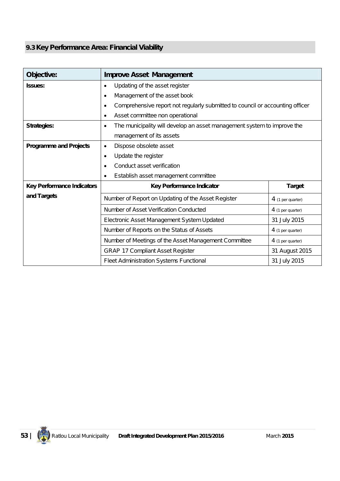# **9.3 Key Performance Area: Financial Viability**

| Objective:                        | <b>Improve Asset Management</b>                                                            |                     |  |  |
|-----------------------------------|--------------------------------------------------------------------------------------------|---------------------|--|--|
| <b>Issues:</b>                    | Updating of the asset register<br>$\bullet$                                                |                     |  |  |
|                                   | Management of the asset book<br>$\bullet$                                                  |                     |  |  |
|                                   | Comprehensive report not regularly submitted to council or accounting officer<br>$\bullet$ |                     |  |  |
|                                   | Asset committee non operational<br>$\bullet$                                               |                     |  |  |
| Strategies:                       | The municipality will develop an asset management system to improve the<br>$\bullet$       |                     |  |  |
|                                   | management of its assets                                                                   |                     |  |  |
| <b>Programme and Projects</b>     | Dispose obsolete asset<br>$\bullet$                                                        |                     |  |  |
|                                   | Update the register<br>$\bullet$                                                           |                     |  |  |
|                                   | Conduct asset verification<br>٠                                                            |                     |  |  |
|                                   | Establish asset management committee<br>$\bullet$                                          |                     |  |  |
| <b>Key Performance Indicators</b> | Key Performance Indicator                                                                  | <b>Target</b>       |  |  |
| and Targets                       | Number of Report on Updating of the Asset Register                                         | $4$ (1 per quarter) |  |  |
|                                   | Number of Asset Verification Conducted<br>4 (1 per quarter)                                |                     |  |  |
|                                   | 31 July 2015<br>Electronic Asset Management System Updated                                 |                     |  |  |
|                                   | Number of Reports on the Status of Assets<br>4 (1 per quarter)                             |                     |  |  |
|                                   | Number of Meetings of the Asset Management Committee<br>4 (1 per quarter)                  |                     |  |  |
|                                   | <b>GRAP 17 Compliant Asset Register</b>                                                    | 31 August 2015      |  |  |
|                                   | Fleet Administration Systems Functional                                                    | 31 July 2015        |  |  |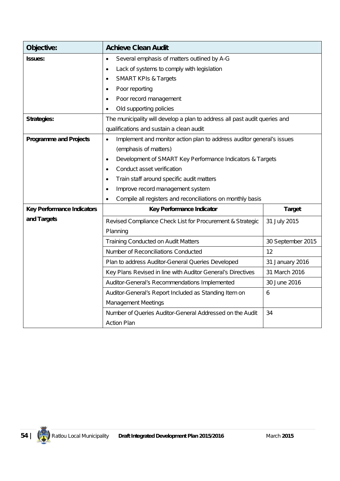| Objective:                        | <b>Achieve Clean Audit</b>                                                         |                   |  |  |
|-----------------------------------|------------------------------------------------------------------------------------|-------------------|--|--|
| <b>Issues:</b>                    | Several emphasis of matters outlined by A-G<br>$\bullet$                           |                   |  |  |
|                                   | Lack of systems to comply with legislation<br>$\bullet$                            |                   |  |  |
|                                   | <b>SMART KPIs &amp; Targets</b><br>$\bullet$                                       |                   |  |  |
|                                   | Poor reporting<br>$\bullet$                                                        |                   |  |  |
|                                   | Poor record management<br>$\bullet$                                                |                   |  |  |
|                                   | Old supporting policies                                                            |                   |  |  |
| <b>Strategies:</b>                | The municipality will develop a plan to address all past audit queries and         |                   |  |  |
|                                   | qualifications and sustain a clean audit                                           |                   |  |  |
| <b>Programme and Projects</b>     | Implement and monitor action plan to address auditor general's issues<br>$\bullet$ |                   |  |  |
|                                   | (emphasis of matters)                                                              |                   |  |  |
|                                   | Development of SMART Key Performance Indicators & Targets<br>$\bullet$             |                   |  |  |
|                                   | Conduct asset verification<br>$\bullet$                                            |                   |  |  |
|                                   | Train staff around specific audit matters<br>٠                                     |                   |  |  |
|                                   | Improve record management system<br>٠                                              |                   |  |  |
|                                   | Compile all registers and reconciliations on monthly basis<br>$\bullet$            |                   |  |  |
| <b>Key Performance Indicators</b> | Key Performance Indicator                                                          | <b>Target</b>     |  |  |
| and Targets                       | Revised Compliance Check List for Procurement & Strategic                          | 31 July 2015      |  |  |
|                                   | Planning                                                                           |                   |  |  |
|                                   | <b>Training Conducted on Audit Matters</b>                                         | 30 September 2015 |  |  |
|                                   | Number of Reconciliations Conducted                                                | 12                |  |  |
|                                   | Plan to address Auditor-General Queries Developed                                  | 31 January 2016   |  |  |
|                                   | Key Plans Revised in line with Auditor General's Directives                        | 31 March 2016     |  |  |
|                                   | Auditor-General's Recommendations Implemented                                      | 30 June 2016      |  |  |
|                                   | Auditor-General's Report Included as Standing Item on                              | 6                 |  |  |
|                                   | <b>Management Meetings</b>                                                         |                   |  |  |
|                                   | Number of Queries Auditor-General Addressed on the Audit                           | 34                |  |  |
|                                   | <b>Action Plan</b>                                                                 |                   |  |  |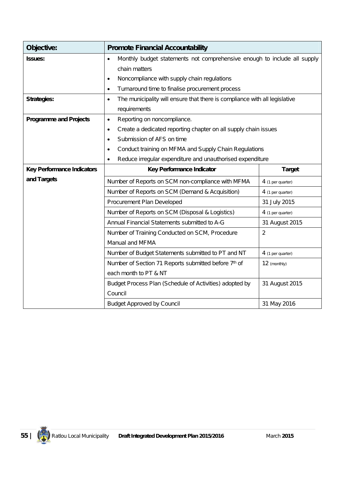| Objective:                        | <b>Promote Financial Accountability</b>                                                 |                   |  |  |  |
|-----------------------------------|-----------------------------------------------------------------------------------------|-------------------|--|--|--|
| <b>Issues:</b>                    | Monthly budget statements not comprehensive enough to include all supply<br>$\bullet$   |                   |  |  |  |
|                                   | chain matters                                                                           |                   |  |  |  |
|                                   | Noncompliance with supply chain regulations<br>$\bullet$                                |                   |  |  |  |
|                                   | Turnaround time to finalise procurement process<br>$\bullet$                            |                   |  |  |  |
| <b>Strategies:</b>                | The municipality will ensure that there is compliance with all legislative<br>$\bullet$ |                   |  |  |  |
|                                   | requirements                                                                            |                   |  |  |  |
| <b>Programme and Projects</b>     | Reporting on noncompliance.<br>٠                                                        |                   |  |  |  |
|                                   | Create a dedicated reporting chapter on all supply chain issues<br>$\bullet$            |                   |  |  |  |
|                                   | Submission of AFS on time<br>$\bullet$                                                  |                   |  |  |  |
|                                   | Conduct training on MFMA and Supply Chain Regulations<br>$\bullet$                      |                   |  |  |  |
|                                   | Reduce irregular expenditure and unauthorised expenditure<br>٠                          |                   |  |  |  |
| <b>Key Performance Indicators</b> | <b>Target</b><br>Key Performance Indicator                                              |                   |  |  |  |
| and Targets                       | Number of Reports on SCM non-compliance with MFMA                                       | 4 (1 per quarter) |  |  |  |
|                                   | Number of Reports on SCM (Demand & Acquisition)<br>4 (1 per quarter)                    |                   |  |  |  |
|                                   | Procurement Plan Developed<br>31 July 2015                                              |                   |  |  |  |
|                                   | Number of Reports on SCM (Disposal & Logistics)<br>4 (1 per quarter)                    |                   |  |  |  |
|                                   | Annual Financial Statements submitted to A-G                                            | 31 August 2015    |  |  |  |
|                                   | Number of Training Conducted on SCM, Procedure                                          | $\overline{2}$    |  |  |  |
|                                   | Manual and MFMA                                                                         |                   |  |  |  |
|                                   | Number of Budget Statements submitted to PT and NT<br>4 (1 per quarter)                 |                   |  |  |  |
|                                   | Number of Section 71 Reports submitted before 7th of<br>12 (monthly)                    |                   |  |  |  |
|                                   | each month to PT & NT                                                                   |                   |  |  |  |
|                                   | Budget Process Plan (Schedule of Activities) adopted by                                 | 31 August 2015    |  |  |  |
|                                   | Council                                                                                 |                   |  |  |  |
|                                   | <b>Budget Approved by Council</b>                                                       | 31 May 2016       |  |  |  |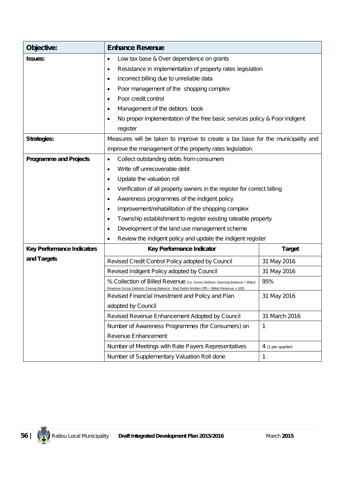| Objective:                        | <b>Enhance Revenue</b>                                                                                                                                                |                                                                         |  |  |
|-----------------------------------|-----------------------------------------------------------------------------------------------------------------------------------------------------------------------|-------------------------------------------------------------------------|--|--|
| <b>Issues:</b>                    | Low tax base & Over dependence on grants<br>٠                                                                                                                         |                                                                         |  |  |
|                                   | Resistance in implementation of property rates legislation<br>٠                                                                                                       |                                                                         |  |  |
|                                   | Incorrect billing due to unreliable data<br>$\bullet$                                                                                                                 |                                                                         |  |  |
|                                   | Poor management of the shopping complex<br>٠                                                                                                                          |                                                                         |  |  |
|                                   | Poor credit control<br>$\bullet$                                                                                                                                      |                                                                         |  |  |
|                                   | Management of the debtors book<br>$\bullet$                                                                                                                           |                                                                         |  |  |
|                                   | No proper implementation of the free basic services policy & Poor indigent<br>$\bullet$                                                                               |                                                                         |  |  |
|                                   | register                                                                                                                                                              |                                                                         |  |  |
| <b>Strategies:</b>                | Measures will be taken to improve to create a tax base for the municipality and                                                                                       |                                                                         |  |  |
|                                   | improve the management of the property rates legislation.                                                                                                             |                                                                         |  |  |
| <b>Programme and Projects</b>     | Collect outstanding debts from consumers<br>$\bullet$                                                                                                                 |                                                                         |  |  |
|                                   | Write off unrecoverable debt<br>$\bullet$                                                                                                                             |                                                                         |  |  |
|                                   | Update the valuation roll<br>$\bullet$                                                                                                                                |                                                                         |  |  |
|                                   | $\bullet$                                                                                                                                                             | Verification of all property owners in the register for correct billing |  |  |
|                                   | Awareness programmes of the indigent policy<br>٠                                                                                                                      |                                                                         |  |  |
|                                   | Improvement/rehabilitation of the shopping complex<br>٠                                                                                                               |                                                                         |  |  |
|                                   | Township establishment to register existing rateable property<br>$\bullet$                                                                                            |                                                                         |  |  |
|                                   | Development of the land use management scheme<br>٠                                                                                                                    |                                                                         |  |  |
|                                   | Review the indigent policy and update the indigent register<br>$\bullet$                                                                                              |                                                                         |  |  |
| <b>Key Performance Indicators</b> | Key Performance Indicator                                                                                                                                             | <b>Target</b>                                                           |  |  |
| and Targets                       | Revised Credit Control Policy adopted by Council                                                                                                                      | 31 May 2016                                                             |  |  |
|                                   | Revised Indigent Policy adopted by Council                                                                                                                            | 31 May 2016                                                             |  |  |
|                                   | % Collection of Billed Revenue (i.e. Gross Debtors Opening Balance + Billed<br>Revenue Gross Debtors Closing Balance - Bad Debts Written Off) ÷ Billed Revenue x 100) | 95%                                                                     |  |  |
|                                   | Revised Financial Investment and Policy and Plan                                                                                                                      | 31 May 2016                                                             |  |  |
|                                   | adopted by Council                                                                                                                                                    |                                                                         |  |  |
|                                   | 31 March 2016<br>Revised Revenue Enhancement Adopted by Council                                                                                                       |                                                                         |  |  |
|                                   | Number of Awareness Programmes (for Consumers) on<br>1                                                                                                                |                                                                         |  |  |
|                                   | Revenue Enhancement                                                                                                                                                   |                                                                         |  |  |
|                                   | Number of Meetings with Rate Payers Representatives                                                                                                                   | 4 (1 per quarter)                                                       |  |  |
|                                   | Number of Supplementary Valuation Roll done                                                                                                                           | 1                                                                       |  |  |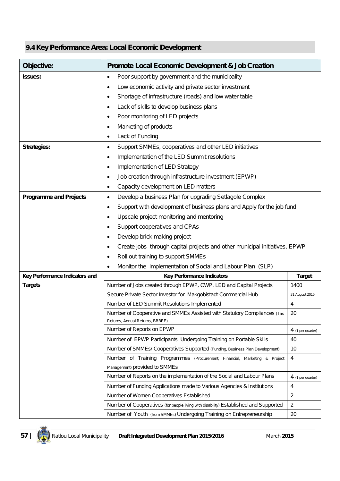# **9.4 Key Performance Area: Local Economic Development**

| Objective:                     | <b>Promote Local Economic Development &amp; Job Creation</b>                                                                                                                       |                     |  |  |
|--------------------------------|------------------------------------------------------------------------------------------------------------------------------------------------------------------------------------|---------------------|--|--|
| Issues:                        | Poor support by government and the municipality<br>$\bullet$                                                                                                                       |                     |  |  |
|                                | Low economic activity and private sector investment<br>٠                                                                                                                           |                     |  |  |
|                                | Shortage of infrastructure (roads) and low water table<br>٠                                                                                                                        |                     |  |  |
|                                | Lack of skills to develop business plans<br>٠                                                                                                                                      |                     |  |  |
|                                | Poor monitoring of LED projects<br>٠                                                                                                                                               |                     |  |  |
|                                | Marketing of products<br>٠                                                                                                                                                         |                     |  |  |
|                                | Lack of Funding<br>٠                                                                                                                                                               |                     |  |  |
| <b>Strategies:</b>             | Support SMMEs, cooperatives and other LED initiatives<br>٠                                                                                                                         |                     |  |  |
|                                | Implementation of the LED Summit resolutions<br>٠                                                                                                                                  |                     |  |  |
|                                | Implementation of LED Strategy<br>$\bullet$                                                                                                                                        |                     |  |  |
|                                | Job creation through infrastructure investment (EPWP)<br>٠                                                                                                                         |                     |  |  |
|                                | Capacity development on LED matters<br>$\bullet$                                                                                                                                   |                     |  |  |
| <b>Programme and Projects</b>  | Develop a business Plan for upgrading Setlagole Complex<br>$\bullet$                                                                                                               |                     |  |  |
|                                | Support with development of business plans and Apply for the job fund<br>٠                                                                                                         |                     |  |  |
|                                | Upscale project monitoring and mentoring<br>٠                                                                                                                                      |                     |  |  |
|                                | Support cooperatives and CPAs<br>٠                                                                                                                                                 |                     |  |  |
|                                | Develop brick making project<br>٠                                                                                                                                                  |                     |  |  |
|                                | Create jobs through capital projects and other municipal initiatives, EPWP<br>٠                                                                                                    |                     |  |  |
|                                | Roll out training to support SMMEs<br>٠                                                                                                                                            |                     |  |  |
|                                | Monitor the implementation of Social and Labour Plan (SLP)<br>٠                                                                                                                    |                     |  |  |
| Key Performance Indicators and | <b>Key Performance Indicators</b>                                                                                                                                                  | <b>Target</b>       |  |  |
| <b>Targets</b>                 | Number of Jobs created through EPWP, CWP, LED and Capital Projects                                                                                                                 | 1400                |  |  |
|                                | Secure Private Sector Investor for Makgobistadt Commercial Hub                                                                                                                     | 31 August 2015      |  |  |
|                                | Number of LED Summit Resolutions Implemented                                                                                                                                       | 4                   |  |  |
|                                | Number of Cooperative and SMMEs Assisted with Statutory Compliances (Tax                                                                                                           | 20                  |  |  |
|                                | Returns, Annual Returns, BBBEE)<br>Number of Reports on EPWP                                                                                                                       |                     |  |  |
|                                |                                                                                                                                                                                    | $4$ (1 per quarter) |  |  |
|                                | Number of EPWP Participants Undergoing Training on Portable Skills                                                                                                                 | 40                  |  |  |
|                                | Number of SMMEs/ Cooperatives Supported (Funding, Business Plan Development)<br>10<br>Number of Training Programmes (Procurement, Financial, Marketing & Project<br>$\overline{4}$ |                     |  |  |
|                                | Management) provided to SMMEs                                                                                                                                                      |                     |  |  |
|                                | Number of Reports on the implementation of the Social and Labour Plans<br>$4$ (1 per quarter)                                                                                      |                     |  |  |
|                                | Number of Funding Applications made to Various Agencies & Institutions                                                                                                             | 4                   |  |  |
|                                | Number of Women Cooperatives Established                                                                                                                                           | $\overline{2}$      |  |  |
|                                | Number of Cooperatives (for people living with disability) Established and Supported                                                                                               | $\overline{2}$      |  |  |
|                                | Number of Youth (from SMMEs) Undergoing Training on Entrepreneurship                                                                                                               | 20                  |  |  |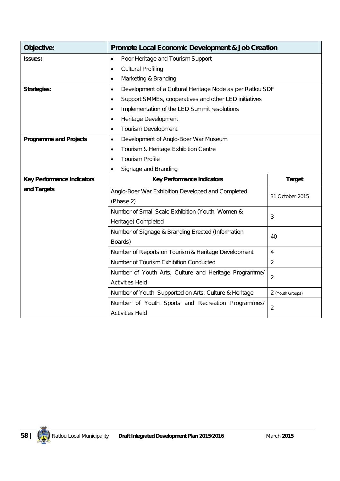| Objective:                        | <b>Promote Local Economic Development &amp; Job Creation</b>            |                  |  |  |
|-----------------------------------|-------------------------------------------------------------------------|------------------|--|--|
| <b>Issues:</b>                    | Poor Heritage and Tourism Support<br>$\bullet$                          |                  |  |  |
|                                   | <b>Cultural Profiling</b><br>٠                                          |                  |  |  |
|                                   | Marketing & Branding<br>٠                                               |                  |  |  |
| <b>Strategies:</b>                | Development of a Cultural Heritage Node as per Ratlou SDF<br>$\bullet$  |                  |  |  |
|                                   | Support SMMEs, cooperatives and other LED initiatives<br>$\bullet$      |                  |  |  |
|                                   | Implementation of the LED Summit resolutions<br>$\bullet$               |                  |  |  |
|                                   | Heritage Development<br>٠                                               |                  |  |  |
|                                   | <b>Tourism Development</b><br>Ò                                         |                  |  |  |
| <b>Programme and Projects</b>     | Development of Anglo-Boer War Museum<br>$\bullet$                       |                  |  |  |
|                                   | Tourism & Heritage Exhibition Centre<br>$\bullet$                       |                  |  |  |
|                                   | <b>Tourism Profile</b>                                                  |                  |  |  |
|                                   | Signage and Branding<br>٠                                               |                  |  |  |
| <b>Key Performance Indicators</b> | <b>Key Performance Indicators</b>                                       | <b>Target</b>    |  |  |
| and Targets                       | Anglo-Boer War Exhibition Developed and Completed                       | 31 October 2015  |  |  |
|                                   | (Phase 2)                                                               |                  |  |  |
|                                   | Number of Small Scale Exhibition (Youth, Women &                        | 3                |  |  |
|                                   | Heritage) Completed                                                     |                  |  |  |
|                                   | Number of Signage & Branding Erected (Information                       | 40               |  |  |
|                                   | Boards)                                                                 |                  |  |  |
|                                   | Number of Reports on Tourism & Heritage Development                     | $\overline{4}$   |  |  |
|                                   | Number of Tourism Exhibition Conducted                                  | $\overline{2}$   |  |  |
|                                   | Number of Youth Arts, Culture and Heritage Programme/<br>$\overline{2}$ |                  |  |  |
|                                   | <b>Activities Held</b>                                                  |                  |  |  |
|                                   | Number of Youth Supported on Arts, Culture & Heritage                   | 2 (Youth Groups) |  |  |
|                                   | Number of Youth Sports and Recreation Programmes/                       | $\overline{2}$   |  |  |
|                                   | <b>Activities Held</b>                                                  |                  |  |  |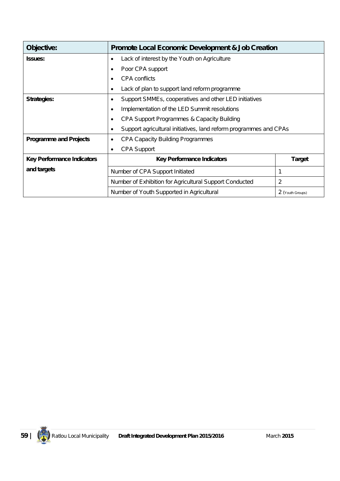| Objective:                        | <b>Promote Local Economic Development &amp; Job Creation</b>           |  |  |  |
|-----------------------------------|------------------------------------------------------------------------|--|--|--|
| <b>Issues:</b>                    | Lack of interest by the Youth on Agriculture<br>$\bullet$              |  |  |  |
|                                   | Poor CPA support<br>٠                                                  |  |  |  |
|                                   | CPA conflicts<br>٠                                                     |  |  |  |
|                                   | Lack of plan to support land reform programme<br>٠                     |  |  |  |
| <b>Strategies:</b>                | Support SMMEs, cooperatives and other LED initiatives<br>٠             |  |  |  |
|                                   | Implementation of the LED Summit resolutions<br>$\bullet$              |  |  |  |
|                                   | CPA Support Programmes & Capacity Building<br>$\bullet$                |  |  |  |
|                                   | Support agricultural initiatives, land reform programmes and CPAs<br>٠ |  |  |  |
| <b>Programme and Projects</b>     | <b>CPA Capacity Building Programmes</b><br>٠                           |  |  |  |
|                                   | <b>CPA Support</b><br>٠                                                |  |  |  |
| <b>Key Performance Indicators</b> | <b>Key Performance Indicators</b><br><b>Target</b>                     |  |  |  |
| and targets                       | Number of CPA Support Initiated<br>1                                   |  |  |  |
|                                   | 2<br>Number of Exhibition for Agricultural Support Conducted           |  |  |  |
|                                   | Number of Youth Supported in Agricultural<br>2 (Youth Groups)          |  |  |  |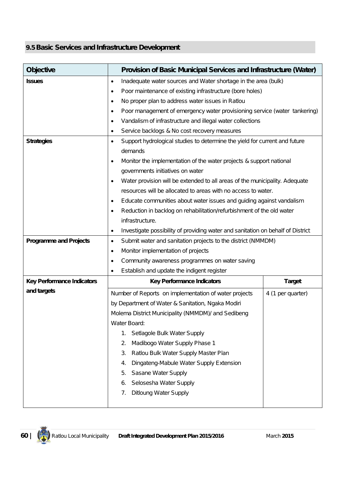## **9.5 Basic Services and Infrastructure Development**

| <b>Objective</b>                  | Provision of Basic Municipal Services and Infrastructure (Water)                       |                                                                                 |  |  |  |  |
|-----------------------------------|----------------------------------------------------------------------------------------|---------------------------------------------------------------------------------|--|--|--|--|
| <b>Issues</b>                     | Inadequate water sources and Water shortage in the area (bulk)<br>٠                    |                                                                                 |  |  |  |  |
|                                   | Poor maintenance of existing infrastructure (bore holes)<br>٠                          |                                                                                 |  |  |  |  |
|                                   | No proper plan to address water issues in Ratlou<br>٠                                  |                                                                                 |  |  |  |  |
|                                   | Poor management of emergency water provisioning service (water tankering)<br>$\bullet$ |                                                                                 |  |  |  |  |
|                                   | Vandalism of infrastructure and illegal water collections<br>$\bullet$                 |                                                                                 |  |  |  |  |
|                                   | Service backlogs & No cost recovery measures<br>٠                                      |                                                                                 |  |  |  |  |
| <b>Strategies</b>                 | Support hydrological studies to determine the yield for current and future<br>٠        |                                                                                 |  |  |  |  |
|                                   | demands                                                                                |                                                                                 |  |  |  |  |
|                                   | Monitor the implementation of the water projects & support national<br>$\bullet$       |                                                                                 |  |  |  |  |
|                                   | governments initiatives on water                                                       |                                                                                 |  |  |  |  |
|                                   | Water provision will be extended to all areas of the municipality. Adequate<br>٠       |                                                                                 |  |  |  |  |
|                                   | resources will be allocated to areas with no access to water.                          |                                                                                 |  |  |  |  |
|                                   | Educate communities about water issues and guiding against vandalism<br>٠              |                                                                                 |  |  |  |  |
|                                   | Reduction in backlog on rehabilitation/refurbishment of the old water<br>٠             |                                                                                 |  |  |  |  |
|                                   | infrastructure.                                                                        |                                                                                 |  |  |  |  |
|                                   | $\bullet$                                                                              | Investigate possibility of providing water and sanitation on behalf of District |  |  |  |  |
| <b>Programme and Projects</b>     | $\bullet$                                                                              | Submit water and sanitation projects to the district (NMMDM)                    |  |  |  |  |
|                                   | Monitor implementation of projects<br>٠                                                |                                                                                 |  |  |  |  |
|                                   | Community awareness programmes on water saving<br>$\bullet$                            |                                                                                 |  |  |  |  |
|                                   | Establish and update the indigent register<br>$\bullet$                                |                                                                                 |  |  |  |  |
| <b>Key Performance Indicators</b> | <b>Key Performance Indicators</b>                                                      | <b>Target</b>                                                                   |  |  |  |  |
| and targets                       | Number of Reports on implementation of water projects                                  | 4 (1 per quarter)                                                               |  |  |  |  |
|                                   | by Department of Water & Sanitation, Ngaka Modiri                                      |                                                                                 |  |  |  |  |
|                                   | Molema District Municipality (NMMDM)/ and Sedibeng                                     |                                                                                 |  |  |  |  |
|                                   | Water Board:                                                                           |                                                                                 |  |  |  |  |
|                                   | Setlagole Bulk Water Supply<br>1.                                                      |                                                                                 |  |  |  |  |
|                                   | Madibogo Water Supply Phase 1<br>2.                                                    |                                                                                 |  |  |  |  |
|                                   | Ratlou Bulk Water Supply Master Plan<br>3.                                             |                                                                                 |  |  |  |  |
|                                   | Dingateng-Mabule Water Supply Extension<br>4.                                          |                                                                                 |  |  |  |  |
|                                   | Sasane Water Supply<br>5.                                                              |                                                                                 |  |  |  |  |
|                                   | Selosesha Water Supply<br>6.                                                           |                                                                                 |  |  |  |  |
|                                   | <b>Ditloung Water Supply</b><br>7.                                                     |                                                                                 |  |  |  |  |
|                                   |                                                                                        |                                                                                 |  |  |  |  |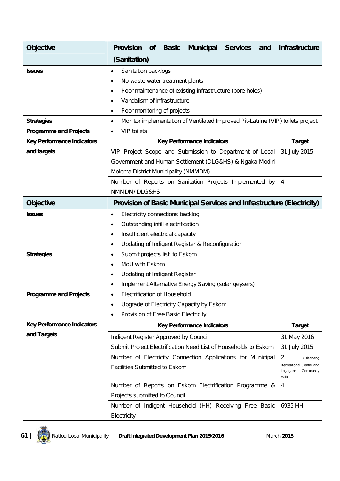| <b>Objective</b>                  | <b>Provision</b>                                  | <b>of</b> | <b>Basic</b> | <b>Municipal</b>                                    | <b>Services</b><br>and                                                          | <b>Infrastructure</b>                                     |
|-----------------------------------|---------------------------------------------------|-----------|--------------|-----------------------------------------------------|---------------------------------------------------------------------------------|-----------------------------------------------------------|
|                                   | (Sanitation)                                      |           |              |                                                     |                                                                                 |                                                           |
| <b>Issues</b>                     | Sanitation backlogs<br>$\bullet$                  |           |              |                                                     |                                                                                 |                                                           |
|                                   | No waste water treatment plants<br>$\bullet$      |           |              |                                                     |                                                                                 |                                                           |
|                                   | $\bullet$                                         |           |              |                                                     | Poor maintenance of existing infrastructure (bore holes)                        |                                                           |
|                                   | Vandalism of infrastructure<br>٠                  |           |              |                                                     |                                                                                 |                                                           |
|                                   | Poor monitoring of projects<br>٠                  |           |              |                                                     |                                                                                 |                                                           |
| <b>Strategies</b>                 | $\bullet$                                         |           |              |                                                     | Monitor implementation of Ventilated Improved Pit-Latrine (VIP) toilets project |                                                           |
| <b>Programme and Projects</b>     | <b>VIP</b> toilets<br>$\bullet$                   |           |              |                                                     |                                                                                 |                                                           |
| <b>Key Performance Indicators</b> |                                                   |           |              | <b>Key Performance Indicators</b>                   |                                                                                 | <b>Target</b>                                             |
| and targets                       |                                                   |           |              |                                                     | VIP Project Scope and Submission to Department of Local                         | 31 July 2015                                              |
|                                   |                                                   |           |              |                                                     | Government and Human Settlement (DLG&HS) & Ngaka Modiri                         |                                                           |
|                                   | Molema District Municipality (NMMDM)              |           |              |                                                     |                                                                                 |                                                           |
|                                   |                                                   |           |              |                                                     | Number of Reports on Sanitation Projects Implemented by                         | 4                                                         |
|                                   | NMMDM/DLG&HS                                      |           |              |                                                     |                                                                                 |                                                           |
| <b>Objective</b>                  |                                                   |           |              |                                                     | <b>Provision of Basic Municipal Services and Infrastructure (Electricity)</b>   |                                                           |
| <b>Issues</b>                     | Electricity connections backlog<br>$\bullet$      |           |              |                                                     |                                                                                 |                                                           |
|                                   | Outstanding infill electrification<br>٠           |           |              |                                                     |                                                                                 |                                                           |
|                                   | Insufficient electrical capacity<br>$\bullet$     |           |              |                                                     |                                                                                 |                                                           |
|                                   | $\bullet$                                         |           |              | Updating of Indigent Register & Reconfiguration     |                                                                                 |                                                           |
| <b>Strategies</b>                 | Submit projects list to Eskom<br>٠                |           |              |                                                     |                                                                                 |                                                           |
|                                   | MoU with Eskom<br>$\bullet$                       |           |              |                                                     |                                                                                 |                                                           |
|                                   | <b>Updating of Indigent Register</b><br>$\bullet$ |           |              |                                                     |                                                                                 |                                                           |
|                                   | $\bullet$                                         |           |              | Implement Alternative Energy Saving (solar geysers) |                                                                                 |                                                           |
| <b>Programme and Projects</b>     | Electrification of Household<br>٠                 |           |              |                                                     |                                                                                 |                                                           |
|                                   | $\bullet$                                         |           |              | Upgrade of Electricity Capacity by Eskom            |                                                                                 |                                                           |
|                                   | Provision of Free Basic Electricity<br>٠          |           |              |                                                     |                                                                                 |                                                           |
| <b>Key Performance Indicators</b> |                                                   |           |              | <b>Key Performance Indicators</b>                   |                                                                                 | <b>Target</b>                                             |
| and Targets                       | Indigent Register Approved by Council             |           |              |                                                     |                                                                                 | 31 May 2016                                               |
|                                   |                                                   |           |              |                                                     | Submit Project Electrification Need List of Households to Eskom                 | 31 July 2015                                              |
|                                   |                                                   |           |              |                                                     | Number of Electricity Connection Applications for Municipal                     | $\overline{2}$<br>(Disaneng                               |
|                                   | Facilities Submitted to Eskom                     |           |              |                                                     |                                                                                 | Recreational Centre and<br>Logagane<br>Community<br>Hall) |
|                                   |                                                   |           |              |                                                     | Number of Reports on Eskom Electrification Programme &                          | 4                                                         |
|                                   | Projects submitted to Council                     |           |              |                                                     |                                                                                 |                                                           |
|                                   |                                                   |           |              |                                                     | Number of Indigent Household (HH) Receiving Free Basic                          | 6935 HH                                                   |
|                                   | Electricity                                       |           |              |                                                     |                                                                                 |                                                           |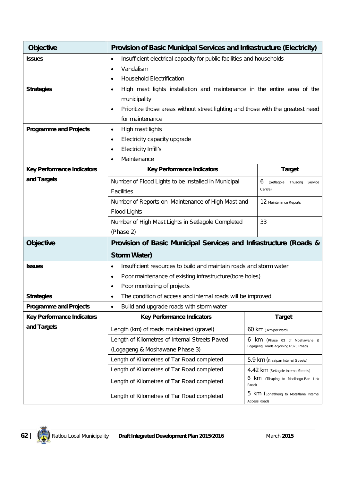| <b>Objective</b>                  | <b>Provision of Basic Municipal Services and Infrastructure (Electricity)</b>                |                                                         |  |  |  |
|-----------------------------------|----------------------------------------------------------------------------------------------|---------------------------------------------------------|--|--|--|
| <b>Issues</b>                     | Insufficient electrical capacity for public facilities and households<br>$\bullet$           |                                                         |  |  |  |
|                                   | Vandalism                                                                                    |                                                         |  |  |  |
|                                   | <b>Household Electrification</b><br>$\bullet$                                                |                                                         |  |  |  |
| <b>Strategies</b>                 | High mast lights installation and maintenance in the entire area of the<br>٠                 |                                                         |  |  |  |
|                                   | municipality                                                                                 |                                                         |  |  |  |
|                                   | Prioritize those areas without street lighting and those with the greatest need<br>$\bullet$ |                                                         |  |  |  |
|                                   | for maintenance                                                                              |                                                         |  |  |  |
| <b>Programme and Projects</b>     | High mast lights<br>$\bullet$                                                                |                                                         |  |  |  |
|                                   | Electricity capacity upgrade<br>$\bullet$                                                    |                                                         |  |  |  |
|                                   | Electricity Infill's<br>$\bullet$                                                            |                                                         |  |  |  |
|                                   | Maintenance<br>$\bullet$                                                                     |                                                         |  |  |  |
| <b>Key Performance Indicators</b> | <b>Key Performance Indicators</b>                                                            | <b>Target</b>                                           |  |  |  |
| and Targets                       | Number of Flood Lights to be Installed in Municipal                                          | 6<br>(Setlagole Thusong<br>Service                      |  |  |  |
|                                   | <b>Facilities</b>                                                                            | Centre)                                                 |  |  |  |
|                                   | Number of Reports on Maintenance of High Mast and                                            | 12 Maintenance Reports                                  |  |  |  |
|                                   | Flood Lights                                                                                 |                                                         |  |  |  |
|                                   | Number of High Mast Lights in Setlagole Completed<br>33                                      |                                                         |  |  |  |
|                                   | (Phase 2)                                                                                    |                                                         |  |  |  |
| <b>Objective</b>                  | Provision of Basic Municipal Services and Infrastructure (Roads &                            |                                                         |  |  |  |
|                                   | <b>Storm Water)</b>                                                                          |                                                         |  |  |  |
| <b>Issues</b>                     | Insufficient resources to build and maintain roads and storm water<br>$\bullet$              |                                                         |  |  |  |
|                                   | Poor maintenance of existing infrastructure(bore holes)<br>$\bullet$                         |                                                         |  |  |  |
|                                   | Poor monitoring of projects<br>٠                                                             |                                                         |  |  |  |
| <b>Strategies</b>                 | The condition of access and internal roads will be improved.<br>٠                            |                                                         |  |  |  |
| <b>Programme and Projects</b>     | Build and upgrade roads with storm water<br>$\bullet$                                        |                                                         |  |  |  |
| <b>Key Performance Indicators</b> | <b>Key Performance Indicators</b>                                                            | <b>Target</b>                                           |  |  |  |
| and Targets                       | Length (km) of roads maintained (gravel)                                                     | 60 km (3km per ward)                                    |  |  |  |
|                                   | Length of Kilometres of Internal Streets Paved                                               | 6 KM (Phase 03 of Moshawane &                           |  |  |  |
|                                   | Logageng Roads adjoining R375 Road)<br>(Logageng & Moshawane Phase 3)                        |                                                         |  |  |  |
|                                   | Length of Kilometres of Tar Road completed<br>5.9 km (Kraaipan Internal Streets)             |                                                         |  |  |  |
|                                   | Length of Kilometres of Tar Road completed<br>4.42 km (Setlagole Internal Streets)           |                                                         |  |  |  |
|                                   | Length of Kilometres of Tar Road completed                                                   | 6 km (Tihaping to Madibogo-Pan Link<br>Road)            |  |  |  |
|                                   | Length of Kilometres of Tar Road completed                                                   | 5 km (Lohatlheng to Motsitlane Internal<br>Access Road) |  |  |  |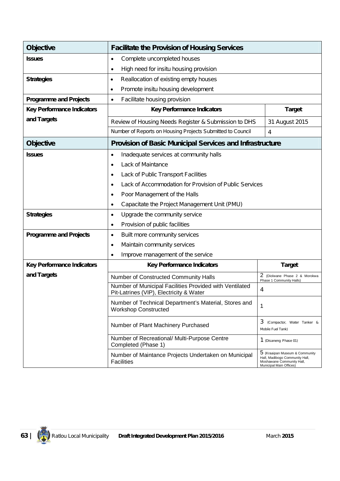| <b>Objective</b>                  | <b>Facilitate the Provision of Housing Services</b>                                                                                                                                         |                                                                                                                          |  |  |  |
|-----------------------------------|---------------------------------------------------------------------------------------------------------------------------------------------------------------------------------------------|--------------------------------------------------------------------------------------------------------------------------|--|--|--|
| <b>Issues</b>                     | Complete uncompleted houses<br>$\bullet$                                                                                                                                                    |                                                                                                                          |  |  |  |
|                                   | High need for insitu housing provision<br>$\bullet$                                                                                                                                         |                                                                                                                          |  |  |  |
| <b>Strategies</b>                 | Reallocation of existing empty houses<br>٠                                                                                                                                                  |                                                                                                                          |  |  |  |
|                                   | Promote insitu housing development<br>٠                                                                                                                                                     |                                                                                                                          |  |  |  |
| <b>Programme and Projects</b>     | Facilitate housing provision<br>$\bullet$                                                                                                                                                   |                                                                                                                          |  |  |  |
| <b>Key Performance Indicators</b> | <b>Key Performance Indicators</b>                                                                                                                                                           | <b>Target</b>                                                                                                            |  |  |  |
| and Targets                       | Review of Housing Needs Register & Submission to DHS                                                                                                                                        | 31 August 2015                                                                                                           |  |  |  |
|                                   | Number of Reports on Housing Projects Submitted to Council                                                                                                                                  | 4                                                                                                                        |  |  |  |
| <b>Objective</b>                  | <b>Provision of Basic Municipal Services and Infrastructure</b>                                                                                                                             |                                                                                                                          |  |  |  |
| <b>Issues</b>                     | Inadequate services at community halls<br>$\bullet$                                                                                                                                         |                                                                                                                          |  |  |  |
|                                   | Lack of Maintance<br>$\bullet$                                                                                                                                                              |                                                                                                                          |  |  |  |
|                                   | Lack of Public Transport Facilities<br>$\bullet$                                                                                                                                            |                                                                                                                          |  |  |  |
|                                   | Lack of Accommodation for Provision of Public Services<br>$\bullet$                                                                                                                         |                                                                                                                          |  |  |  |
|                                   | Poor Management of the Halls<br>٠                                                                                                                                                           |                                                                                                                          |  |  |  |
|                                   | Capacitate the Project Management Unit (PMU)<br>٠                                                                                                                                           |                                                                                                                          |  |  |  |
| <b>Strategies</b>                 | Upgrade the community service<br>$\bullet$                                                                                                                                                  |                                                                                                                          |  |  |  |
|                                   | Provision of public facilities<br>$\bullet$                                                                                                                                                 |                                                                                                                          |  |  |  |
| <b>Programme and Projects</b>     | Built more community services<br>$\bullet$                                                                                                                                                  |                                                                                                                          |  |  |  |
|                                   | Maintain community services<br>$\bullet$                                                                                                                                                    |                                                                                                                          |  |  |  |
|                                   | Improve management of the service<br>$\bullet$                                                                                                                                              |                                                                                                                          |  |  |  |
| <b>Key Performance Indicators</b> | <b>Key Performance Indicators</b>                                                                                                                                                           | <b>Target</b>                                                                                                            |  |  |  |
| and Targets                       | Number of Constructed Community Halls                                                                                                                                                       | 2 (Diolwane Phase 2 & Morokwa<br>Phase 1 Community Halls)                                                                |  |  |  |
|                                   | Number of Municipal Facilities Provided with Ventilated<br>Pit-Latrines (VIP), Electricity & Water                                                                                          | 4                                                                                                                        |  |  |  |
|                                   | Number of Technical Department's Material, Stores and<br>1<br><b>Workshop Constructed</b>                                                                                                   |                                                                                                                          |  |  |  |
|                                   | 3<br>(Compactor, Water Tanker &<br>Number of Plant Machinery Purchased<br>Mobile Fuel Tank)<br>Number of Recreational/ Multi-Purpose Centre<br>1 (Disaneng Phase 01)<br>Completed (Phase 1) |                                                                                                                          |  |  |  |
|                                   |                                                                                                                                                                                             |                                                                                                                          |  |  |  |
|                                   | Number of Maintance Projects Undertaken on Municipal<br><b>Facilities</b>                                                                                                                   | 5 (Kraaipan Museum & Community<br>Hall, Madibogo Community Hall,<br>Moshawane Community Hall,<br>Municipal Main Offices) |  |  |  |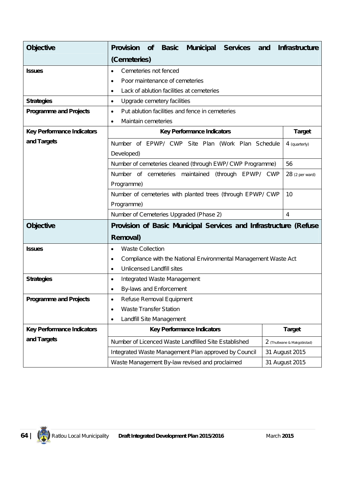| <b>Objective</b>                  | <b>Provision</b><br>Municipal Services and<br><b>Basic</b><br><b>of</b>      | <b>Infrastructure</b>       |  |  |
|-----------------------------------|------------------------------------------------------------------------------|-----------------------------|--|--|
|                                   | (Cemeteries)                                                                 |                             |  |  |
| <b>Issues</b>                     | Cemeteries not fenced<br>$\bullet$                                           |                             |  |  |
|                                   | Poor maintenance of cemeteries<br>$\bullet$                                  |                             |  |  |
|                                   | Lack of ablution facilities at cemeteries<br>$\bullet$                       |                             |  |  |
| <b>Strategies</b>                 | Upgrade cemetery facilities<br>$\bullet$                                     |                             |  |  |
| <b>Programme and Projects</b>     | Put ablution facilities and fence in cemeteries<br>$\bullet$                 |                             |  |  |
|                                   | Maintain cemeteries<br>$\bullet$                                             |                             |  |  |
| <b>Key Performance Indicators</b> | <b>Key Performance Indicators</b>                                            | <b>Target</b>               |  |  |
| and Targets                       | Number of EPWP/ CWP Site Plan (Work Plan Schedule                            | 4 (quarterly)               |  |  |
|                                   | Developed)                                                                   |                             |  |  |
|                                   | Number of cemeteries cleaned (through EWP/ CWP Programme)                    | 56                          |  |  |
|                                   | Number of cemeteries maintained (through EPWP/ CWP                           | 28 (2 per ward)             |  |  |
|                                   | Programme)                                                                   |                             |  |  |
|                                   | Number of cemeteries with planted trees (through EPWP/ CWP                   | 10                          |  |  |
|                                   | Programme)                                                                   |                             |  |  |
|                                   | Number of Cemeteries Upgraded (Phase 2)                                      | 4                           |  |  |
| <b>Objective</b>                  | Provision of Basic Municipal Services and Infrastructure (Refuse             |                             |  |  |
|                                   | Removal)                                                                     |                             |  |  |
| <b>Issues</b>                     | <b>Waste Collection</b><br>$\bullet$                                         |                             |  |  |
|                                   | Compliance with the National Environmental Management Waste Act<br>$\bullet$ |                             |  |  |
|                                   | <b>Unlicensed Landfill sites</b><br>$\bullet$                                |                             |  |  |
| <b>Strategies</b>                 | Integrated Waste Management<br>$\bullet$                                     |                             |  |  |
|                                   | By-laws and Enforcement<br>$\bullet$                                         |                             |  |  |
| <b>Programme and Projects</b>     | Refuse Removal Equipment<br>٠                                                |                             |  |  |
|                                   | <b>Waste Transfer Station</b><br>$\bullet$                                   |                             |  |  |
|                                   | Landfill Site Management<br>$\bullet$                                        |                             |  |  |
| <b>Key Performance Indicators</b> | <b>Key Performance Indicators</b>                                            | <b>Target</b>               |  |  |
| and Targets                       | Number of Licenced Waste Landfilled Site Established                         | 2 (Thutlwane & Makgobistad) |  |  |
|                                   | Integrated Waste Management Plan approved by Council                         | 31 August 2015              |  |  |
|                                   | Waste Management By-law revised and proclaimed                               | 31 August 2015              |  |  |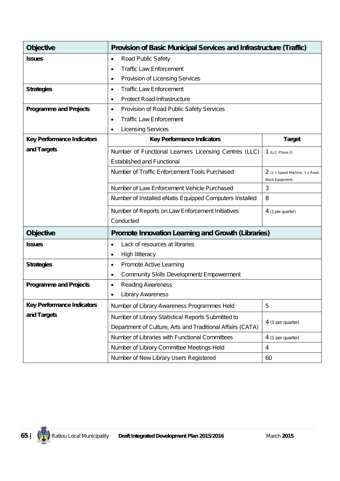| <b>Objective</b>                  | <b>Provision of Basic Municipal Services and Infrastructure (Traffic)</b>                                  |                   |  |  |  |
|-----------------------------------|------------------------------------------------------------------------------------------------------------|-------------------|--|--|--|
| <b>Issues</b>                     | Road Public Safety<br>٠                                                                                    |                   |  |  |  |
|                                   | <b>Traffic Law Enforcement</b><br>٠                                                                        |                   |  |  |  |
|                                   | Provision of Licensing Services<br>٠                                                                       |                   |  |  |  |
| <b>Strategies</b>                 | <b>Traffic Law Enforcement</b><br>٠                                                                        |                   |  |  |  |
|                                   | Protect Road Infrastructure<br>٠                                                                           |                   |  |  |  |
| <b>Programme and Projects</b>     | Provision of Road Public Safety Services<br>٠                                                              |                   |  |  |  |
|                                   | <b>Traffic Law Enforcement</b><br>٠                                                                        |                   |  |  |  |
|                                   | <b>Licensing Services</b><br>٠                                                                             |                   |  |  |  |
| <b>Key Performance Indicators</b> | <b>Key Performance Indicators</b>                                                                          | <b>Target</b>     |  |  |  |
| and Targets                       | Number of Functional Learners Licensing Centres (LLC)                                                      | 1 (LLC Phase 2)   |  |  |  |
|                                   | <b>Established and Functional</b>                                                                          |                   |  |  |  |
|                                   | Number of Traffic Enforcement Tools Purchased<br>2 (1 x Speed Machine, 1 x Road<br><b>Block Equipment)</b> |                   |  |  |  |
|                                   | 3<br>Number of Law Enforcement Vehicle Purchased                                                           |                   |  |  |  |
|                                   | 8<br>Number of Installed eNatis Equipped Computers Installed                                               |                   |  |  |  |
|                                   | Number of Reports on Law Enforcement Initiatives                                                           | 4 (1 per quarter) |  |  |  |
|                                   | Conducted                                                                                                  |                   |  |  |  |
| <b>Objective</b>                  | <b>Promote Innovation Learning and Growth (Libraries)</b>                                                  |                   |  |  |  |
| <b>Issues</b>                     | Lack of resources at libraries<br>٠                                                                        |                   |  |  |  |
|                                   | <b>High Illiteracy</b><br>٠                                                                                |                   |  |  |  |
| <b>Strategies</b>                 | Promote Active Learning<br>٠                                                                               |                   |  |  |  |
|                                   | Community Skills Development/ Empowerment<br>٠                                                             |                   |  |  |  |
| <b>Programme and Projects</b>     | <b>Reading Awareness</b><br>٠                                                                              |                   |  |  |  |
|                                   | <b>Library Awareness</b><br>$\bullet$                                                                      |                   |  |  |  |
| <b>Key Performance Indicators</b> | Number of Library Awareness Programmes Held                                                                | 5                 |  |  |  |
| and Targets                       | Number of Library Statistical Reports Submitted to                                                         |                   |  |  |  |
|                                   | 4 (1 per quarter)<br>Department of Culture, Arts and Traditional Affairs (CATA)                            |                   |  |  |  |
|                                   | Number of Libraries with Functional Committees                                                             | 4 (1 per quarter) |  |  |  |
|                                   | Number of Library Committee Meetings Held<br>$\overline{4}$                                                |                   |  |  |  |
|                                   | Number of New Library Users Registered<br>60                                                               |                   |  |  |  |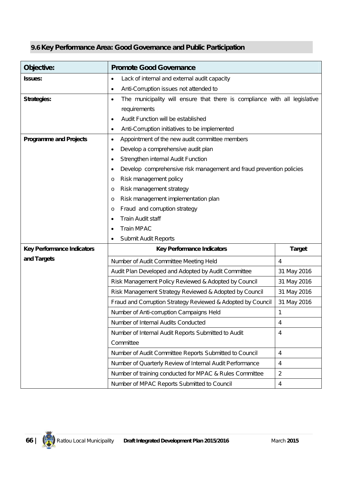# **9.6 Key Performance Area: Good Governance and Public Participation**

| Objective:                        | <b>Promote Good Governance</b>                                                          |                |  |  |  |  |
|-----------------------------------|-----------------------------------------------------------------------------------------|----------------|--|--|--|--|
| <b>Issues:</b>                    | Lack of internal and external audit capacity<br>$\bullet$                               |                |  |  |  |  |
|                                   | Anti-Corruption issues not attended to                                                  |                |  |  |  |  |
| <b>Strategies:</b>                | The municipality will ensure that there is compliance with all legislative<br>$\bullet$ |                |  |  |  |  |
|                                   | requirements                                                                            |                |  |  |  |  |
|                                   | Audit Function will be established                                                      |                |  |  |  |  |
|                                   | Anti-Corruption initiatives to be implemented<br>$\bullet$                              |                |  |  |  |  |
| <b>Programme and Projects</b>     | Appointment of the new audit committee members<br>٠                                     |                |  |  |  |  |
|                                   | Develop a comprehensive audit plan<br>6                                                 |                |  |  |  |  |
|                                   | Strengthen internal Audit Function                                                      |                |  |  |  |  |
|                                   | Develop comprehensive risk management and fraud prevention policies<br>٠                |                |  |  |  |  |
|                                   | Risk management policy<br>O                                                             |                |  |  |  |  |
|                                   | Risk management strategy<br>O                                                           |                |  |  |  |  |
|                                   | Risk management implementation plan<br>O                                                |                |  |  |  |  |
|                                   | Fraud and corruption strategy<br>O                                                      |                |  |  |  |  |
|                                   | Train Audit staff                                                                       |                |  |  |  |  |
|                                   | <b>Train MPAC</b>                                                                       |                |  |  |  |  |
|                                   | Submit Audit Reports                                                                    |                |  |  |  |  |
| <b>Key Performance Indicators</b> | <b>Key Performance Indicators</b>                                                       | <b>Target</b>  |  |  |  |  |
| and Targets                       | Number of Audit Committee Meeting Held                                                  | $\overline{4}$ |  |  |  |  |
|                                   | Audit Plan Developed and Adopted by Audit Committee                                     | 31 May 2016    |  |  |  |  |
|                                   | Risk Management Policy Reviewed & Adopted by Council                                    | 31 May 2016    |  |  |  |  |
|                                   | Risk Management Strategy Reviewed & Adopted by Council                                  | 31 May 2016    |  |  |  |  |
|                                   | Fraud and Corruption Strategy Reviewed & Adopted by Council                             | 31 May 2016    |  |  |  |  |
|                                   | Number of Anti-corruption Campaigns Held                                                | 1              |  |  |  |  |
|                                   | Number of Internal Audits Conducted<br>4                                                |                |  |  |  |  |
|                                   | Number of Internal Audit Reports Submitted to Audit<br>$\overline{4}$                   |                |  |  |  |  |
|                                   | Committee                                                                               |                |  |  |  |  |
|                                   | Number of Audit Committee Reports Submitted to Council<br>$\overline{4}$                |                |  |  |  |  |
|                                   | Number of Quarterly Review of Internal Audit Performance                                | $\overline{4}$ |  |  |  |  |
|                                   | Number of training conducted for MPAC & Rules Committee                                 | $\overline{2}$ |  |  |  |  |
|                                   | Number of MPAC Reports Submitted to Council                                             | $\overline{4}$ |  |  |  |  |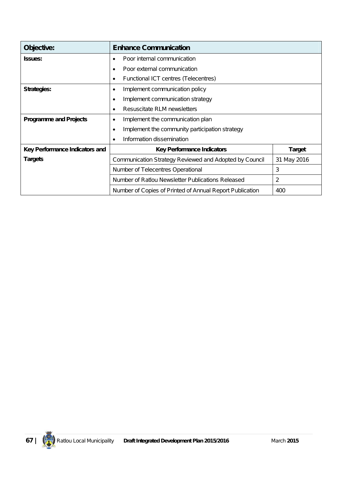| Objective:                     | <b>Enhance Communication</b>                             |               |  |  |  |  |
|--------------------------------|----------------------------------------------------------|---------------|--|--|--|--|
| <b>Issues:</b>                 | Poor internal communication<br>$\bullet$                 |               |  |  |  |  |
|                                | Poor external communication                              |               |  |  |  |  |
|                                | Functional ICT centres (Telecentres)<br>٠                |               |  |  |  |  |
| <b>Strategies:</b>             | Implement communication policy<br>٠                      |               |  |  |  |  |
|                                | Implement communication strategy<br>٠                    |               |  |  |  |  |
|                                | Resuscitate RLM newsletters                              |               |  |  |  |  |
| <b>Programme and Projects</b>  | Implement the communication plan<br>٠                    |               |  |  |  |  |
|                                | Implement the community participation strategy<br>٠      |               |  |  |  |  |
|                                | Information dissemination                                |               |  |  |  |  |
| Key Performance Indicators and | <b>Key Performance Indicators</b>                        | <b>Target</b> |  |  |  |  |
| <b>Targets</b>                 | Communication Strategy Reviewed and Adopted by Council   | 31 May 2016   |  |  |  |  |
|                                | 3<br>Number of Telecentres Operational                   |               |  |  |  |  |
|                                | Number of Ratlou Newsletter Publications Released<br>2   |               |  |  |  |  |
|                                | Number of Copies of Printed of Annual Report Publication | 400           |  |  |  |  |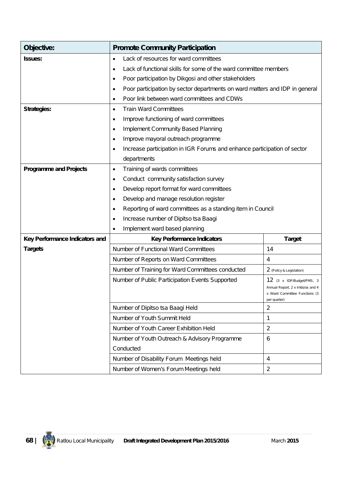| Objective:                     | <b>Promote Community Participation</b>                                                                                                                            |                          |  |  |  |  |
|--------------------------------|-------------------------------------------------------------------------------------------------------------------------------------------------------------------|--------------------------|--|--|--|--|
| <b>Issues:</b>                 | Lack of resources for ward committees<br>٠                                                                                                                        |                          |  |  |  |  |
|                                | Lack of functional skills for some of the ward committee members<br>$\bullet$                                                                                     |                          |  |  |  |  |
|                                | Poor participation by Dikgosi and other stakeholders<br>$\bullet$                                                                                                 |                          |  |  |  |  |
|                                | Poor participation by sector departments on ward matters and IDP in general<br>٠                                                                                  |                          |  |  |  |  |
|                                | Poor link between ward committees and CDWs<br>$\bullet$                                                                                                           |                          |  |  |  |  |
| <b>Strategies:</b>             | <b>Train Ward Committees</b><br>$\bullet$                                                                                                                         |                          |  |  |  |  |
|                                | Improve functioning of ward committees<br>$\bullet$                                                                                                               |                          |  |  |  |  |
|                                | <b>Implement Community Based Planning</b><br>$\bullet$                                                                                                            |                          |  |  |  |  |
|                                | Improve mayoral outreach programme<br>$\bullet$                                                                                                                   |                          |  |  |  |  |
|                                | Increase participation in IGR Forums and enhance participation of sector<br>٠                                                                                     |                          |  |  |  |  |
|                                | departments                                                                                                                                                       |                          |  |  |  |  |
| <b>Programme and Projects</b>  | Training of wards committees<br>$\bullet$                                                                                                                         |                          |  |  |  |  |
|                                | Conduct community satisfaction survey<br>٠                                                                                                                        |                          |  |  |  |  |
|                                | Develop report format for ward committees<br>$\bullet$                                                                                                            |                          |  |  |  |  |
|                                | Develop and manage resolution register<br>$\bullet$                                                                                                               |                          |  |  |  |  |
|                                | Reporting of ward committees as a standing item in Council<br>٠                                                                                                   |                          |  |  |  |  |
|                                | Increase number of Dipitso tsa Baagi                                                                                                                              |                          |  |  |  |  |
|                                | Implement ward based planning<br>$\bullet$                                                                                                                        |                          |  |  |  |  |
| Key Performance Indicators and | <b>Key Performance Indicators</b>                                                                                                                                 | <b>Target</b>            |  |  |  |  |
| <b>Targets</b>                 | Number of Functional Ward Committees                                                                                                                              | 14                       |  |  |  |  |
|                                | Number of Reports on Ward Committees                                                                                                                              | 4                        |  |  |  |  |
|                                | Number of Training for Ward Committees conducted                                                                                                                  | 2 (Policy & Legislation) |  |  |  |  |
|                                | Number of Public Participation Events Supported<br>12 (3 x IDP/Budget/PMS, 3<br>Annual Report, 2 x Imbizos and 4<br>x Ward Committee Functions (3<br>per quarter) |                          |  |  |  |  |
|                                | Number of Dipitso tsa Baagi Held                                                                                                                                  | $\overline{2}$           |  |  |  |  |
|                                | Number of Youth Summit Held                                                                                                                                       | 1                        |  |  |  |  |
|                                | Number of Youth Career Exhibition Held                                                                                                                            | $\overline{2}$           |  |  |  |  |
|                                | Number of Youth Outreach & Advisory Programme                                                                                                                     | 6                        |  |  |  |  |
|                                | Conducted                                                                                                                                                         |                          |  |  |  |  |
|                                | Number of Disability Forum Meetings held                                                                                                                          | $\overline{4}$           |  |  |  |  |
|                                | Number of Women's Forum Meetings held                                                                                                                             | $\overline{2}$           |  |  |  |  |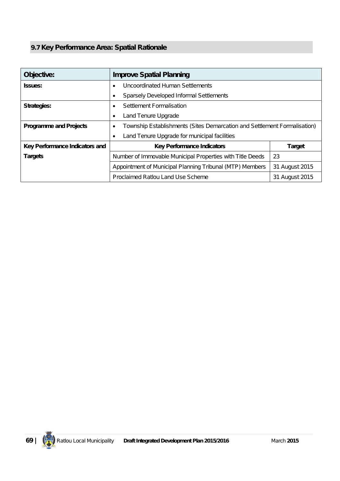# **9.7 Key Performance Area: Spatial Rationale**

| Objective:                     | <b>Improve Spatial Planning</b>                                               |                |  |  |  |  |
|--------------------------------|-------------------------------------------------------------------------------|----------------|--|--|--|--|
| <b>Issues:</b>                 | Uncoordinated Human Settlements<br>$\bullet$                                  |                |  |  |  |  |
|                                | <b>Sparsely Developed Informal Settlements</b>                                |                |  |  |  |  |
| <b>Strategies:</b>             | Settlement Formalisation<br>٠                                                 |                |  |  |  |  |
|                                | Land Tenure Upgrade<br>٠                                                      |                |  |  |  |  |
| <b>Programme and Projects</b>  | Township Establishments (Sites Demarcation and Settlement Formalisation)<br>٠ |                |  |  |  |  |
|                                | Land Tenure Upgrade for municipal facilities<br>٠                             |                |  |  |  |  |
| Key Performance Indicators and | <b>Key Performance Indicators</b><br><b>Target</b>                            |                |  |  |  |  |
| <b>Targets</b>                 | 23<br>Number of Immovable Municipal Properties with Title Deeds               |                |  |  |  |  |
|                                | Appointment of Municipal Planning Tribunal (MTP) Members<br>31 August 2015    |                |  |  |  |  |
|                                | Proclaimed Ratlou Land Use Scheme                                             | 31 August 2015 |  |  |  |  |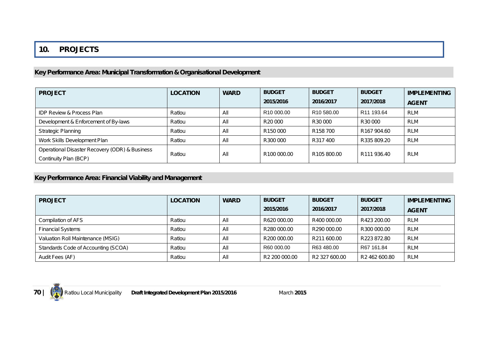## **10. PROJECTS**

## **Key Performance Area: Municipal Transformation & Organisational Development**

| <b>PROJECT</b>                                                          | <b>LOCATION</b> | <b>WARD</b> | <b>BUDGET</b>           | <b>BUDGET</b>          | <b>BUDGET</b>           | <b>IMPLEMENTING</b> |
|-------------------------------------------------------------------------|-----------------|-------------|-------------------------|------------------------|-------------------------|---------------------|
|                                                                         |                 |             | 2015/2016               | 2016/2017              | 2017/2018               | <b>AGENT</b>        |
| <b>IDP Review &amp; Process Plan</b>                                    | Ratlou          | All         | R <sub>10</sub> 000.00  | R <sub>10</sub> 580.00 | R <sub>11</sub> 193.64  | <b>RLM</b>          |
| Development & Enforcement of By-laws                                    | Ratlou          | Αll         | R <sub>20</sub> 000     | R30 000                | R30 000                 | <b>RLM</b>          |
| <b>Strategic Planning</b>                                               | Ratlou          | All         | R <sub>150</sub> 000    | R <sub>158</sub> 700   | R <sub>167</sub> 904.60 | <b>RLM</b>          |
| Work Skills Development Plan                                            | Ratlou          | Αll         | R300 000                | R317400                | R335 809.20             | <b>RLM</b>          |
| Operational Disaster Recovery (ODR) & Business<br>Continuity Plan (BCP) | Ratlou          | All         | R <sub>100</sub> 000.00 | R105 800.00            | R <sub>111</sub> 936.40 | <b>RLM</b>          |

## **Key Performance Area: Financial Viability and Management**

| <b>PROJECT</b>                      | <b>LOCATION</b> | <b>WARD</b> | <b>BUDGET</b>             | <b>BUDGET</b>             | <b>BUDGET</b>             | <b>IMPLEMENTING</b> |
|-------------------------------------|-----------------|-------------|---------------------------|---------------------------|---------------------------|---------------------|
|                                     |                 |             | 2015/2016                 | 2016/2017                 | 2017/2018                 | <b>AGENT</b>        |
| Compilation of AFS                  | Ratlou          | All         | R620 000.00               | R400 000.00               | R423 200.00               | <b>RLM</b>          |
| <b>Financial Systems</b>            | Ratlou          | All         | R280 000.00               | R290 000.00               | R300 000.00               | <b>RLM</b>          |
| Valuation Roll Maintenance (MSIG)   | Ratlou          | All         | R200 000.00               | R211 600.00               | R223 872.80               | <b>RLM</b>          |
| Standards Code of Accounting (SCOA) | Ratlou          | All         | R60 000.00                | R63 480.00                | R67 161.84                | <b>RLM</b>          |
| Audit Fees (AF)                     | Ratlou          | All         | R <sub>2</sub> 200 000.00 | R <sub>2</sub> 327 600.00 | R <sub>2</sub> 462 600.80 | <b>RLM</b>          |

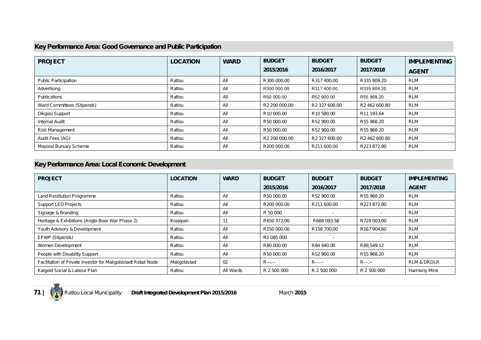#### **Key Performance Area: Good Governance and Public Participation**

| <b>PROJECT</b>              | <b>LOCATION</b> | <b>WARD</b> | <b>BUDGET</b> | <b>BUDGET</b>             | <b>BUDGET</b>             | <b>IMPLEMENTING</b> |
|-----------------------------|-----------------|-------------|---------------|---------------------------|---------------------------|---------------------|
|                             |                 |             | 2015/2016     | 2016/2017                 | 2017/2018                 | <b>AGENT</b>        |
| <b>Public Participation</b> | Ratlou          | All         | R300 000.00   | R317 400.00               | R335 809.20               | <b>RLM</b>          |
| Advertising                 | Ratlou          | All         | R300 000.00   | R317 400.00               | R335 809.20               | <b>RLM</b>          |
| <b>Publications</b>         | Ratlou          | All         | R50 000.00    | R52 900.00                | R55 968.20                | <b>RLM</b>          |
| Ward Committees (Stipends)  | Ratlou          | All         | R2 200 000.00 | R2 327 600.00             | R2 462 600.80             | <b>RLM</b>          |
| Dikgosi Support             | Ratlou          | All         | R10 000.00    | R10 580.00                | R11 193.64                | <b>RLM</b>          |
| <b>Internal Audit</b>       | Ratlou          | All         | R50 000.00    | R52 900.00                | R55 968.20                | <b>RLM</b>          |
| Risk Management             | Ratlou          | All         | R50 000.00    | R52 900.00                | R55 968.20                | <b>RLM</b>          |
| Audit Fees (AG)             | Ratlou          | All         | R2 200 000.00 | R <sub>2</sub> 327 600.00 | R <sub>2</sub> 462 600.80 | <b>RLM</b>          |
| Mayoral Bursary Scheme      | Ratlou          | All         | R200 000.00   | R211 600.00               | R223 872.80               | <b>RLM</b>          |

## **Key Performance Area: Local Economic Development**

| <b>PROJECT</b>                                                | <b>LOCATION</b> | <b>WARD</b> | <b>BUDGET</b> | <b>BUDGET</b> | <b>BUDGET</b>            | <b>IMPLEMENTING</b>    |
|---------------------------------------------------------------|-----------------|-------------|---------------|---------------|--------------------------|------------------------|
|                                                               |                 |             | 2015/2016     | 2016/2017     | 2017/2018                | <b>AGENT</b>           |
| Land Restitution Programme                                    | Ratlou          | All         | R50 000.00    | R52 900.00    | R55 968.20               | <b>RLM</b>             |
| <b>Support LED Projects</b>                                   | Ratlou          | All         | R200 000.00   | R211 600.00   | R223 872.80              | RLM                    |
| Signage & Branding                                            | Ratlou          | All         | R 50 000      |               | $\overline{\phantom{a}}$ | RLM                    |
| Heritage & Exhibitions (Anglo-Boer War Phase 2)               | Kraaipan        | 11          | R650 372.00   | R688 093.58   | R728 003.00              | <b>RLM</b>             |
| Youth Advisory & Development                                  | Ratlou          | All         | R150 000.00   | R158 700.00   | R167 904.60              | RLM                    |
| EPWP (Stipends)                                               | Ratlou          | All         | R1 085 000    |               |                          | <b>RLM</b>             |
| Women Development                                             | Ratlou          | All         | R80 000.00    | R84 640.00    | R89,549.12               | <b>RLM</b>             |
| People with Disability Support                                | Ratlou          | All         | R50 000.00    | R52 900.00    | R55 968.20               | <b>RLM</b>             |
| Facilitation of Private Investor for Makgobistadt Retail Node | Makgobistad     | 02          | $R$ ---.--    | $R$ ---.--    | $R$ ---.--               | <b>RLM &amp; DRDLR</b> |
| Kalgold Social & Labour Plan                                  | Ratlou          | All Wards   | R 2 500 000   | R 2 500 000   | R 2 500 000              | Harmony Mine           |

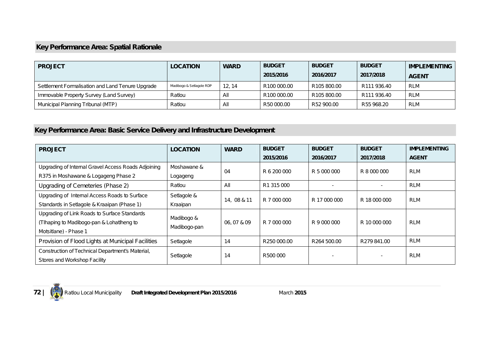# **Key Performance Area: Spatial Rationale**

| <b>PROJECT</b>                                   | <b>LOCATION</b>          | <b>WARD</b> | <b>BUDGET</b> | <b>BUDGET</b> | <b>BUDGET</b> | <b>IMPLEMENTING</b> |
|--------------------------------------------------|--------------------------|-------------|---------------|---------------|---------------|---------------------|
|                                                  |                          |             | 2015/2016     | 2016/2017     | 2017/2018     | <b>AGENT</b>        |
| Settlement Formalisation and Land Tenure Upgrade | Madibogo & Setlagole RDP | 12.14       | R100 000.00   | R105 800.00   | R111 936.40   | <b>RLM</b>          |
| Immovable Property Survey (Land Survey)          | Ratlou                   | All         | R100 000.00   | R105 800.00   | R111 936.40   | <b>RLM</b>          |
| Municipal Planning Tribunal (MTP)                | Ratlou                   | All         | R50 000.00    | R52 900.00    | R55 968.20    | <b>RLM</b>          |

# **Key Performance Area: Basic Service Delivery and Infrastructure Development**

| <b>PROJECT</b>                                      | <b>LOCATION</b> | <b>WARD</b> | <b>BUDGET</b> | <b>BUDGET</b> | <b>BUDGET</b> | <b>IMPLEMENTING</b> |
|-----------------------------------------------------|-----------------|-------------|---------------|---------------|---------------|---------------------|
|                                                     |                 |             | 2015/2016     | 2016/2017     | 2017/2018     | <b>AGENT</b>        |
| Upgrading of Internal Gravel Access Roads Adjoining | Moshawane &     | 04          | R 6 200 000   | R 5 000 000   | R 8 000 000   | <b>RLM</b>          |
| R375 in Moshawane & Logageng Phase 2                | Logageng        |             |               |               |               |                     |
| Upgrading of Cemeteries (Phase 2)                   | Ratlou          | All         | R1 315 000    |               |               | <b>RLM</b>          |
| Upgrading of Internal Access Roads to Surface       | Setlagole &     | 14, 08 & 11 | R 7 000 000   | R 17 000 000  | R 18 000 000  | <b>RLM</b>          |
| Standards in Setlagole & Kraaipan (Phase 1)         | Kraaipan        |             |               |               |               |                     |
| Upgrading of Link Roads to Surface Standards        | Madibogo &      |             |               |               |               |                     |
| (Tlhaping to Madibogo-pan & Lohatlheng to           | Madibogo-pan    | 06, 07 & 09 | R 7 000 000   | R 9 000 000   | R 10 000 000  | <b>RLM</b>          |
| Motsitlane) - Phase 1                               |                 |             |               |               |               |                     |
| Provision of Flood Lights at Municipal Facilities   | Setlagole       | 14          | R250 000.00   | R264 500.00   | R279 841.00   | RLM                 |
| Construction of Technical Department's Material,    | Setlagole       |             | R500 000      |               |               | <b>RLM</b>          |
| Stores and Workshop Facility                        |                 | 14          |               |               |               |                     |

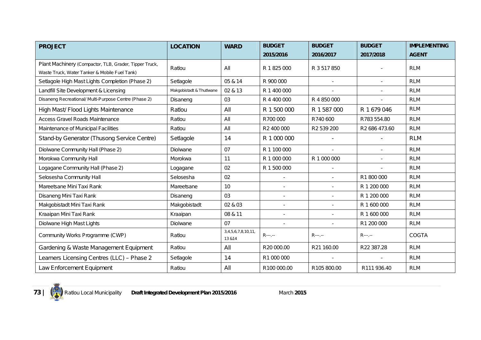| <b>PROJECT</b>                                         | <b>LOCATION</b>          | <b>WARD</b>                   | <b>BUDGET</b> | <b>BUDGET</b> | <b>BUDGET</b> | <b>IMPLEMENTING</b> |
|--------------------------------------------------------|--------------------------|-------------------------------|---------------|---------------|---------------|---------------------|
|                                                        |                          |                               | 2015/2016     | 2016/2017     | 2017/2018     | <b>AGENT</b>        |
| Plant Machinery (Compactor, TLB, Grader, Tipper Truck, | Ratlou                   | All                           | R 1 825 000   | R 3 517 850   |               | <b>RLM</b>          |
| Waste Truck, Water Tanker & Mobile Fuel Tank)          |                          |                               |               |               |               |                     |
| Setlagole High Mast Lights Completion (Phase 2)        | Setlagole                | 05 & 14                       | R 900 000     |               |               | <b>RLM</b>          |
| Landfill Site Development & Licensing                  | Makgobistadt & Thutlwane | 02 & 13                       | R 1 400 000   |               |               | <b>RLM</b>          |
| Disaneng Recreational/ Multi-Purpose Centre (Phase 2)  | Disaneng                 | 03                            | R 4 400 000   | R 4 850 000   |               | <b>RLM</b>          |
| High Mast/ Flood Lights Maintenance                    | Ratlou                   | All                           | R 1 500 000   | R 1 587 000   | R 1 679 046   | <b>RLM</b>          |
| Access Gravel Roads Maintenance                        | Ratlou                   | All                           | R700 000      | R740 600      | R783 554.80   | <b>RLM</b>          |
| Maintenance of Municipal Facilities                    | Ratlou                   | All                           | R2 400 000    | R2 539 200    | R2 686 473.60 | <b>RLM</b>          |
| Stand-by Generator (Thusong Service Centre)            | Setlagole                | 14                            | R 1 000 000   |               |               | <b>RLM</b>          |
| Diolwane Community Hall (Phase 2)                      | Diolwane                 | 07                            | R 1 100 000   |               |               | <b>RLM</b>          |
| Morokwa Community Hall                                 | Morokwa                  | 11                            | R 1 000 000   | R 1 000 000   |               | <b>RLM</b>          |
| Logagane Community Hall (Phase 2)                      | Logagane                 | 02                            | R 1 500 000   |               |               | <b>RLM</b>          |
| Selosesha Community Hall                               | Selosesha                | 02                            |               |               | R1 800 000    | <b>RLM</b>          |
| Mareetsane Mini Taxi Rank                              | Mareetsane               | 10                            |               |               | R 1 200 000   | <b>RLM</b>          |
| Disaneng Mini Taxi Rank                                | Disaneng                 | 03                            |               |               | R 1 200 000   | <b>RLM</b>          |
| Makgobistadt Mini Taxi Rank                            | Makgobistadt             | 02 & 03                       |               |               | R 1 600 000   | <b>RLM</b>          |
| Kraaipan Mini Taxi Rank                                | Kraaipan                 | 08 & 11                       |               |               | R 1 600 000   | <b>RLM</b>          |
| Diolwane High Mast Lights                              | Diolwane                 | 07                            |               |               | R1 200 000    | <b>RLM</b>          |
| Community Works Programme (CWP)                        | Ratlou                   | 3,4,5,6,7,8,10,11,<br>13 & 14 | $R$ ---.--    | $R$ ---.--    | $R$ ---.--    | <b>COGTA</b>        |
| Gardening & Waste Management Equipment                 | Ratlou                   | All                           | R20 000.00    | R21 160.00    | R22 387.28    | <b>RLM</b>          |
| Learners Licensing Centres (LLC) - Phase 2             | Setlagole                | 14                            | R1 000 000    |               |               | <b>RLM</b>          |
| Law Enforcement Equipment                              | Ratlou                   | All                           | R100 000.00   | R105 800.00   | R111 936.40   | <b>RLM</b>          |

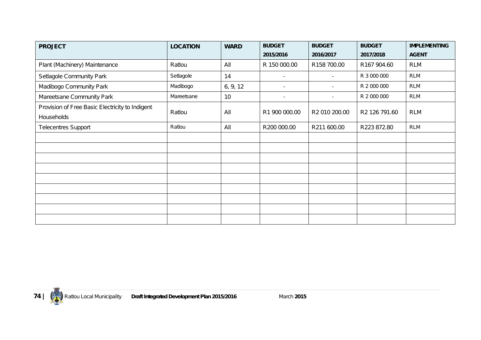| <b>PROJECT</b>                                  | <b>LOCATION</b> | <b>WARD</b> | <b>BUDGET</b>            | <b>BUDGET</b> | <b>BUDGET</b> | <b>IMPLEMENTING</b> |
|-------------------------------------------------|-----------------|-------------|--------------------------|---------------|---------------|---------------------|
|                                                 |                 |             | 2015/2016                | 2016/2017     | 2017/2018     | <b>AGENT</b>        |
| Plant (Machinery) Maintenance                   | Ratlou          | All         | R 150 000.00             | R158 700.00   | R167 904.60   | <b>RLM</b>          |
| Setlagole Community Park                        | Setlagole       | 14          | $\overline{\phantom{a}}$ | $\sim$        | R 3 000 000   | <b>RLM</b>          |
| Madibogo Community Park                         | Madibogo        | 6, 9, 12    | $\overline{\phantom{a}}$ | $\sim$        | R 2 000 000   | <b>RLM</b>          |
| Mareetsane Community Park                       | Mareetsane      | 10          | $\sim$                   | $\sim$        | R 2 000 000   | <b>RLM</b>          |
| Provision of Free Basic Electricity to Indigent | Ratlou          | All         | R1 900 000.00            | R2 010 200.00 | R2 126 791.60 | <b>RLM</b>          |
| Households                                      |                 |             |                          |               |               |                     |
| Telecentres Support                             | Ratlou          | All         | R200 000.00              | R211 600.00   | R223 872.80   | <b>RLM</b>          |
|                                                 |                 |             |                          |               |               |                     |
|                                                 |                 |             |                          |               |               |                     |
|                                                 |                 |             |                          |               |               |                     |
|                                                 |                 |             |                          |               |               |                     |
|                                                 |                 |             |                          |               |               |                     |
|                                                 |                 |             |                          |               |               |                     |
|                                                 |                 |             |                          |               |               |                     |
|                                                 |                 |             |                          |               |               |                     |
|                                                 |                 |             |                          |               |               |                     |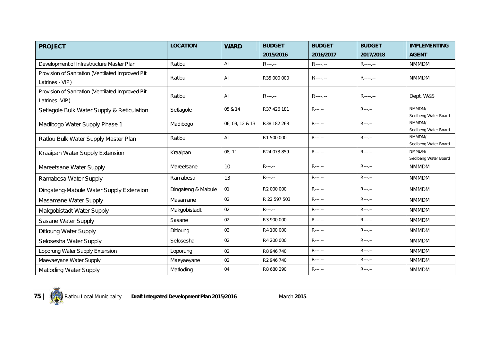| <b>PROJECT</b>                                   | <b>LOCATION</b>    | <b>WARD</b>     | <b>BUDGET</b> | <b>BUDGET</b> | <b>BUDGET</b> | <b>IMPLEMENTING</b>            |
|--------------------------------------------------|--------------------|-----------------|---------------|---------------|---------------|--------------------------------|
|                                                  |                    |                 | 2015/2016     | 2016/2017     | 2017/2018     | <b>AGENT</b>                   |
| Development of Infrastructure Master Plan        | Ratlou             | All             | $R$ ---.--    | $R$ ----.--   | $R$ ----.--   | <b>NMMDM</b>                   |
| Provision of Sanitation (Ventilated Improved Pit |                    |                 |               |               |               |                                |
| Latrines - VIP)                                  | Ratlou             | All             | R35 000 000   | $R$ ----.--   | $R$ ----.--   | <b>NMMDM</b>                   |
| Provision of Sanitation (Ventilated Improved Pit |                    |                 |               |               |               |                                |
| Latrines -VIP)                                   | Ratlou             | All             | $R$ ---.--    | $R$ ----.--   | $R$ ----.---  | Dept. W&S                      |
| Setlagole Bulk Water Supply & Reticulation       | Setlagole          | 05 & 14         | R37 426 181   | $R$ ---.--    | $R$ ---.--    | NMMDM/                         |
|                                                  |                    |                 |               |               |               | Sedibeng Water Board<br>NMMDM/ |
| Madibogo Water Supply Phase 1                    | Madibogo           | 06, 09, 12 & 13 | R38 182 268   | $R$ ---.--    | $R$ ---.--    | Sedibeng Water Board           |
| Ratlou Bulk Water Supply Master Plan             | Ratlou             | All             | R1 500 000    | $R$ ---.--    | $R$ ---.--    | NMMDM/                         |
|                                                  |                    |                 |               |               |               | Sedibeng Water Board           |
| Kraaipan Water Supply Extension                  | Kraaipan           | 08, 11          | R24 073 859   | $R$ ---.--    | $R$ ---.--    | NMMDM/                         |
|                                                  |                    |                 |               |               |               | Sedibeng Water Board           |
| Mareetsane Water Supply                          | Mareetsane         | 10              | $R$ ---.--    | $R$ ---.--    | R---.--       | <b>NMMDM</b>                   |
| Ramabesa Water Supply                            | Ramabesa           | 13              | $R$ ---.--    | $R$ ---.--    | $R$ ---.--    | <b>NMMDM</b>                   |
| Dingateng-Mabule Water Supply Extension          | Dingateng & Mabule | 01              | R2 000 000    | $R$ ---.--    | $R$ ---.--    | <b>NMMDM</b>                   |
| Masamane Water Supply                            | Masamane           | 02              | R 22 597 503  | $R$ ---.--    | $R$ ---.--    | <b>NMMDM</b>                   |
| Makgobistadt Water Supply                        | Makgobistadt       | 02              | $R$ ---.--    | $R$ ---.--    | $R$ ---.--    | <b>NMMDM</b>                   |
| Sasane Water Supply                              | Sasane             | 02              | R3 900 000    | $R$ ---.--    | $R$ ---.--    | <b>NMMDM</b>                   |
| <b>Ditloung Water Supply</b>                     | Ditloung           | 02              | R4 100 000    | $R$ ---.--    | $R$ ---.--    | <b>NMMDM</b>                   |
| Selosesha Water Supply                           | Selosesha          | 02              | R4 200 000    | $R$ ---.--    | $R$ ---.--    | <b>NMMDM</b>                   |
| Loporung Water Supply Extension                  | Loporung           | 02              | R8 946 740    | $R$ ---.--    | $R$ ---.--    | <b>NMMDM</b>                   |
| Maeyaeyane Water Supply                          | Maeyaeyane         | 02              | R2 946 740    | $R$ ---.--    | $R$ ---.--    | <b>NMMDM</b>                   |
| <b>Matloding Water Supply</b>                    | Matloding          | 04              | R8 680 290    | R---.--       | $R$ ---.--    | <b>NMMDM</b>                   |

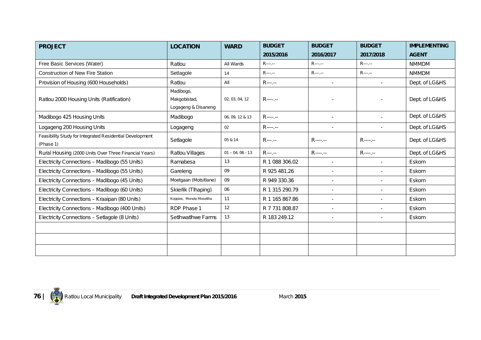| <b>PROJECT</b>                                                        | <b>LOCATION</b>                                  | <b>WARD</b>        | <b>BUDGET</b>  | <b>BUDGET</b> | <b>BUDGET</b>  | <b>IMPLEMENTING</b> |
|-----------------------------------------------------------------------|--------------------------------------------------|--------------------|----------------|---------------|----------------|---------------------|
|                                                                       |                                                  |                    | 2015/2016      | 2016/2017     | 2017/2018      | <b>AGENT</b>        |
| Free Basic Services (Water)                                           | Ratlou                                           | All Wards          | $R$ ---.--     | $R$ ---.--    | $R$ ---.--     | <b>NMMDM</b>        |
| <b>Construction of New Fire Station</b>                               | Setlagole                                        | 14                 | $R$ ---.--     | $R$ ---.--    | $R$ ---.--     | <b>NMMDM</b>        |
| Provision of Housing (600 Households)                                 | Ratlou                                           | All                | $R$ ---.--     | $\sim$        | $\blacksquare$ | Dept. of LG&HS      |
| Ratlou 2000 Housing Units (Ratification)                              | Madibogo,<br>Makgobistad,<br>Logageng & Disaneng | 02, 03, 04, 12     | $R$ ----.---   |               |                | Dept. of LG&HS      |
| Madibogo 425 Housing Units                                            | Madibogo                                         | 06, 09, 12 & 13    | $R$ ----.--    |               |                | Dept. of LG&HS      |
| Logageng 200 Housing Units                                            | Logageng                                         | 02                 | $R$ ----.--    |               |                | Dept. of LG&HS      |
| Feasibility Study for Integrated Residential Development<br>(Phase 1) | Setlagole                                        | 05 & 14            | $R$ ---.--     | $R$ ----.--   | $R$ ----.--    | Dept. of LG&HS      |
| Rural Housing (2000 Units Over Three Financial Years)                 | Ratlou Villages                                  | $01 - 04, 06 - 13$ | $R$ ---.--     | $R$ ----.--   | R----.--       | Dept. of LG&HS      |
| Electricity Connections - Madibogo (55 Units)                         | Ramabesa                                         | 13                 | R 1 088 306.02 | $\sim$        |                | Eskom               |
| Electricity Connections - Madibogo (55 Units)                         | Gareleng                                         | 09                 | R 925 481.26   |               |                | Eskom               |
| Electricity Connections - Madibogo (45 Units)                         | Moetgaan (Motsitlane)                            | 09                 | R 949 330.36   |               |                | Eskom               |
| Electricity Connections - Madibogo (60 Units)                         | Skierlik (Tlhaping)                              | 06                 | R 1 315 290.79 |               |                | Eskom               |
| Electricity Connections - Kraaipan (80 Units)                         | Koppies, Monoto Mosetlha                         | 11                 | R 1 165 867.86 | $\sim$        | $\blacksquare$ | Eskom               |
| Electricity Connections - Madibogo (400 Units)                        | RDP Phase 1                                      | 12                 | R 7 731 808.87 | $\sim$        | ÷.             | Eskom               |
| Electricity Connections - Setlagole (8 Units)                         | Setlhwatlhwe Farms                               | 13                 | R 183 249.12   | $\sim$        | $\sim$         | Eskom               |
|                                                                       |                                                  |                    |                |               |                |                     |
|                                                                       |                                                  |                    |                |               |                |                     |
|                                                                       |                                                  |                    |                |               |                |                     |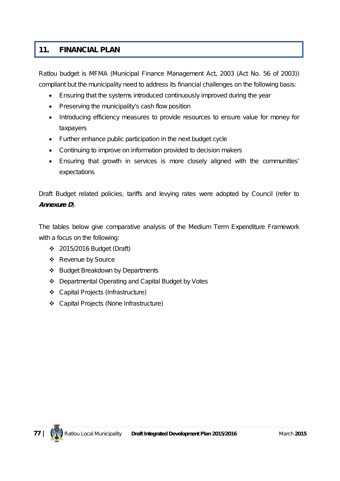# **11. FINANCIAL PLAN**

Ratlou budget is MFMA (Municipal Finance Management Act, 2003 (Act No. 56 of 2003)) compliant but the municipality need to address its financial challenges on the following basis:

- Ensuring that the systems introduced continuously improved during the year
- Preserving the municipality's cash flow position
- Introducing efficiency measures to provide resources to ensure value for money for taxpayers
- Further enhance public participation in the next budget cycle
- Continuing to improve on information provided to decision makers
- Ensuring that growth in services is more closely aligned with the communities' expectations

Draft Budget related policies, tariffs and levying rates were adopted by Council (refer to *Annexure D*).

The tables below give comparative analysis of the Medium Term Expenditure Framework with a focus on the following:

- 2015/2016 Budget (Draft)
- ❖ Revenue by Source
- ❖ Budget Breakdown by Departments
- Departmental Operating and Capital Budget by Votes
- Capital Projects (Infrastructure)
- Capital Projects (None Infrastructure)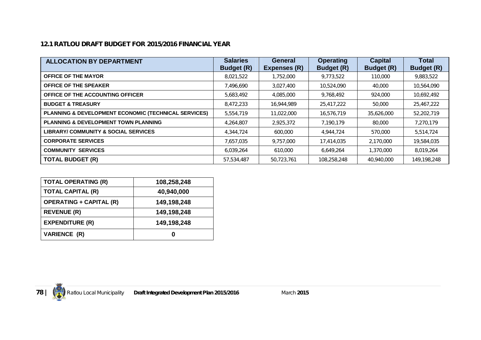# **12.1 RATLOU DRAFT BUDGET FOR 2015/2016 FINANCIAL YEAR**

| <b>ALLOCATION BY DEPARTMENT</b>                      | <b>Salaries</b><br><b>Budget (R)</b> | General<br>Expenses (R) | <b>Operating</b><br><b>Budget (R)</b> | <b>Capital</b><br><b>Budget (R)</b> | Total<br><b>Budget (R)</b> |
|------------------------------------------------------|--------------------------------------|-------------------------|---------------------------------------|-------------------------------------|----------------------------|
| <b>OFFICE OF THE MAYOR</b>                           | 8,021,522                            | 1,752,000               | 9,773,522                             | 110,000                             | 9,883,522                  |
| <b>OFFICE OF THE SPEAKER</b>                         | 7,496,690                            | 3,027,400               | 10,524,090                            | 40,000                              | 10,564,090                 |
| OFFICE OF THE ACCOUNTING OFFICER                     | 5,683,492                            | 4,085,000               | 9,768,492                             | 924,000                             | 10,692,492                 |
| <b>BUDGET &amp; TREASURY</b>                         | 8,472,233                            | 16,944,989              | 25,417,222                            | 50,000                              | 25,467,222                 |
| PLANNING & DEVELOPMENT ECONOMIC (TECHNICAL SERVICES) | 5,554,719                            | 11,022,000              | 16,576,719                            | 35,626,000                          | 52,202,719                 |
| <b>PLANNING &amp; DEVELOPMENT TOWN PLANNING</b>      | 4,264,807                            | 2,925,372               | 7,190,179                             | 80,000                              | 7,270,179                  |
| <b>LIBRARY/ COMMUNITY &amp; SOCIAL SERVICES</b>      | 4,344,724                            | 600,000                 | 4,944,724                             | 570,000                             | 5,514,724                  |
| <b>CORPORATE SERVICES</b>                            | 7,657,035                            | 9,757,000               | 17,414,035                            | 2,170,000                           | 19,584,035                 |
| <b>COMMUNITY SERVICES</b>                            | 6,039,264                            | 610,000                 | 6,649,264                             | 1,370,000                           | 8,019,264                  |
| <b>TOTAL BUDGET (R)</b>                              | 57,534,487                           | 50.723.761              | 108,258,248                           | 40,940,000                          | 149.198.248                |

| <b>TOTAL OPERATING (R)</b>     | 108,258,248 |
|--------------------------------|-------------|
| <b>TOTAL CAPITAL (R)</b>       | 40,940,000  |
| <b>OPERATING + CAPITAL (R)</b> | 149,198,248 |
| <b>REVENUE (R)</b>             | 149,198,248 |
| <b>EXPENDITURE (R)</b>         | 149,198,248 |
| <b>VARIENCE (R)</b>            |             |

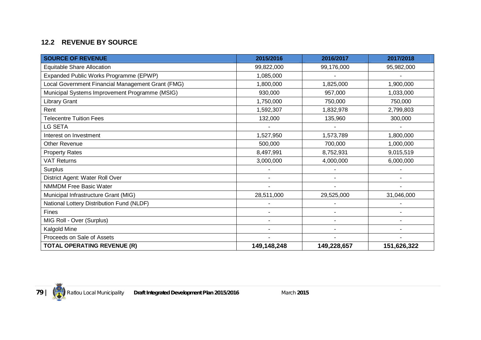# **12.2 REVENUE BY SOURCE**

| <b>SOURCE OF REVENUE</b>                          | 2015/2016   | 2016/2017   | 2017/2018   |
|---------------------------------------------------|-------------|-------------|-------------|
| Equitable Share Allocation                        | 99,822,000  | 99,176,000  | 95,982,000  |
| Expanded Public Works Programme (EPWP)            | 1,085,000   |             |             |
| Local Government Financial Management Grant (FMG) | 1,800,000   | 1,825,000   | 1,900,000   |
| Municipal Systems Improvement Programme (MSIG)    | 930,000     | 957,000     | 1,033,000   |
| <b>Library Grant</b>                              | 1,750,000   | 750,000     | 750,000     |
| Rent                                              | 1,592,307   | 1,832,978   | 2,799,803   |
| <b>Telecentre Tuition Fees</b>                    | 132,000     | 135,960     | 300,000     |
| <b>LG SETA</b>                                    |             |             |             |
| Interest on Investment                            | 1,527,950   | 1,573,789   | 1,800,000   |
| <b>Other Revenue</b>                              | 500,000     | 700,000     | 1,000,000   |
| <b>Property Rates</b>                             | 8,497,991   | 8,752,931   | 9,015,519   |
| <b>VAT Returns</b>                                | 3,000,000   | 4,000,000   | 6,000,000   |
| Surplus                                           |             |             |             |
| District Agent: Water Roll Over                   |             |             |             |
| <b>NMMDM Free Basic Water</b>                     |             |             |             |
| Municipal Infrastructure Grant (MIG)              | 28,511,000  | 29,525,000  | 31,046,000  |
| National Lottery Distribution Fund (NLDF)         |             |             |             |
| Fines                                             | ۳           |             |             |
| MIG Roll - Over (Surplus)                         |             |             |             |
| Kalgold Mine                                      |             |             |             |
| Proceeds on Sale of Assets                        |             |             |             |
| <b>TOTAL OPERATING REVENUE (R)</b>                | 149,148,248 | 149,228,657 | 151,626,322 |

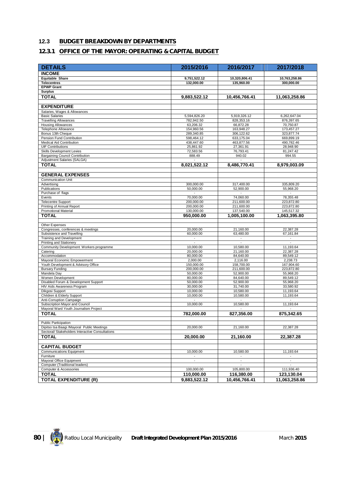# **12.3 BUDGET BREAKDOWN BY DEPARTMENTS**

# **12.3.1 OFFICE OF THE MAYOR: OPERATING & CAPITAL BUDGET**

| <b>DETAILS</b>                                                | 2015/2016                | 2016/2017                | 2017/2018                |
|---------------------------------------------------------------|--------------------------|--------------------------|--------------------------|
| <b>INCOME</b>                                                 |                          |                          |                          |
| <b>Equitable Share</b>                                        | 9,751,522.12             | 10,320,806.41            | 10,763,258.86            |
| <b>Telecentres</b>                                            | 132,000.00               | 135,960.00               | 300.000.00               |
| <b>EPWP Grant</b>                                             |                          |                          |                          |
| <b>Surplus</b>                                                |                          |                          |                          |
| <b>TOTAL</b>                                                  | 9,883,522.12             | 10.456.766.41            | 11,063,258.86            |
| <b>EXPENDITURE</b>                                            |                          |                          |                          |
| Salaries, Wages & Allowances                                  |                          |                          |                          |
| <b>Basic Salaries</b>                                         | 5,594,826.20             | 5,919,326.12             | 6,262,647.04             |
| <b>Travelling Allowances</b><br><b>Housing Allowances</b>     | 782,942.50<br>63,206.32  | 828,353.16<br>66,872.28  | 876,397.65<br>70,750.87  |
| Telephone Allowance                                           | 154,960.56               | 163,948.27               | 173,457.27               |
| Bonus 13th Cheque                                             | 289,340.85               | 306.122.62               | 323,877.74               |
| Pension Fund Contribution                                     | 598,464.12               | 633,175.04               | 669,899.19               |
| Medical Aid Contribution                                      | 438,447.60               | 463,877.56               | 490,782.46               |
| <b>UIF Contributions</b>                                      | 25,861.92                | 27,361.91                | 28,948.90                |
| Skills Development Levies<br>Bargaining Council Contribution  | 72,583.56<br>888.49      | 76,793.41<br>940.02      | 81,247.42<br>994.55      |
| Adjustment Salaries (SALGA)                                   |                          |                          |                          |
| <b>TOTAL</b>                                                  | 8,021,522.12             | 8,486,770.41             | 8,979,003.09             |
|                                                               |                          |                          |                          |
| <b>GENERAL EXPENSES</b>                                       |                          |                          |                          |
| <b>Communication Unit</b><br>Advertising                      | 300,000.00               | 317,400.00               | 335,809.20               |
| Publications                                                  | 50,000.00                | 52,900.00                | 55,968.20                |
| Purchase of flags                                             |                          |                          |                          |
| Events                                                        | 70,000.00                | 74.060.00                | 78,355.48                |
| <b>Telecentre Support</b>                                     | 200,000.00               | 211,600.00               | 223,872.80               |
| Printing of Annual Report                                     | 200,000.00               | 211,600.00               | 223,872.80               |
| <b>Promotional Material</b>                                   | 130,000.00               | 137,540.00               | 145,517.32               |
| <b>TOTAL</b>                                                  | 950,000.00               | 1,005,100.00             | 1,063,395.80             |
| Other Expenses                                                |                          |                          |                          |
| Congresses, conferences & meetings                            | 20,000.00                | 21,160.00                | 22,387.28                |
| Subsistence and Travelling<br>Training and Development        | 60,000.00<br>$\sim$      | 63,480.00<br>$\sim$      | 67,161.84<br>÷,          |
| Printing and Stationery                                       |                          |                          |                          |
| Community Development Workers programme                       | 10,000.00                | 10,580.00                | 11,193.64                |
| Catering                                                      | 20,000.00                | 21,160.00                | 22,387.28                |
| Accommodation                                                 | 80,000.00                | 84,640.00                | 89,549.12                |
| Mayoral Economic Empowerment                                  | 2,000.00                 | 2,116.00                 | 2,238.73                 |
| Youth Development & Advisory Office<br><b>Bursary Funding</b> | 150,000.00<br>200,000.00 | 158,700.00<br>211,600.00 | 167,904.60<br>223,872.80 |
| Mandela Day                                                   | 50,000.00                | 52,900.00                | 55,968.20                |
| Women Development                                             | 80,000.00                | 84,640.00                | 89,549.12                |
| Disabled Forum & Development Support                          | 50,000.00                | 52,900.00                | 55,968.20                |
| HIV Aids Awareness Program                                    | 30,000.00                | 31,740.00                | 33,580.92                |
| Dikgosi Support<br>Children & Elderly Support                 | 10,000.00<br>10,000.00   | 10,580.00<br>10,580.00   | 11,193.64<br>11,193.64   |
| Anti-Corruption Campaign                                      |                          |                          |                          |
| Subscription Mayor and Council                                | 10,000.00                | 10,580.00                | 11,193.64                |
| Mayoral Ward Youth Journalism Project                         |                          |                          |                          |
| <b>TOTAL</b>                                                  | 782,000.00               | 827,356.00               | 875,342.65               |
| Public Participation                                          |                          |                          |                          |
| Dipitso tsa Baagi /Mayoral Public Meetings                    | 20,000.00                | 21,160.00                | 22.387.28                |
| Sectoral/ Stakeholders Interactive Consultations              |                          |                          |                          |
| <b>TOTAL</b>                                                  | 20,000.00                | 21,160.00                | 22,387.28                |
| <b>CAPITAL BUDGET</b>                                         |                          |                          |                          |
| <b>Communications Equipment</b>                               | 10,000.00                | 10,580.00                | 11,193.64                |
| Furniture                                                     |                          | $\overline{\phantom{a}}$ | $\overline{\phantom{a}}$ |
| Mayoral Office Equipment                                      | $\overline{\phantom{a}}$ | $\overline{\phantom{a}}$ | $\overline{\phantom{a}}$ |
| Computer (Traditional leaders)                                | 100,000.00               |                          |                          |
| Computer & Accessories<br><b>TOTAL</b>                        | 110,000.00               | 105,800.00<br>116,380.00 | 111,936.40<br>123,130.04 |
|                                                               |                          |                          |                          |
| <b>TOTAL EXPENDITURE (R)</b>                                  | 9,883,522.12             | 10,456,766.41            | 11,063,258.86            |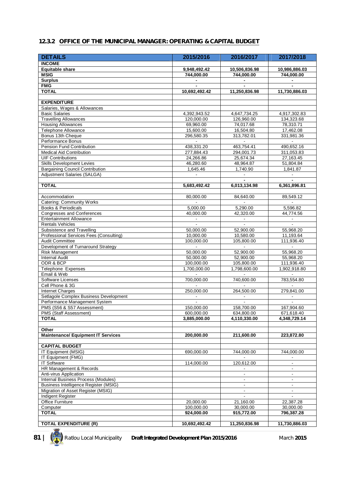#### **12.3.2 OFFICE OF THE MUNICIPAL MANAGER: OPERATING & CAPITAL BUDGET**

| <b>DETAILS</b>                                               | 2015/2016                        | 2016/2017                | 2017/2018                |
|--------------------------------------------------------------|----------------------------------|--------------------------|--------------------------|
| <b>INCOME</b>                                                |                                  |                          |                          |
| <b>Equitable share</b>                                       | 9,948,492.42                     | 10,506,836.98            | 10,986,886.03            |
| <b>MSIG</b>                                                  | 744,000.00                       | 744,000.00               | 744,000.00               |
| <b>Surplus</b>                                               | $\blacksquare$                   | $\blacksquare$           | $\blacksquare$           |
| <b>FMG</b><br><b>TOTAL</b>                                   |                                  |                          |                          |
|                                                              | 10,692,492.42                    | 11,250,836.98            | 11,730,886.03            |
| <b>EXPENDITURE</b>                                           |                                  |                          |                          |
| Salaries, Wages & Allowances                                 |                                  |                          |                          |
| <b>Basic Salaries</b>                                        | 4.392.943.52                     | 4,647,734.25             | 4,917,302.83             |
| <b>Travelling Allowances</b>                                 | 120,000.00                       | 126,960.00               | 134,323.68               |
| <b>Housing Allowances</b>                                    | 69,960.00                        | 74,017.68                | 78,310.71                |
| Telephone Allowance                                          | 15,600.00                        | 16,504.80                | 17,462.08                |
| Bonus 13th Cheque                                            | 296,580.35                       | 313,782.01               | 331,981.36               |
| Performance Bonus                                            | $\blacksquare$                   | $\Box$                   | $\overline{\phantom{a}}$ |
| Pension Fund Contribution                                    | 438,331.20                       | 463,754.41               | 490,652.16               |
| <b>Medical Aid Contribution</b>                              | 277,884.43                       | 294,001.73               | 311,053.83               |
| <b>UIF Contributions</b>                                     | 24,266.86                        | 25,674.34                | 27, 163. 45              |
| Skills Development Levies                                    | 46,280.60                        | 48,964.87                | 51,804.84                |
| <b>Bargaining Council Contribution</b>                       | 1,645.46                         | 1,740.90                 | 1,841.87                 |
| <b>Adiustment Salaries (SALGA)</b>                           | $\blacksquare$                   | $\blacksquare$           | $\blacksquare$           |
|                                                              |                                  |                          |                          |
| <b>TOTAL</b>                                                 | 5,683,492.42                     | 6,013,134.98             | 6,361,896.81             |
|                                                              |                                  |                          |                          |
| Accommodation                                                | 80,000.00                        | 84,640.00                | 89.549.12                |
| <b>Catering: Community Works</b>                             | $\sim$                           | $\mathbf{r}$             | $\mathbf{r}$             |
| <b>Books &amp; Periodicals</b><br>Congresses and Conferences | 5,000.00<br>40,000.00            | 5,290.00<br>42,320.00    | 5.596.82<br>44,774.56    |
| <b>Entertainment Allowance</b>                               |                                  |                          |                          |
| <b>Rentals Vehicles</b>                                      | $\blacksquare$<br>$\blacksquare$ | $\blacksquare$<br>ä,     | $\blacksquare$<br>$\Box$ |
| Subsistence and Travelling                                   | 50,000.00                        | 52,900.00                | 55,968.20                |
| Professional Services Fees (Consulting)                      | 10,000.00                        | 10,580.00                | 11,193.64                |
| <b>Audit Committee</b>                                       | 100,000.00                       | 105,800.00               | 111,936.40               |
| Development of Turnaround Strategy                           | $\sim$                           |                          | $\sim$                   |
| Risk Management                                              | 50,000.00                        | 52,900.00                | 55,968.20                |
| <b>Internal Audit</b>                                        | 50,000.00                        | 52,900.00                | 55,968.20                |
| ODR & BCP                                                    | 100,000.00                       | 105,800.00               | 111,936.40               |
| Telephone Expenses                                           | 1,700,000.00                     | 1,798,600.00             | 1,902,918.80             |
| Email & Web                                                  |                                  |                          |                          |
| Software Licenses                                            | 700,000.00                       | 740,600.00               | 783,554.80               |
| Cell Phone & 3G                                              |                                  |                          |                          |
| <b>Internet Charges</b>                                      | 250,000.00                       | 264,500.00               | 279,841.00               |
| Setlagole Complex Business Development                       |                                  | $\blacksquare$           |                          |
| Performance Management System                                |                                  |                          |                          |
| PMS (S56 & S57 Assessment)                                   | 150,000.00                       | 158,700.00               | 167,904.60               |
| PMS (Staff Assessment)                                       | 600,000.00                       | 634,800.00               | 671,618.40               |
| <b>TOTAL</b>                                                 | 3,885,000.00                     | 4,110,330.00             | 4,348,729.14             |
| Other                                                        |                                  |                          |                          |
| <b>Maintenance/ Equipment IT Services</b>                    | 200,000.00                       | 211,600.00               | 223,872.80               |
|                                                              |                                  |                          |                          |
| <b>CAPITAL BUDGET</b>                                        |                                  |                          |                          |
| IT Equipment (MSIG)                                          | 690,000.00                       | 744,000.00               | 744,000.00               |
| IT Equipment (FMG)                                           |                                  |                          |                          |
| <b>IT Software</b>                                           | 114,000.00                       | 120,612.00               |                          |
| HR Management & Records                                      |                                  |                          |                          |
| Anti-virus Application                                       |                                  | $\overline{\phantom{a}}$ | $\overline{\phantom{a}}$ |
| Internal Business Process (Modules)                          |                                  | $\blacksquare$           |                          |
| Business Intelligence Register (MSIG)                        |                                  | $\blacksquare$           | $\blacksquare$           |
| Migration of Asset Register (MSIG)                           |                                  | $\blacksquare$           | $\blacksquare$           |
| Indigent Register                                            |                                  |                          |                          |
| Office Furniture                                             | 20,000.00                        | 21,160.00                | 22,387.28                |
| Computer                                                     | 100,000.00                       | 30,000.00                | 30,000.00                |
| <b>TOTAL</b>                                                 | 924,000.00                       | 915,772.00               | 796,387.28               |
|                                                              |                                  |                          |                          |
| <b>TOTAL EXPENDITURE (R)</b>                                 | 10,692,492.42                    | 11,250,836.98            | 11,730,886.03            |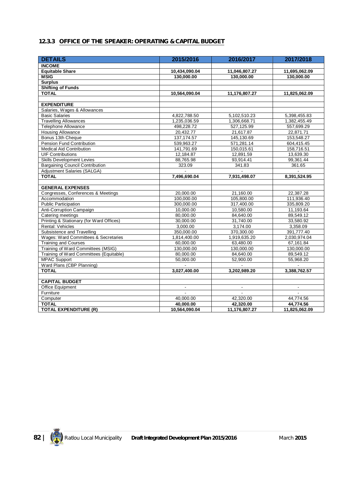# **12.3.3 OFFICE OF THE SPEAKER: OPERATING & CAPITAL BUDGET**

| <b>DETAILS</b>                           | 2015/2016      | 2016/2017      | 2017/2018      |
|------------------------------------------|----------------|----------------|----------------|
| <b>INCOME</b>                            |                |                |                |
| <b>Equitable Share</b>                   | 10,434,090.04  | 11,046,807.27  | 11,695,062.09  |
| <b>MSIG</b>                              | 130,000.00     | 130,000.00     | 130,000.00     |
| <b>Surplus</b>                           |                |                |                |
| <b>Shifting of Funds</b>                 |                |                |                |
| <b>TOTAL</b>                             | 10,564,090.04  | 11,176,807.27  | 11,825,062.09  |
|                                          |                |                |                |
| <b>EXPENDITURE</b>                       |                |                |                |
| Salaries, Wages & Allowances             |                |                |                |
| <b>Basic Salaries</b>                    | 4,822,788.50   | 5,102,510.23   | 5,398,455.83   |
| <b>Travelling Allowances</b>             | 1,235,036.59   | 1,306,668.71   | 1,382,455.49   |
| <b>Telephone Allowance</b>               | 498,228.72     | 527,125.99     | 557,699.29     |
| <b>Housing Allowance</b>                 | 20,432.77      | 21,617.87      | 22,871.71      |
| Bonus 13th Cheque                        | 137, 174.57    | 145,130.69     | 153,548.27     |
| Pension Fund Contribution                | 539,963.27     | 571,281.14     | 604,415.45     |
| <b>Medical Aid Contribution</b>          | 141.791.69     | 150,015.61     | 158,716.51     |
| <b>UIF Contributions</b>                 | 12,184.87      | 12,891.59      | 13,639.30      |
| <b>Skills Development Levies</b>         | 88,765.98      | 93,914.41      | 99,361.44      |
| <b>Bargaining Council Contribution</b>   | 323.09         | 341.83         | 361.65         |
| Adjustment Salaries (SALGA)              |                |                |                |
| <b>TOTAL</b>                             | 7,496,690.04   | 7,931,498.07   | 8,391,524.95   |
| <b>GENERAL EXPENSES</b>                  |                |                |                |
| Congresses, Conferences & Meetings       | 20,000.00      | 21,160.00      | 22,387.28      |
| Accommodation                            | 100,000.00     | 105,800.00     | 111,936.40     |
| <b>Public Participation</b>              | 300,000.00     | 317,400.00     | 335,809.20     |
| Anti-Corruption Campaign                 | 10,000.00      | 10,580.00      | 11,193.64      |
| Catering meetings                        | 80,000.00      | 84,640.00      | 89,549.12      |
| Printing & Stationary (for Ward Offices) | 30,000.00      | 31,740.00      | 33,580.92      |
| Rental: Vehicles                         | 3,000.00       | 3,174.00       | 3,358.09       |
| Subsistence and Travelling               | 350,000.00     | 370,300.00     | 391,777.40     |
| Wages: Ward Committees & Secretaries     | 1,814,400.00   | 1,919,635.20   | 2,030,974.04   |
| <b>Training and Courses</b>              | 60,000.00      | 63,480.00      | 67,161.84      |
| Training of Ward Committees (MSIG)       | 130.000.00     | 130.000.00     | 130,000.00     |
| Training of Ward Committees (Equitable)  | 80,000.00      | 84,640.00      | 89,549.12      |
| <b>MPAC Support</b>                      | 50,000.00      | 52,900.00      | 55,968.20      |
| Ward Plans (CBP Planning)                |                |                |                |
| <b>TOTAL</b>                             | 3,027,400.00   | 3,202,989.20   | 3,388,762.57   |
|                                          |                |                |                |
| <b>CAPITAL BUDGET</b>                    |                |                |                |
| <b>Office Equipment</b>                  | $\blacksquare$ | $\blacksquare$ | $\blacksquare$ |
| Furniture                                | $\blacksquare$ |                |                |
| Computer                                 | 40,000.00      | 42,320.00      | 44,774.56      |
| <b>TOTAL</b>                             | 40.000.00      | 42,320.00      | 44,774.56      |
| <b>TOTAL EXPENDITURE (R)</b>             | 10,564,090.04  | 11,176,807.27  | 11,825,062.09  |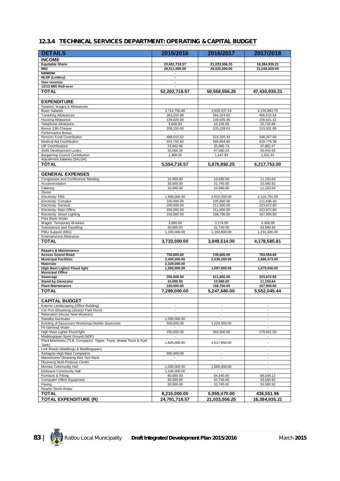# **12.3.4 TECHNICAL SERVICES DEPARTMENT: OPERATING & CAPITAL BUDGET**

| <b>DETAILS</b>                                                        | 2015/2016                             | 2016/2017                                  | 2017/2018                                  |
|-----------------------------------------------------------------------|---------------------------------------|--------------------------------------------|--------------------------------------------|
| <b>INCOME</b>                                                         |                                       |                                            |                                            |
| <b>Equitable Share</b>                                                | 23,691,718.57                         | 21,033,556.25                              | 16,384,935.21                              |
| MIG                                                                   | 28,511,000.00                         | 29,525,000.00                              | 31.046.000.00                              |
| <b>NMMDM</b>                                                          | $\blacksquare$                        |                                            |                                            |
| <b>NLDF</b> (Lottery)                                                 | $\overline{\phantom{a}}$              |                                            |                                            |
| Own revenue<br>12/13 MIG Roll-over                                    | $\overline{\phantom{a}}$              |                                            |                                            |
| <b>TOTAL</b>                                                          |                                       |                                            |                                            |
|                                                                       | 52,202,718.57                         | 50,558,556.25                              | 47,430,935.21                              |
| <b>EXPENDITURE</b>                                                    |                                       |                                            |                                            |
| Salaries, Wages & Allowances                                          |                                       |                                            |                                            |
| <b>Basic Salaries</b>                                                 | 3,712,700.88                          | 3,928,037.53                               | 4,155,863.70                               |
| <b>Travelling Allowances</b>                                          | 363,255.96                            | 384,324.81                                 | 406,615.64                                 |
| <b>Housing Allowance</b>                                              | 139,920.00                            | 148,035.36                                 | 156,621.41                                 |
| Telephone Allowance<br>Bonus 13th Cheque                              | 9,600.00<br>208,155.60                | 10,156.80<br>220,228.63                    | 10,745.89<br>233.001.89                    |
| Performance Bonus                                                     |                                       |                                            |                                            |
| Pension Fund Contribution                                             | 488,015.52                            | 516,320.42                                 | 546,267.00                                 |
| Medical Aid Contribution                                              | 552,792.82                            | 584,854.80                                 | 618,776.38                                 |
| <b>UIF Contributions</b>                                              | 33,842.86                             | 35,805.74                                  | 37,882.47                                  |
| Skills Development Levies                                             | 45,066.39                             | 47,680.24                                  | 50,445.69                                  |
| <b>Bargaining Council Contribution</b><br>Adjustment Salaries (SALGA) | 1,368.55                              | 1,447.93                                   | 1,531.91                                   |
| TOTAL                                                                 | 5.554.718.57                          | 5,876,892.25                               | 6.217.752.00                               |
|                                                                       |                                       |                                            |                                            |
| <b>GENERAL EXPENSES</b>                                               |                                       |                                            |                                            |
| Congresses and Conference/ Meeting                                    | 10,000.00                             | 10,580.00                                  | 11,193.64                                  |
| Accommodation                                                         | 30,000.00                             | 31,740.00                                  | 33,580.92                                  |
| Catering                                                              | 10,000.00                             | 10,580.00                                  | 11,193.64                                  |
| Diesel                                                                |                                       |                                            |                                            |
| Electricity: FBS<br>Electricity: Complex                              | 1,900,000.00<br>100,000.00            | 2,010,200.00<br>105,800.00                 | 2,126,791.60<br>111,936.40                 |
| Electricity: General                                                  | 200,000.00                            | 211,600.00                                 | 223.872.80                                 |
| Electricity: Main Office                                              | 200,000.00                            | 211,600.00                                 | 223,872.80                                 |
| Electricity: Street Lighting                                          | 150,000.00                            | 158,700.00                                 | 167,904.60                                 |
| Free Basic Water                                                      |                                       |                                            |                                            |
| Wages: Temporary Workers<br>Subsistence and Travelling                | 3,000.00                              | 3,174.00                                   | 3,358.09                                   |
| PMU Support (MIG)                                                     | 30,000.00<br>1,100,000.00             | 31,740.00<br>1,163,800.00                  | 33,580.92<br>1,231,300.40                  |
| <b>Entertainment Allowance</b>                                        |                                       |                                            |                                            |
| <b>TOTAL</b>                                                          | 3,733,000.00                          | 3,949,514.00                               | 4,178,585.81                               |
|                                                                       |                                       |                                            |                                            |
| <b>Repairs &amp; Maintenance</b>                                      |                                       |                                            |                                            |
| <b>Access Gravel Road</b><br><b>Municipal Facilities</b>              | 700,000.00                            | 740,600.00                                 | 783,554.80                                 |
| <b>Materials</b>                                                      | 2,400,000.00<br>2,329,000.00          | 2,539,200.00                               | 2,686,473.60                               |
| High Mast Lights/ Flood light                                         | 1,500,000.00                          | 1,587,000.00                               | 1,679,046.00                               |
| <b>Municipal Office</b>                                               |                                       |                                            |                                            |
| Sewerage                                                              | 200,000.00                            | 211,600.00                                 | 223,872.80                                 |
| <b>Stand-by Generator</b>                                             | 10.000.00                             | 10,580.00                                  | 11,193.64                                  |
| <b>Plant Maintenance</b>                                              | 150,000.00                            | 158,700.00                                 | 167,904.60                                 |
| <b>TOTAL</b>                                                          | 7,289,000.00                          | 5,247,680.00                               | 5,552,045.44                               |
| <b>CAPITAL BUDGET</b>                                                 |                                       |                                            |                                            |
| Exterior Landscaping (Office Building)                                |                                       |                                            |                                            |
| Car Port (Disaneng Library)/ Park Home                                | $\blacksquare$                        | $\blacksquare$                             | $\blacksquare$                             |
| Relocation (House Next Museum)                                        |                                       | $\overline{\phantom{a}}$                   | $\blacksquare$                             |
| Standby Generator                                                     | 1,000,000.00                          |                                            |                                            |
| Building of Storeroom/ Workshop/ Mobile Storeroom                     | 500,000.00                            | 1,029,000.00                               | $\overline{\phantom{a}}$                   |
| Pit latrines& Water<br>High Mast Lights/ Flood light                  | 250,000.00                            | 264,500.00                                 | 279,841.00                                 |
| Madibogopan Sport Ground (NDF)                                        |                                       |                                            | $\overline{\phantom{a}}$                   |
| Plant Machinery (TLB, Compactor, Tipper, Truck, Waste Truck & Fuel    | 1,825,000.00                          | 3,517,850.00                               |                                            |
| Tank)                                                                 |                                       |                                            |                                            |
| Link Roads (Madibogo & Madibogopan)<br>Setlagole High Mast Completion | 900,000.00                            | $\overline{\phantom{a}}$<br>$\blacksquare$ | $\overline{\phantom{a}}$<br>$\blacksquare$ |
| Mareetsane/ Disaneng Mini Taxi Rank                                   | $\overline{\phantom{a}}$              | $\overline{\phantom{a}}$                   | $\blacksquare$                             |
| Disaneng Multi-Purpose Centre                                         |                                       |                                            | $\overline{\phantom{a}}$                   |
| Moroka Community Hall                                                 | 1,000,000.00                          | 1,000,000.00                               | $\blacksquare$                             |
| Diolwane Community Hall                                               | 1,100,000.00                          | $\overline{\phantom{a}}$                   | $\overline{\phantom{a}}$                   |
| Furniture & Fitting                                                   | 80,000.00                             | 84,640.00                                  | 89,549.12                                  |
| Computer/ Office Equipment                                            | 30,000.00                             | 31,740.00                                  | 33,580.92                                  |
| Paving<br>Roads/ Stom Water                                           | 30,000.00<br>$\overline{\phantom{a}}$ | 31,740.00<br>$\overline{\phantom{a}}$      | 33,580.92<br>$\blacksquare$                |
| <b>TOTAL</b>                                                          | 8,215,000.00                          | 5,959,470.00                               | 436,551.96                                 |
| <b>TOTAL EXPENDITURE (R)</b>                                          | 24,791,718.57                         | 21,033,556.25                              | 16,384,935.21                              |
|                                                                       |                                       |                                            |                                            |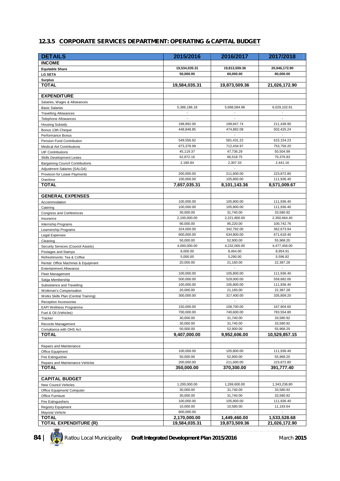#### **12.3.5 CORPORATE SERVICES DEPARTMENT: OPERATING & CAPITAL BUDGET**

| <b>DETAILS</b>                                                 | 2015/2016                | 2016/2017                | 2017/2018                |
|----------------------------------------------------------------|--------------------------|--------------------------|--------------------------|
| <b>INCOME</b>                                                  |                          |                          |                          |
| <b>Equitable Share</b>                                         | 19,534,035.31            | 19,813,509.36            | 20,946,172.90            |
| <b>LG SETA</b>                                                 | 50,000.00                | 60,000.00                | 80,000.00                |
| <b>Surplus</b>                                                 |                          |                          |                          |
| TOTAL                                                          | 19,584,035.31            | 19,873,509.36            | 21,026,172.90            |
|                                                                |                          |                          |                          |
| <b>EXPENDITURE</b>                                             |                          |                          |                          |
| Salaries, Wages & Allowances                                   |                          |                          |                          |
| <b>Basic Salaries</b>                                          | 5,386,186.18             | 5,698,584.98             | 6,029,102.91             |
| <b>Travelling Allowances</b>                                   |                          |                          |                          |
| <b>Telephone Allowances</b>                                    |                          |                          |                          |
| <b>Housing Subsidy</b>                                         | 188,892.00               | 199,847.74               | 211,438.90<br>502,425.24 |
| Bonus 13th Cheque                                              | 448,848.85               | 474,882.08<br>$\sim$     | $\overline{a}$           |
| Performance Bonus<br>Pension Fund Contribution                 | 549,556.92               | 581,431.22               | 615,154.23               |
| <b>Medical Aid Contributions</b>                               | 673,378.99               | 712,434.97               | 753,756.20               |
| <b>UIF Contributions</b>                                       | 45,119.37                | 47,736.29                | 50,504.99                |
| Skills Development Levies                                      | 62,872.16                | 66,518.75                | 70,376.83                |
| <b>Bargaining Council Contributions</b>                        | 2,180.84                 | 2,307.33                 | 2,441.16                 |
| Adjustment Salaries (SALGA)                                    |                          | ÷,                       |                          |
| Provision for Leave Payments                                   | 200,000.00               | 211,600.00               | 223,872.80               |
| Overtime                                                       | 100,000.00               | 105,800.00               | 111,936.40               |
| TOTAL                                                          | 7,657,035.31             | 8,101,143.36             | 8,571,009.67             |
|                                                                |                          |                          |                          |
| <b>GENERAL EXPENSES</b>                                        |                          |                          |                          |
| Accommodation                                                  | 100,000.00<br>100,000.00 | 105,800.00               | 111,936.40               |
| Catering                                                       | 30,000.00                | 105,800.00<br>31,740.00  | 111,936.40<br>33,580.92  |
| Congress and Conferences                                       | 2,100,000.00             | 2,221,800.00             | 2,350,664.40             |
| Insurance<br>Internship Programs                               | 90,000.00                | 95,220.00                | 100,742.76               |
| Learnership Programs                                           | 324,000.00               | 342,792.00               | 362,673.94               |
| Legal Expenses                                                 | 600,000.00               | 634,800.00               | 671,618.40               |
| Cleaning                                                       | 50,000.00                | 52,900.00                | 55,968.20                |
| Security Services (Council Assets)                             | 4,000,000.00             | 4,232,000.00             | 4,477,456.00             |
| Postages and Stamps                                            | 8,000.00                 | 8,464.00                 | 8,954.91                 |
| Refreshments: Tea & Coffee                                     | 5,000.00                 | 5,290.00                 | 5,596.82                 |
| Rental: Office Machines & Equipment                            | 20,000.00                | 21,160.00                | 22,387.28                |
| <b>Entertainment Allowance</b>                                 |                          |                          |                          |
| <b>Fleet Management</b>                                        | 100,000.00               | 105,800.00               | 111,936.40               |
| Salga Membership                                               | 500,000.00<br>100,000.00 | 529,000.00<br>105,800.00 | 559,682.00<br>111,936.40 |
| Subsistence and Travelling                                     | 20,000.00                | 21,160.00                | 22,387.28                |
| Workman's Compensation<br>Works Skills Plan (Central Training) | 300,000.00               | 317,400.00               | 335,809.20               |
| <b>Reception Accessories</b>                                   |                          |                          |                          |
| EAP/Wellness Programme                                         | 150,000.00               | 158,700.00               | 167,904.60               |
| Fuel & Oil (Vehicles)                                          | 700,000.00               | 740,600.00               | 783,554.80               |
| Tracker                                                        | 30,000.00                | 31,740.00                | 33,580.92                |
| Records Management                                             | 30,000.00                | 31,740.00                | 33,580.92                |
| Compliance with OHS Act                                        | 50,000.00                | 52,900.00                | 55,968.20                |
| <b>TOTAL</b>                                                   | 9,407,000.00             | 9,952,606.00             | 10,529,857.15            |
|                                                                |                          |                          |                          |
| Repairs and Maintenance                                        |                          |                          |                          |
| Office Equipment                                               | 100,000.00               | 105,800.00               | 111,936.40               |
| Fire Extinguisher                                              | 50,000.00                | 52,900.00                | 55,968.20                |
| Repairs and Maintenance Vehicles<br><b>TOTAL</b>               | 200,000.00<br>350,000.00 | 211,600.00<br>370,300.00 | 223,872.80<br>391,777.40 |
|                                                                |                          |                          |                          |
| <b>CAPITAL BUDGET</b>                                          |                          |                          |                          |
| New Council Vehicles                                           | 1,200,000.00             | 1,269,600.00             | 1,343,236.80             |
| Office Equipment/ Computer                                     | 30,000.00                | 31,740.00                | 33,580.92                |
| Office Furniture                                               | 30,000.00                | 31,740.00                | 33,580.92                |
| Fire Extinguishers                                             | 100,000.00               | 105,800.00               | 111,936.40               |
| <b>Registry Equipment</b>                                      | 10,000.00                | 10,580.00                | 11,193.64                |
| Mayoral Vehicle                                                | 800,000.00               |                          |                          |
| <b>TOTAL</b>                                                   | 2,170,000.00             | 1,449,460.00             | 1,533,528.68             |
| <b>TOTAL EXPENDITURE (R)</b>                                   | 19,584,035.31            | 19,873,509.36            | 21,026,172.90            |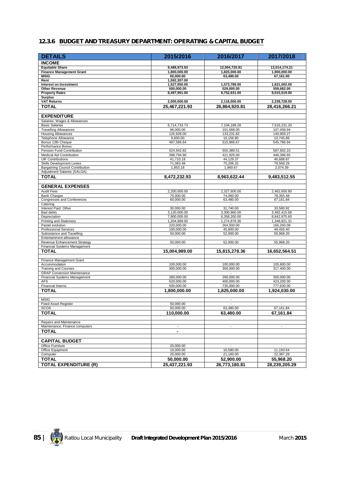#### **12.3.6 BUDGET AND TREASURY DEPARTMENT: OPERATING & CAPITAL BUDGET**

| <b>DETAILS</b>                                                 | 2015/2016                    | 2016/2017                | 2017/2018                |
|----------------------------------------------------------------|------------------------------|--------------------------|--------------------------|
| <b>INCOME</b>                                                  |                              |                          |                          |
| <b>Equitable Share</b>                                         | 9,488,973.93                 | 12,004,720.81            | 13,014,174.21            |
| <b>Finance Management Grant</b>                                | 1,800,000.00                 | 1,825,000.00             | 1,900,000.00             |
| <b>MSIG</b>                                                    | 60,000.00                    | 63,480.00                | 67,161.00                |
| Rent<br>Interest on Investment                                 | 1,592,307.00<br>1,527,950.00 | 1,573,789.00             | 1,621,002.00             |
| <b>Other Revenue</b>                                           | 500,000.00                   | 529.000.00               | 559,682.00               |
| <b>Property Rates</b>                                          | 8,497,991.00                 | 8,752,931.00             | 9,015,519.00             |
| <b>Surplus</b>                                                 |                              |                          |                          |
| <b>VAT Returns</b>                                             | 2,000,000.00                 | 2,116,000.00             | 2,238,728.00             |
| <b>TOTAL</b>                                                   | 25,467,221.93                | 26,864,920.81            | 28,416,266.21            |
| <b>EXPENDITURE</b>                                             |                              |                          |                          |
| Salaries, Wages & Allowances                                   |                              |                          |                          |
| <b>Basic Salaries</b>                                          | 6,714,733.73                 | 7.104.188.28             | 7,516,231.20             |
| <b>Travelling Allowances</b>                                   | 96.000.00                    | 101,568.00               | 107,458.94               |
| <b>Housing Allowances</b>                                      | 125,928.00                   | 133,231.82               | 140,959.27               |
| Telephone Allowance<br>Bonus 13th Cheque                       | 9,600.00<br>487,586.64       | 10,156.80<br>515,866.67  | 10,745.89<br>545,786.94  |
| Performance Bonus                                              | $\overline{\phantom{a}}$     | $\blacksquare$           |                          |
| Pension Fund Contribution                                      | 524,942.82                   | 555,389.51               | 587,602.10               |
| Medical Aid Contribution                                       | 398,794.90                   | 421,925.00               | 446,396.65               |
| <b>UIF Contributions</b>                                       | 41,710.18                    | 44,129.37                | 46,688.87                |
| <b>Skills Development Levies</b>                               | 71,083.48                    | 75,206.32                | 79,568.29                |
| Bargaining Council Contribution<br>Adjustment Salaries (SALGA) | 1,853.18                     | 1,960.67                 | 2,074.39                 |
| <b>TOTAL</b>                                                   | 8,472,232.93                 | 8,963,622.44             | 9,483,512.55             |
|                                                                |                              |                          |                          |
| <b>GENERAL EXPENSES</b>                                        |                              |                          |                          |
| <b>Audit Fees</b>                                              | 2.200.000.00                 | 2,327,600.00             | 2,462,600.80             |
| <b>Bank Charges</b>                                            | 70,000.00                    | 74,060.00                | 78,355.48                |
| Congresses and Conferences                                     | 60,000.00                    | 63,480.00                | 67,161.84                |
| Catering<br>Interest Paid: Other                               | 30,000.00                    | 31,740.00                | 33,580.92                |
| Bad debts                                                      | 3,120,000.00                 | 3,300,960.00             | 3,492,415.68             |
| Depreciation                                                   | 7,900,000.00                 | 8,358,200.00             | 8,842,975.60             |
| Printing and Stationery                                        | 1,204,989.00                 | 1,274,878.36             | 1,348,821.31             |
| Pastel evolution                                               | 220,000.00                   | 264,500.00               | 166,260.08               |
| <b>Professional Services</b>                                   | 100,000.00                   | 45,800.00                | 48,456.40                |
| Subsistence and Travelling<br>Entertainment allowance          | 50,000.00                    | 52,900.00                | 55,968.20                |
| Revenue Enhancement Strategy                                   | 50,000.00                    | 52,900.00                | 55,968.20                |
| Financial Systems Management                                   |                              |                          |                          |
| <b>TOTAL</b>                                                   | 15,004,989.00                | 15,815,278.36            | 16,652,564.51            |
|                                                                |                              |                          |                          |
| Finance Management Grant<br>Accommodation                      | 100,000.00                   | 100,000.00               | 105,800.00               |
| Training and Courses                                           | 300,000.00                   | 300,000.00               | 317,400.00               |
| <b>GRAP Conversion Maintenance</b>                             |                              |                          |                          |
| <b>Financial Systems Management</b>                            | 280,000.00                   | 290,000.00               | 300,000.00               |
| <b>AFS</b>                                                     | 620.000.00                   | 400,000.00               | 423.200.00               |
| <b>Financial Interns</b>                                       | 500,000.00                   | 735,000.00               | 777,630.00               |
| <b>TOTAL</b>                                                   | 1,800,000.00                 | 1,825,000.00             | 1,924,030.00             |
| <b>MSIG</b>                                                    |                              | $\sim$                   |                          |
| <b>Fixed Asset Register</b>                                    | 50,000.00                    | $\blacksquare$           | $\blacksquare$           |
| <b>SCOA</b>                                                    | 60,000.00                    | 63,480.00                | 67,161.84                |
| <b>TOTAL</b>                                                   | 110,000.00                   | 63,480.00                | 67,161.84                |
| Repairs and Maintenance                                        |                              |                          |                          |
| Maintenance: Finance computers                                 | $\overline{\phantom{a}}$     | $\overline{\phantom{a}}$ | $\overline{\phantom{a}}$ |
| <b>TOTAL</b>                                                   |                              |                          |                          |
|                                                                |                              |                          |                          |
| <b>CAPITAL BUDGET</b>                                          |                              |                          |                          |
| Office Furniture                                               | 20,000.00                    |                          |                          |
| Office Equipment                                               | 10,000.00                    | 10,580.00                | 11,193.64                |
| Computer                                                       | 20,000.00                    | 21,160.00                | 22,387.28                |
| <b>TOTAL</b>                                                   | 50,000.00                    | 52,900.00                | 55,968.20                |
| <b>TOTAL EXPENDITURE (R)</b>                                   | 25,437,221.93                | 26,773,180.81            | 28,239,205.29            |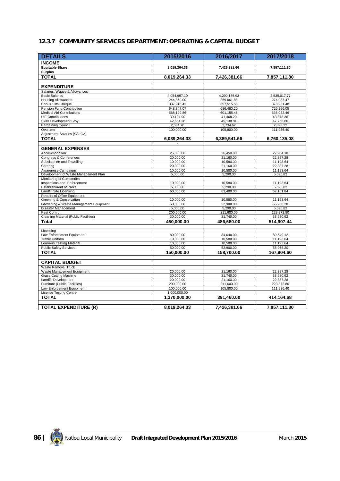#### **12.3.7 COMMUNITY SERVICES DEPARTMENT: OPERATING & CAPITAL BUDGET**

| <b>DETAILS</b>                                                | 2015/2016              | 2016/2017              | 2017/2018              |
|---------------------------------------------------------------|------------------------|------------------------|------------------------|
| <b>INCOME</b>                                                 |                        |                        |                        |
| <b>Equitable Share</b>                                        | 8,019,264.33           | 7,426,381.66           | 7,857,111.80           |
| <b>Surplus</b>                                                |                        |                        |                        |
| <b>TOTAL</b>                                                  | 8.019.264.33           | 7,426,381.66           | 7,857,111.80           |
|                                                               |                        |                        |                        |
| <b>EXPENDITURE</b>                                            |                        |                        |                        |
| Salaries, Wages & Allowances                                  |                        |                        |                        |
| <b>Basic Salaries</b>                                         | 4,054,997.10           | 4,290,186.93           | 4,539,017.77           |
| <b>Housing Allowances</b>                                     | 244,860.00             | 259,061.88             | 274,087.47             |
| Bonus 13th Cheque                                             | 337,916.42             | 357,515.58             | 378,251.48             |
| Pension Fund Contribution                                     | 648.847.07             | 686,480.20             | 726,296.05             |
| <b>Medical Aid Contributions</b>                              | 568,199.86             | 601,155.45             | 636,022.46             |
| <b>UIF Contributions</b>                                      | 39,194.90              | 41,468.20              | 43,873.36              |
| Skills Development Levy                                       | 42,664.28              | 45,138.81              | 47,756.86              |
| <b>Bargaining Council</b><br>Overtime                         | 2,584.70<br>100,000.00 | 2,734.62<br>105,800.00 | 2,893.22<br>111,936.40 |
| Adjustment Salaries (SALGA)                                   |                        |                        |                        |
| <b>TOTAL</b>                                                  | 6,039,264.33           | 6,389,541.66           | 6,760,135.08           |
|                                                               |                        |                        |                        |
|                                                               |                        |                        |                        |
| <b>GENERAL EXPENSES</b>                                       |                        |                        |                        |
| Accommodation<br>Congress & Conferences                       | 25,000.00<br>20,000.00 | 26,450.00<br>21,160.00 | 27,984.10<br>22,387.28 |
| Subsistence and Travelling                                    | 10,000.00              | 10,580.00              | 11,193.64              |
| Catering                                                      | 20,000.00              | 21,160.00              | 22,387.28              |
| Awareness Campaigns                                           | 10,000.00              | 10,580.00              | 11.193.64              |
| Development of Waste Management Plan                          | 5,000.00               | 5,290.00               | 5,596.82               |
| Monitoring of Cemeteries                                      |                        |                        |                        |
| Inspections and Enforcement                                   | 10,000.00              | 10,580.00              | 11,193.64              |
| <b>Establishment of Parks</b>                                 | 5,000.00               | 5,290.00               | 5,596.82               |
| Landfill Site Licensing                                       | 60,000.00              | 63,480.00              | 67,161.84              |
| Repairs of Office Equipment                                   |                        |                        |                        |
| Greening & Conservation                                       | 10.000.00              | 10.580.00              | 11.193.64              |
| Gardening & Waste Management Equipment<br>Disaster Management | 50,000.00<br>5,000.00  | 52,900.00<br>5,290.00  | 55,968.20<br>5,596.82  |
| Pest Control                                                  | 200,000.00             | 211,600.00             | 223,872.80             |
| Cleaning Material (Public Facilities)                         | 30,000.00              | 31,740.00              | 33,580.92              |
| Total                                                         | 460,000.00             | 486,680.00             | 514,907.44             |
|                                                               |                        |                        |                        |
| Licensing                                                     |                        |                        |                        |
| Law Enforcement Equipment                                     | 80,000.00              | 84,640.00              | 89,549.12              |
| <b>Traffic Uniform</b>                                        | 10,000.00              | 10,580.00              | 11,193.64              |
| <b>Learners Testing Material</b>                              | 10.000.00              | 10.580.00              | 11,193.64              |
| <b>Public Safety Services</b>                                 | 50,000.00              | 52,900.00              | 55,968.20              |
| <b>TOTAL</b>                                                  | 150,000.00             | 158.700.00             | 167.904.60             |
|                                                               |                        |                        |                        |
| <b>CAPITAL BUDGET</b>                                         |                        |                        |                        |
| Waste Removal Truck                                           |                        |                        |                        |
| Waste Management Equipment                                    | 20,000.00              | 21,160.00              | 22,387.28              |
| <b>Grass Cutting Machine</b><br>Landfill Development          | 30,000.00<br>20,000.00 | 31,740.00<br>21,160.00 | 33,580.92<br>22,387.28 |
| Furniture (Public Facilities)                                 | 200,000.00             | 211,600.00             | 223,872.80             |
| Law Enforcement Equipment                                     | 100.000.00             | 105,800.00             | 111,936.40             |
| <b>License Testing Centre</b>                                 | 1,000,000.00           |                        |                        |
| <b>TOTAL</b>                                                  | 1,370,000.00           | 391,460.00             | 414,164.68             |
|                                                               |                        |                        |                        |
| <b>TOTAL EXPENDITURE (R)</b>                                  | 8.019.264.33           | 7,426,381.66           | 7,857,111.80           |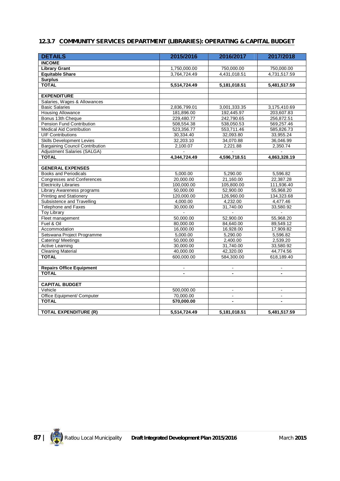#### **12.3.7 COMMUNITY SERVICES DEPARTMENT (LIBRARIES): OPERATING & CAPITAL BUDGET**

| <b>DETAILS</b>                         | 2015/2016      | 2016/2017      | 2017/2018      |
|----------------------------------------|----------------|----------------|----------------|
| <b>INCOME</b>                          |                |                |                |
| <b>Library Grant</b>                   | 1,750,000.00   | 750,000.00     | 750,000.00     |
| <b>Equitable Share</b>                 | 3,764,724.49   | 4,431,018.51   | 4,731,517.59   |
| <b>Surplus</b>                         |                |                |                |
| <b>TOTAL</b>                           | 5,514,724.49   | 5,181,018.51   | 5,481,517.59   |
|                                        |                |                |                |
| <b>EXPENDITURE</b>                     |                |                |                |
| Salaries, Wages & Allowances           |                |                |                |
| <b>Basic Salaries</b>                  | 2,836,799.01   | 3,001,333.35   | 3,175,410.69   |
| <b>Housing Allowance</b>               | 181,896.00     | 192,445.97     | 203,607.83     |
| Bonus 13th Cheque                      | 229,480.77     | 242,790.65     | 256,872.51     |
| Pension Fund Contribution              | 508,554.38     | 538,050.53     | 569,257.46     |
| <b>Medical Aid Contribution</b>        | 523,356.77     | 553,711.46     | 585,826.73     |
| <b>UIF Contributions</b>               | 30,334.40      | 32,093.80      | 33,955.24      |
| <b>Skills Development Levies</b>       | 32,203.10      | 34,070.88      | 36,046.99      |
| <b>Bargaining Council Contribution</b> | 2,100.07       | 2,221.88       | 2,350.74       |
| Adjustment Salaries (SALGA)            |                |                |                |
| <b>TOTAL</b>                           | 4,344,724.49   | 4,596,718.51   | 4,863,328.19   |
|                                        |                |                |                |
| <b>GENERAL EXPENSES</b>                |                |                |                |
| <b>Books and Periodicals</b>           | 5,000.00       | 5,290.00       | 5,596.82       |
| Congresses and Conferences             | 20,000.00      | 21,160.00      | 22,387.28      |
| <b>Electricity Libraries</b>           | 100,000.00     | 105,800.00     | 111,936.40     |
| Library Awareness programs             | 50,000.00      | 52,900.00      | 55,968.20      |
| <b>Printing and Stationery</b>         | 120,000.00     | 126,960.00     | 134,323.68     |
| Subsistence and Travelling             | 4,000.00       | 4,232.00       | 4,477.46       |
| Telephone and Faxes                    | 30,000.00      | 31,740.00      | 33,580.92      |
| <b>Toy Library</b>                     |                |                |                |
| Fleet management                       | 50,000.00      | 52,900.00      | 55,968.20      |
| Fuel & Oil                             | 80,000.00      | 84,640.00      | 89,549.12      |
| Accommodation                          | 16,000.00      | 16,928.00      | 17,909.82      |
| Setswana Project Programme             | 5,000.00       | 5,290.00       | 5,596.82       |
| Catering/Meetings                      | 50,000.00      | 2,400.00       | 2,539.20       |
| Active Learning                        | 30,000.00      | 31,740.00      | 33,580.92      |
| <b>Cleaning Material</b>               | 40,000.00      | 42,320.00      | 44,774.56      |
| <b>TOTAL</b>                           | 600,000.00     | 584,300.00     | 618,189.40     |
|                                        |                |                |                |
| <b>Repairs Office Equipment</b>        | $\blacksquare$ | $\blacksquare$ | $\blacksquare$ |
| <b>TOTAL</b>                           |                |                |                |
|                                        |                |                |                |
| <b>CAPITAL BUDGET</b>                  |                |                |                |
| Vehicle                                | 500,000.00     | $\blacksquare$ | $\blacksquare$ |
| Office Equipment/ Computer             | 70,000.00      | $\blacksquare$ | $\blacksquare$ |
| <b>TOTAL</b>                           | 570,000.00     | $\overline{a}$ |                |
|                                        |                |                |                |
| <b>TOTAL EXPENDITURE (R)</b>           | 5,514,724.49   | 5,181,018.51   | 5,481,517.59   |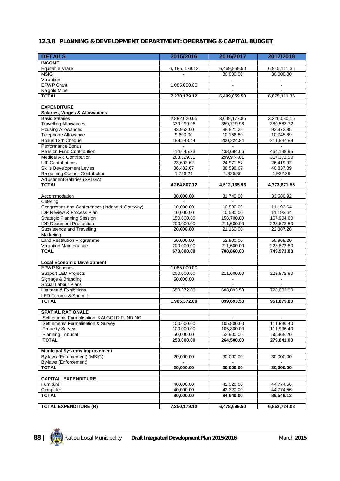#### **12.3.8 PLANNING & DEVELOPMENT DEPARTMENT: OPERATING & CAPITAL BUDGET**

| <b>DETAILS</b>                                            | 2015/2016      | 2016/2017      | 2017/2018      |
|-----------------------------------------------------------|----------------|----------------|----------------|
| <b>INCOME</b>                                             |                |                |                |
| Equitable share                                           | 6, 185, 179.12 | 6,469,859.50   | 6,845,111.36   |
| <b>MSIG</b>                                               |                | 30,000.00      | 30,000.00      |
| Valuation                                                 |                | $\blacksquare$ |                |
| <b>EPWP Grant</b>                                         | 1,085,000.00   | $\blacksquare$ | $\blacksquare$ |
| Kalgold Mine                                              |                |                |                |
| <b>TOTAL</b>                                              | 7,270,179.12   | 6,499,859.50   | 6,875,111.36   |
|                                                           |                |                |                |
| <b>EXPENDITURE</b>                                        |                |                |                |
| Salaries, Wages & Allowances                              |                |                |                |
| <b>Basic Salaries</b>                                     | 2,882,020.65   | 3,049,177.85   | 3.226.030.16   |
| <b>Travelling Allowances</b>                              | 339,999.96     | 359,719.96     | 380,583.72     |
| <b>Housing Allowances</b>                                 | 83,952.00      | 88,821.22      | 93,972.85      |
| <b>Telephone Allowance</b>                                | 9,600.00       | 10,156.80      | 10,745.89      |
| Bonus 13th Cheque                                         | 189,248.44     | 200,224.84     | 211,837.89     |
| Performance Bonus<br>Pension Fund Contribution            | 414,645.23     | 438,694.66     | 464,138.95     |
| <b>Medical Aid Contribution</b>                           | 283,529.31     | 299,974.01     | 317,372.50     |
| <b>UIF Contributions</b>                                  | 23,602.62      | 24,971.57      | 26,419.92      |
| <b>Skills Development Levies</b>                          | 36,482.67      | 38,598.67      | 40,837.39      |
| <b>Bargaining Council Contribution</b>                    | 1,726.24       | 1,826.36       | 1,932.29       |
| Adjustment Salaries (SALGA)                               |                | $\mathbf{r}$   |                |
| <b>TOTAL</b>                                              | 4,264,807.12   | 4,512,165.93   | 4,773,871.55   |
|                                                           |                |                |                |
| Accommodation                                             | 30,000.00      | 31,740.00      | 33,580.92      |
| Catering                                                  | $\blacksquare$ | $\sim$         | $\sim$         |
| Congresses and Conferences (Indaba & Gateway)             | 10,000.00      | 10,580.00      | 11,193.64      |
| IDP Review & Process Plan                                 | 10,000.00      | 10,580.00      | 11,193.64      |
| <b>Strategic Planning Session</b>                         | 150,000.00     | 158,700.00     | 167,904.60     |
| <b>IDP Document Production</b>                            | 200,000.00     | 211,600.00     | 223,872.80     |
| Subsistence and Travelling                                | 20,000.00      | 21,160.00      | 22,387.28      |
| Marketing                                                 |                |                |                |
| <b>Land Restitution Programme</b>                         | 50,000.00      | 52,900.00      | 55,968.20      |
| Valuation Maintenance                                     | 200,000.00     | 211,600.00     | 223,872.80     |
| <b>TOAL</b>                                               | 670,000.00     | 708,860.00     | 749,973.88     |
|                                                           |                |                |                |
| <b>Local Economic Development</b><br><b>EPWP Stipends</b> | 1,085,000.00   |                |                |
| <b>Support LED Projects</b>                               | 200,000.00     | 211,600.00     | 223,872.80     |
| Signage & Branding                                        | 50,000.00      |                |                |
| Social Labour Plans                                       |                |                |                |
| Heritage & Exhibitions                                    | 650,372.00     | 688,093.58     | 728,003.00     |
| <b>LED Forums &amp; Summit</b>                            |                |                |                |
| <b>TOTAL</b>                                              | 1,985,372.00   | 899,693.58     | 951,875.80     |
|                                                           |                |                |                |
| <b>SPATIAL RATIONALE</b>                                  |                |                |                |
| Settlements Formalisation: KALGOLD FUNDING                |                |                |                |
| Settlements Formalisation & Survey                        | 100,000.00     | 105,800.00     | 111,936.40     |
| <b>Property Survey</b>                                    | 100.000.00     | 105,800.00     | 111,936.40     |
| <b>Planning Tribunal</b>                                  | 50,000.00      | 52,900.00      | 55,968.20      |
| <b>TOTAL</b>                                              | 250,000.00     | 264,500.00     | 279.841.00     |
|                                                           |                |                |                |
| <b>Municipal Systems Improvement</b>                      |                |                |                |
| By-laws (Enforcement) (MSIG)                              | 20,000.00      | 30,000.00      | 30,000.00      |
| By-laws (Enforcement)                                     |                |                |                |
| <b>TOTAL</b>                                              | 20,000.00      | 30,000.00      | 30,000.00      |
| <b>CAPITAL EXPENDITURE</b>                                |                |                |                |
| Furniture                                                 | 40,000.00      | 42,320.00      | 44,774.56      |
| Computer                                                  | 40,000.00      | 42,320.00      | 44,774.56      |
| <b>TOTAL</b>                                              | 80,000.00      | 84,640.00      | 89,549.12      |
|                                                           |                |                |                |
| <b>TOTAL EXPENDITURE (R)</b>                              | 7,250,179.12   | 6,478,699.50   | 6,852,724.08   |

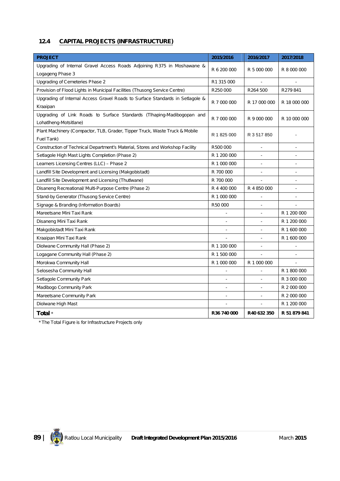# **12.4 CAPITAL PROJECTS (INFRASTRUCTURE)**

| <b>PROJECT</b>                                                                | 2015/2016   | 2016/2017                | 2017/2018    |
|-------------------------------------------------------------------------------|-------------|--------------------------|--------------|
| Upgrading of Internal Gravel Access Roads Adjoining R375 in Moshawane &       |             |                          |              |
| Logageng Phase 3                                                              | R 6 200 000 | R 5 000 000              | R 8 000 000  |
| Upgrading of Cemeteries Phase 2                                               | R1 315 000  |                          |              |
| Provision of Flood Lights in Municipal Facilities (Thusong Service Centre)    | R250000     | R264 500                 | R279841      |
| Upgrading of Internal Access Gravel Roads to Surface Standards in Setlagole & | R 7 000 000 | R 17 000 000             | R 18 000 000 |
| Kraaipan                                                                      |             |                          |              |
| Upgrading of Link Roads to Surface Standards (Tlhaping-Madibogopan and        | R 7 000 000 | R 9 000 000              | R 10 000 000 |
| Lohatlheng-Motsitlane)                                                        |             |                          |              |
| Plant Machinery (Compactor, TLB, Grader, Tipper Truck, Waste Truck & Mobile   | R 1 825 000 | R 3 517 850              |              |
| Fuel Tank)                                                                    |             |                          |              |
| Construction of Technical Department's Material, Stores and Workshop Facility | R500 000    |                          |              |
| Setlagole High Mast Lights Completion (Phase 2)                               | R 1 200 000 |                          |              |
| Learners Licensing Centres (LLC) - Phase 2                                    | R 1 000 000 |                          |              |
| Landfill Site Development and Licensing (Makgobistadt)                        | R 700 000   |                          |              |
| Landfill Site Development and Licensing (ThutIwane)                           | R 700 000   |                          |              |
| Disaneng Recreational/ Multi-Purpose Centre (Phase 2)                         | R 4 400 000 | R 4 850 000              |              |
| Stand-by Generator (Thusong Service Centre)                                   | R 1 000 000 |                          |              |
| Signage & Branding (Information Boards)                                       | R50 000     |                          |              |
| Mareetsane Mini Taxi Rank                                                     |             | $\overline{a}$           | R 1 200 000  |
| Disaneng Mini Taxi Rank                                                       |             |                          | R 1 200 000  |
| Makgobistadt Mini Taxi Rank                                                   |             |                          | R 1 600 000  |
| Kraaipan Mini Taxi Rank                                                       |             | $\overline{\phantom{a}}$ | R 1 600 000  |
| Diolwane Community Hall (Phase 2)                                             | R 1 100 000 |                          |              |
| Logagane Community Hall (Phase 2)                                             | R 1 500 000 |                          |              |
| Morokwa Community Hall                                                        | R 1 000 000 | R 1 000 000              |              |
| Selosesha Community Hall                                                      |             |                          | R 1 800 000  |
| Setlagole Community Park                                                      |             |                          | R 3 000 000  |
| Madibogo Community Park                                                       |             |                          | R 2 000 000  |
| Mareetsane Community Park                                                     |             | $\overline{a}$           | R 2 000 000  |
| Diolwane High Mast                                                            |             |                          | R 1 200 000  |
| Total *                                                                       | R36 740 000 | R40 632 350              | R 51 879 841 |

*\* The Total Figure is for Infrastructure Projects only*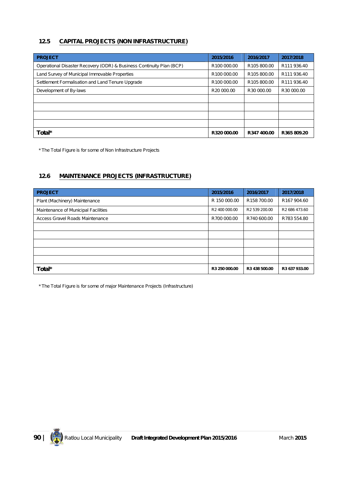#### **12.5 CAPITAL PROJECTS (NON INFRASTRUCTURE)**

| <b>PROJECT</b>                                                       | 2015/2016               | 2016/2017               | 2017/2018   |
|----------------------------------------------------------------------|-------------------------|-------------------------|-------------|
| Operational Disaster Recovery (ODR) & Business Continuity Plan (BCP) | R <sub>100</sub> 000.00 | R <sub>105</sub> 800.00 | R111936.40  |
| Land Survey of Municipal Immovable Properties                        | R100 000.00             | R105 800.00             | R111936.40  |
| Settlement Formalisation and Land Tenure Upgrade                     | R100 000.00             | R105 800.00             | R111936.40  |
| Development of By-laws                                               | R <sub>20</sub> 000.00  | R <sub>30</sub> 000.00  | R30 000.00  |
|                                                                      |                         |                         |             |
|                                                                      |                         |                         |             |
|                                                                      |                         |                         |             |
|                                                                      |                         |                         |             |
| Total*                                                               | R320 000.00             | R347 400.00             | R365 809.20 |

*\* The Total Figure is for some of Non Infrastructure Projects* 

#### **12.6 MAINTENANCE PROJECTS (INFRASTRUCTURE)**

| <b>PROJECT</b>                      | 2015/2016     | 2016/2017     | 2017/2018                 |
|-------------------------------------|---------------|---------------|---------------------------|
| Plant (Machinery) Maintenance       | R 150 000.00  | R158 700.00   | R <sub>167</sub> 904.60   |
| Maintenance of Municipal Facilities | R2 400 000.00 | R2 539 200.00 | R <sub>2</sub> 686 473.60 |
| Access Gravel Roads Maintenance     | R700 000.00   | R740 600.00   | R783 554.80               |
|                                     |               |               |                           |
|                                     |               |               |                           |
|                                     |               |               |                           |
|                                     |               |               |                           |
|                                     |               |               |                           |
| Total*                              | R3 250 000.00 | R3 438 500.00 | R3 637 933.00             |

*\* The Total Figure is for some of major Maintenance Projects (Infrastructure)*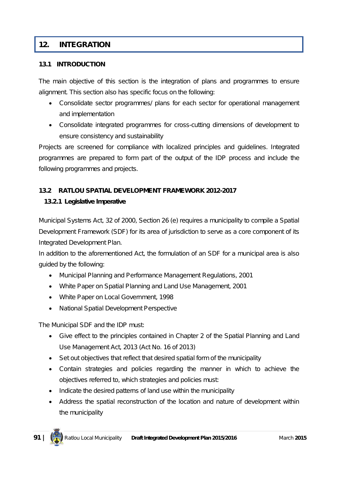# **12. INTEGRATION**

## **13.1 INTRODUCTION**

The main objective of this section is the integration of plans and programmes to ensure alignment. This section also has specific focus on the following:

- Consolidate sector programmes/ plans for each sector for operational management and implementation
- Consolidate integrated programmes for cross-cutting dimensions of development to ensure consistency and sustainability

Projects are screened for compliance with localized principles and guidelines. Integrated programmes are prepared to form part of the output of the IDP process and include the following programmes and projects.

## **13.2 RATLOU SPATIAL DEVELOPMENT FRAMEWORK 2012-2017**

## **13.2.1 Legislative Imperative**

Municipal Systems Act, 32 of 2000, Section 26 (e) requires a municipality to compile a Spatial Development Framework (SDF) for its area of jurisdiction to serve as a core component of its Integrated Development Plan.

In addition to the aforementioned Act, the formulation of an SDF for a municipal area is also guided by the following:

- Municipal Planning and Performance Management Regulations, 2001
- White Paper on Spatial Planning and Land Use Management, 2001
- White Paper on Local Government, 1998
- National Spatial Development Perspective

The Municipal SDF and the IDP must:

- Give effect to the principles contained in Chapter 2 of the Spatial Planning and Land Use Management Act, 2013 (Act No. 16 of 2013)
- Set out objectives that reflect that desired spatial form of the municipality
- Contain strategies and policies regarding the manner in which to achieve the objectives referred to, which strategies and policies must:
- Indicate the desired patterns of land use within the municipality
- Address the spatial reconstruction of the location and nature of development within the municipality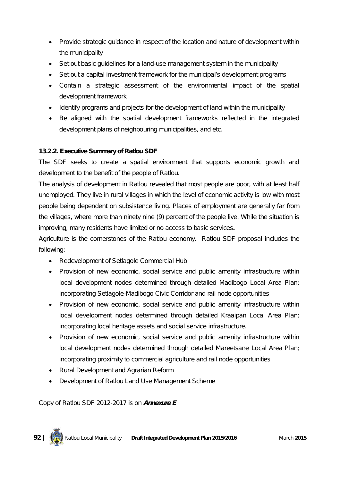- Provide strategic guidance in respect of the location and nature of development within the municipality
- Set out basic guidelines for a land-use management system in the municipality
- Set out a capital investment framework for the municipal's development programs
- Contain a strategic assessment of the environmental impact of the spatial development framework
- Identify programs and projects for the development of land within the municipality
- Be aligned with the spatial development frameworks reflected in the integrated development plans of neighbouring municipalities, and etc.

# **13.2.2. Executive Summary of Ratlou SDF**

The SDF seeks to create a spatial environment that supports economic growth and development to the benefit of the people of Ratlou.

The analysis of development in Ratlou revealed that most people are poor, with at least half unemployed. They live in rural villages in which the level of economic activity is low with most people being dependent on subsistence living. Places of employment are generally far from the villages, where more than ninety nine (9) percent of the people live. While the situation is improving, many residents have limited or no access to basic services**.**

Agriculture is the cornerstones of the Ratlou economy. Ratlou SDF proposal includes the following:

- Redevelopment of Setlagole Commercial Hub
- Provision of new economic, social service and public amenity infrastructure within local development nodes determined through detailed Madibogo Local Area Plan; incorporating Setlagole-Madibogo Civic Corridor and rail node opportunities
- Provision of new economic, social service and public amenity infrastructure within local development nodes determined through detailed Kraaipan Local Area Plan; incorporating local heritage assets and social service infrastructure.
- Provision of new economic, social service and public amenity infrastructure within local development nodes determined through detailed Mareetsane Local Area Plan; incorporating proximity to commercial agriculture and rail node opportunities
- Rural Development and Agrarian Reform
- Development of Ratlou Land Use Management Scheme

*Copy of Ratlou SDF 2012-2017 is on Annexure E*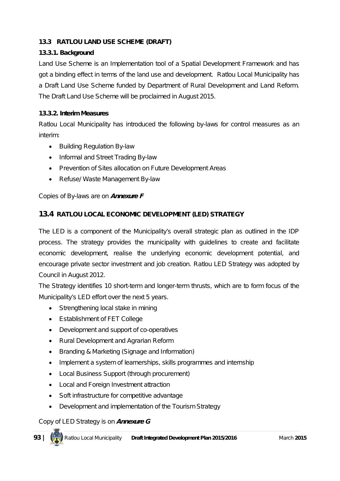# **13.3 RATLOU LAND USE SCHEME (DRAFT)**

## **13.3.1. Background**

Land Use Scheme is an Implementation tool of a Spatial Development Framework and has got a binding effect in terms of the land use and development. Ratlou Local Municipality has a Draft Land Use Scheme funded by Department of Rural Development and Land Reform. The Draft Land Use Scheme will be proclaimed in August 2015.

## **13.3.2. Interim Measures**

Ratlou Local Municipality has introduced the following by-laws for control measures as an interim:

- Building Regulation By-law
- Informal and Street Trading By-law
- Prevention of Sites allocation on Future Development Areas
- Refuse/ Waste Management By-law

# *Copies of By-laws are on Annexure F*

# **13.4 RATLOU LOCAL ECONOMIC DEVELOPMENT (LED) STRATEGY**

The LED is a component of the Municipality's overall strategic plan as outlined in the IDP process. The strategy provides the municipality with guidelines to create and facilitate economic development, realise the underlying economic development potential, and encourage private sector investment and job creation. Ratlou LED Strategy was adopted by Council in August 2012.

The Strategy identifies 10 short-term and longer-term thrusts, which are to form focus of the Municipality's LED effort over the next 5 years.

- Strengthening local stake in mining
- Establishment of FET College
- Development and support of co-operatives
- Rural Development and Agrarian Reform
- Branding & Marketing (Signage and Information)
- Implement a system of learnerships, skills programmes and internship
- Local Business Support (through procurement)
- Local and Foreign Investment attraction
- Soft infrastructure for competitive advantage
- Development and implementation of the Tourism Strategy

## *Copy of LED Strategy is on Annexure G*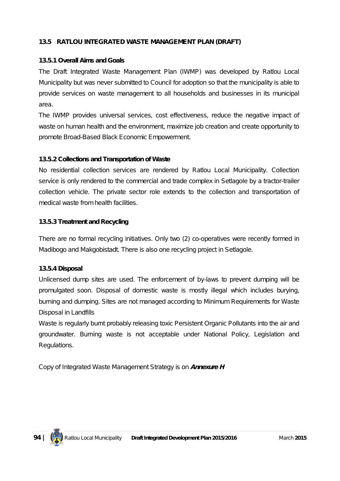## **13.5 RATLOU INTEGRATED WASTE MANAGEMENT PLAN (DRAFT)**

#### **13.5.1 Overall Aims and Goals**

The Draft Integrated Waste Management Plan (IWMP) was developed by Ratlou Local Municipality but was never submitted to Council for adoption so that the municipality is able to provide services on waste management to all households and businesses in its municipal area.

The IWMP provides universal services, cost effectiveness, reduce the negative impact of waste on human health and the environment, maximize job creation and create opportunity to promote Broad-Based Black Economic Empowerment.

#### **13.5.2 Collections and Transportation of Waste**

No residential collection services are rendered by Ratlou Local Municipality. Collection service is only rendered to the commercial and trade complex in Setlagole by a tractor-trailer collection vehicle. The private sector role extends to the collection and transportation of medical waste from health facilities.

#### **13.5.3 Treatment and Recycling**

There are no formal recycling initiatives. Only two (2) co-operatives were recently formed in Madibogo and Makgobistadt. There is also one recycling project in Setlagole.

#### **13.5.4 Disposal**

Unlicensed dump sites are used. The enforcement of by-laws to prevent dumping will be promulgated soon. Disposal of domestic waste is mostly illegal which includes burying, burning and dumping. Sites are not managed according to Minimum Requirements for Waste Disposal in Landfills

Waste is regularly burnt probably releasing toxic Persistent Organic Pollutants into the air and groundwater. Burning waste is not acceptable under National Policy, Legislation and Regulations.

*Copy of Integrated Waste Management Strategy is on Annexure H*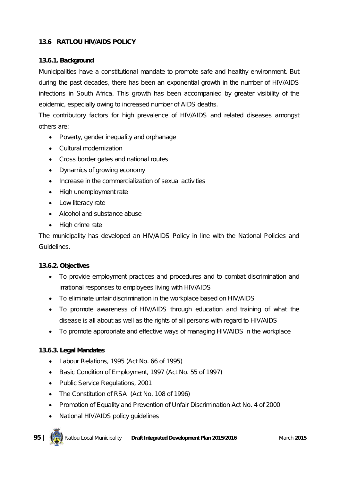# **13.6 RATLOU HIV/AIDS POLICY**

## **13.6.1. Background**

Municipalities have a constitutional mandate to promote safe and healthy environment. But during the past decades, there has been an exponential growth in the number of HIV/AIDS infections in South Africa. This growth has been accompanied by greater visibility of the epidemic, especially owing to increased number of AIDS deaths.

The contributory factors for high prevalence of HIV/AIDS and related diseases amongst others are:

- Poverty, gender inequality and orphanage
- Cultural modernization
- Cross border gates and national routes
- Dynamics of growing economy
- Increase in the commercialization of sexual activities
- High unemployment rate
- Low literacy rate
- Alcohol and substance abuse
- High crime rate

The municipality has developed an HIV/AIDS Policy in line with the National Policies and Guidelines.

## **13.6.2. Objectives**

- To provide employment practices and procedures and to combat discrimination and irrational responses to employees living with HIV/AIDS
- To eliminate unfair discrimination in the workplace based on HIV/AIDS
- To promote awareness of HIV/AIDS through education and training of what the disease is all about as well as the rights of all persons with regard to HIV/AIDS
- To promote appropriate and effective ways of managing HIV/AIDS in the workplace

# **13.6.3. Legal Mandates**

- Labour Relations, 1995 (Act No. 66 of 1995)
- Basic Condition of Employment, 1997 (Act No. 55 of 1997)
- Public Service Regulations, 2001
- The Constitution of RSA (Act No. 108 of 1996)
- Promotion of Equality and Prevention of Unfair Discrimination Act No. 4 of 2000
- National HIV/AIDS policy quidelines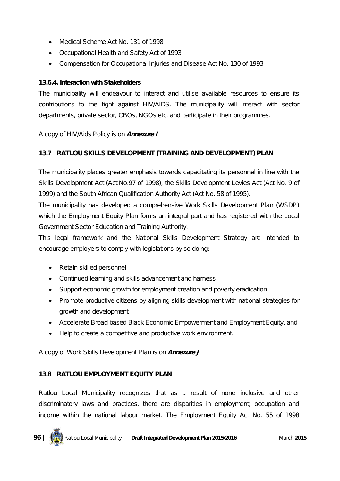- Medical Scheme Act No. 131 of 1998
- Occupational Health and Safety Act of 1993
- Compensation for Occupational Injuries and Disease Act No. 130 of 1993

#### **13.6.4. Interaction with Stakeholders**

The municipality will endeavour to interact and utilise available resources to ensure its contributions to the fight against HIV/AIDS. The municipality will interact with sector departments, private sector, CBOs, NGOs etc. and participate in their programmes.

#### *A copy of HIV/Aids Policy is on Annexure I*

## **13.7 RATLOU SKILLS DEVELOPMENT (TRAINING AND DEVELOPMENT) PLAN**

The municipality places greater emphasis towards capacitating its personnel in line with the Skills Development Act (Act.No.97 of 1998), the Skills Development Levies Act (Act No. 9 of 1999) and the South African Qualification Authority Act (Act No. 58 of 1995).

The municipality has developed a comprehensive Work Skills Development Plan (WSDP) which the Employment Equity Plan forms an integral part and has registered with the Local Government Sector Education and Training Authority.

This legal framework and the National Skills Development Strategy are intended to encourage employers to comply with legislations by so doing:

- Retain skilled personnel
- Continued learning and skills advancement and harness
- Support economic growth for employment creation and poverty eradication
- Promote productive citizens by aligning skills development with national strategies for growth and development
- Accelerate Broad based Black Economic Empowerment and Employment Equity, and
- Help to create a competitive and productive work environment.

## *A copy of Work Skills Development Plan is on Annexure J*

## **13.8 RATLOU EMPLOYMENT EQUITY PLAN**

Ratlou Local Municipality recognizes that as a result of none inclusive and other discriminatory laws and practices, there are disparities in employment, occupation and income within the national labour market. The Employment Equity Act No. 55 of 1998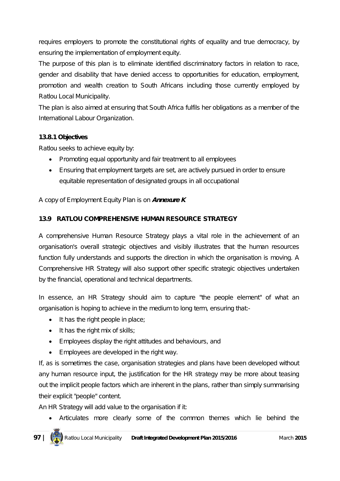requires employers to promote the constitutional rights of equality and true democracy, by ensuring the implementation of employment equity.

The purpose of this plan is to eliminate identified discriminatory factors in relation to race, gender and disability that have denied access to opportunities for education, employment, promotion and wealth creation to South Africans including those currently employed by Ratlou Local Municipality.

The plan is also aimed at ensuring that South Africa fulfils her obligations as a member of the International Labour Organization.

# **13.8.1 Objectives**

Ratlou seeks to achieve equity by:

- Promoting equal opportunity and fair treatment to all employees
- Ensuring that employment targets are set, are actively pursued in order to ensure equitable representation of designated groups in all occupational

# *A copy of Employment Equity Plan is on Annexure K*

# **13.9 RATLOU COMPREHENSIVE HUMAN RESOURCE STRATEGY**

A comprehensive Human Resource Strategy plays a vital role in the achievement of an organisation's overall strategic objectives and visibly illustrates that the human resources function fully understands and supports the direction in which the organisation is moving. A Comprehensive HR Strategy will also support other specific strategic objectives undertaken by the financial, operational and technical departments.

In essence, an HR Strategy should aim to capture "the people element" of what an organisation is hoping to achieve in the medium to long term, ensuring that:-

- $\bullet$  It has the right people in place;
- $\bullet$  It has the right mix of skills;
- Employees display the right attitudes and behaviours, and
- Employees are developed in the right way.

If, as is sometimes the case, organisation strategies and plans have been developed without any human resource input, the justification for the HR strategy may be more about teasing out the implicit people factors which are inherent in the plans, rather than simply summarising their explicit "people" content.

An HR Strategy will add value to the organisation if it:

Articulates more clearly some of the common themes which lie behind the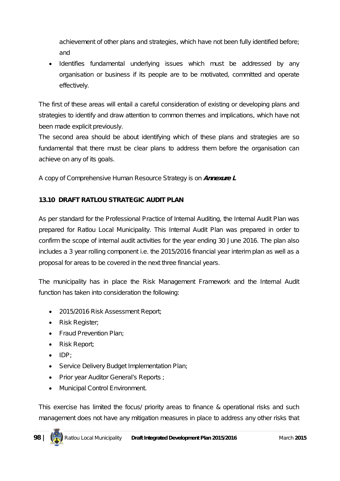achievement of other plans and strategies, which have not been fully identified before; and

• Identifies fundamental underlying issues which must be addressed by any organisation or business if its people are to be motivated, committed and operate effectively.

The first of these areas will entail a careful consideration of existing or developing plans and strategies to identify and draw attention to common themes and implications, which have not been made explicit previously.

The second area should be about identifying which of these plans and strategies are so fundamental that there must be clear plans to address them before the organisation can achieve on any of its goals.

*A copy of Comprehensive Human Resource Strategy is on Annexure L*

# **13.10 DRAFT RATLOU STRATEGIC AUDIT PLAN**

As per standard for the Professional Practice of Internal Auditing, the Internal Audit Plan was prepared for Ratlou Local Municipality. This Internal Audit Plan was prepared in order to confirm the scope of internal audit activities for the year ending 30 June 2016. The plan also includes a 3 year rolling component i.e. the 2015/2016 financial year interim plan as well as a proposal for areas to be covered in the next three financial years.

The municipality has in place the Risk Management Framework and the Internal Audit function has taken into consideration the following:

- 2015/2016 Risk Assessment Report;
- Risk Register;
- Fraud Prevention Plan;
- Risk Report;
- $\bullet$  IDP;
- Service Delivery Budget Implementation Plan;
- Prior year Auditor General's Reports ;
- Municipal Control Environment.

This exercise has limited the focus/ priority areas to finance & operational risks and such management does not have any mitigation measures in place to address any other risks that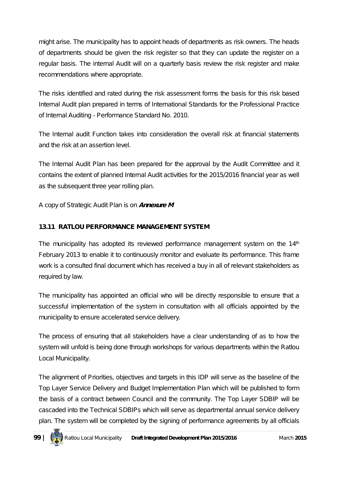might arise. The municipality has to appoint heads of departments as risk owners. The heads of departments should be given the risk register so that they can update the register on a regular basis. The internal Audit will on a quarterly basis review the risk register and make recommendations where appropriate.

The risks identified and rated during the risk assessment forms the basis for this risk based Internal Audit plan prepared in terms of International Standards for the Professional Practice of Internal Auditing - Performance Standard No. 2010.

The Internal audit Function takes into consideration the overall risk at financial statements and the risk at an assertion level.

The Internal Audit Plan has been prepared for the approval by the Audit Committee and it contains the extent of planned Internal Audit activities for the 2015/2016 financial year as well as the subsequent three year rolling plan.

# *A copy of Strategic Audit Plan is on Annexure M*

# **13.11 RATLOU PERFORMANCE MANAGEMENT SYSTEM**

The municipality has adopted its reviewed performance management system on the  $14<sup>th</sup>$ February 2013 to enable it to continuously monitor and evaluate its performance. This frame work is a consulted final document which has received a buy in all of relevant stakeholders as required by law.

The municipality has appointed an official who will be directly responsible to ensure that a successful implementation of the system in consultation with all officials appointed by the municipality to ensure accelerated service delivery.

The process of ensuring that all stakeholders have a clear understanding of as to how the system will unfold is being done through workshops for various departments within the Ratlou Local Municipality.

The alignment of Priorities, objectives and targets in this IDP will serve as the baseline of the Top Layer Service Delivery and Budget Implementation Plan which will be published to form the basis of a contract between Council and the community. The Top Layer SDBIP will be cascaded into the Technical SDBIPs which will serve as departmental annual service delivery plan. The system will be completed by the signing of performance agreements by all officials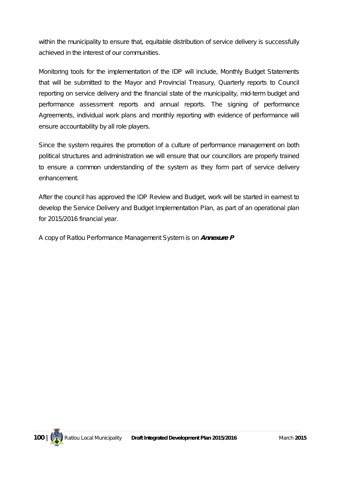within the municipality to ensure that, equitable distribution of service delivery is successfully achieved in the interest of our communities.

Monitoring tools for the implementation of the IDP will include, Monthly Budget Statements that will be submitted to the Mayor and Provincial Treasury, Quarterly reports to Council reporting on service delivery and the financial state of the municipality, mid-term budget and performance assessment reports and annual reports. The signing of performance Agreements, individual work plans and monthly reporting with evidence of performance will ensure accountability by all role players.

Since the system requires the promotion of a culture of performance management on both political structures and administration we will ensure that our councillors are properly trained to ensure a common understanding of the system as they form part of service delivery enhancement.

After the council has approved the IDP Review and Budget, work will be started in earnest to develop the Service Delivery and Budget Implementation Plan, as part of an operational plan for 2015/2016 financial year.

*A copy of Ratlou Performance Management System is on Annexure P*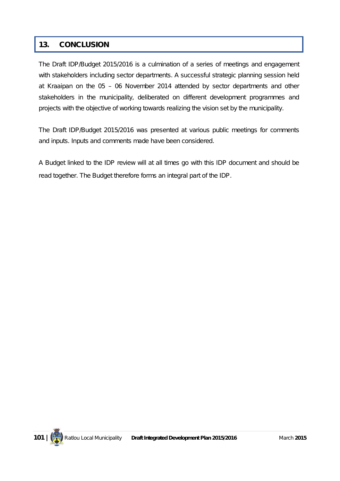# **13. CONCLUSION**

The Draft IDP/Budget 2015/2016 is a culmination of a series of meetings and engagement with stakeholders including sector departments. A successful strategic planning session held at Kraaipan on the 05 – 06 November 2014 attended by sector departments and other stakeholders in the municipality, deliberated on different development programmes and projects with the objective of working towards realizing the vision set by the municipality.

The Draft IDP/Budget 2015/2016 was presented at various public meetings for comments and inputs. Inputs and comments made have been considered.

A Budget linked to the IDP review will at all times go with this IDP document and should be read together. The Budget therefore forms an integral part of the IDP.